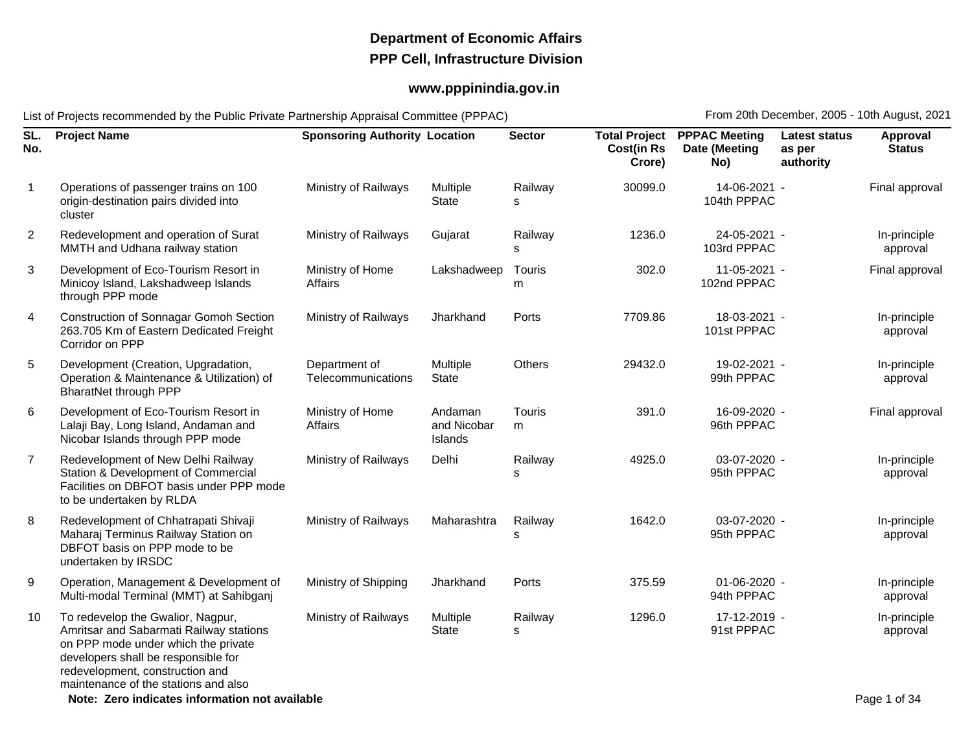## **Department of Economic AffairsPPP Cell, Infrastructure Division**

## **www.pppinindia.gov.in**

List of Projects recommended by the Public Private Partnership Appraisal Committee (PPPAC)

From 20th December, 2005 - 10th August, 2021

| SL.<br>No.     | <b>Project Name</b>                                                                                                                                                                                                                   | <b>Sponsoring Authority Location</b> |                                   | <b>Sector</b> | <b>Total Project</b><br><b>Cost(in Rs</b><br>Crore) | <b>PPPAC Meeting</b><br>Date (Meeting<br>No) | <b>Latest status</b><br>as per<br>authority | Approval<br><b>Status</b> |
|----------------|---------------------------------------------------------------------------------------------------------------------------------------------------------------------------------------------------------------------------------------|--------------------------------------|-----------------------------------|---------------|-----------------------------------------------------|----------------------------------------------|---------------------------------------------|---------------------------|
| $\mathbf{1}$   | Operations of passenger trains on 100<br>origin-destination pairs divided into<br>cluster                                                                                                                                             | Ministry of Railways                 | Multiple<br><b>State</b>          | Railway<br>s  | 30099.0                                             | 14-06-2021 -<br>104th PPPAC                  |                                             | Final approval            |
| $\overline{2}$ | Redevelopment and operation of Surat<br>MMTH and Udhana railway station                                                                                                                                                               | Ministry of Railways                 | Gujarat                           | Railway<br>s  | 1236.0                                              | 24-05-2021 -<br>103rd PPPAC                  |                                             | In-principle<br>approval  |
| 3              | Development of Eco-Tourism Resort in<br>Minicoy Island, Lakshadweep Islands<br>through PPP mode                                                                                                                                       | Ministry of Home<br><b>Affairs</b>   | Lakshadweep                       | Touris<br>m   | 302.0                                               | 11-05-2021 -<br>102nd PPPAC                  |                                             | Final approval            |
| 4              | <b>Construction of Sonnagar Gomoh Section</b><br>263.705 Km of Eastern Dedicated Freight<br>Corridor on PPP                                                                                                                           | Ministry of Railways                 | Jharkhand                         | Ports         | 7709.86                                             | 18-03-2021 -<br>101st PPPAC                  |                                             | In-principle<br>approval  |
| 5              | Development (Creation, Upgradation,<br>Operation & Maintenance & Utilization) of<br><b>BharatNet through PPP</b>                                                                                                                      | Department of<br>Telecommunications  | Multiple<br><b>State</b>          | Others        | 29432.0                                             | 19-02-2021 -<br>99th PPPAC                   |                                             | In-principle<br>approval  |
| 6              | Development of Eco-Tourism Resort in<br>Lalaji Bay, Long Island, Andaman and<br>Nicobar Islands through PPP mode                                                                                                                      | Ministry of Home<br>Affairs          | Andaman<br>and Nicobar<br>Islands | Touris<br>m   | 391.0                                               | 16-09-2020 -<br>96th PPPAC                   |                                             | Final approval            |
| $\overline{7}$ | Redevelopment of New Delhi Railway<br>Station & Development of Commercial<br>Facilities on DBFOT basis under PPP mode<br>to be undertaken by RLDA                                                                                     | Ministry of Railways                 | Delhi                             | Railway<br>s  | 4925.0                                              | 03-07-2020 -<br>95th PPPAC                   |                                             | In-principle<br>approval  |
| 8              | Redevelopment of Chhatrapati Shivaji<br>Maharaj Terminus Railway Station on<br>DBFOT basis on PPP mode to be<br>undertaken by IRSDC                                                                                                   | Ministry of Railways                 | Maharashtra                       | Railway<br>s  | 1642.0                                              | 03-07-2020 -<br>95th PPPAC                   |                                             | In-principle<br>approval  |
| 9              | Operation, Management & Development of<br>Multi-modal Terminal (MMT) at Sahibganj                                                                                                                                                     | Ministry of Shipping                 | Jharkhand                         | Ports         | 375.59                                              | 01-06-2020 -<br>94th PPPAC                   |                                             | In-principle<br>approval  |
| 10             | To redevelop the Gwalior, Nagpur,<br>Amritsar and Sabarmati Railway stations<br>on PPP mode under which the private<br>developers shall be responsible for<br>redevelopment, construction and<br>maintenance of the stations and also | Ministry of Railways                 | Multiple<br>State                 | Railway<br>s  | 1296.0                                              | 17-12-2019 -<br>91st PPPAC                   |                                             | In-principle<br>approval  |
|                | Note: Zero indicates information not available                                                                                                                                                                                        |                                      |                                   |               |                                                     |                                              |                                             | Page 1 of 34              |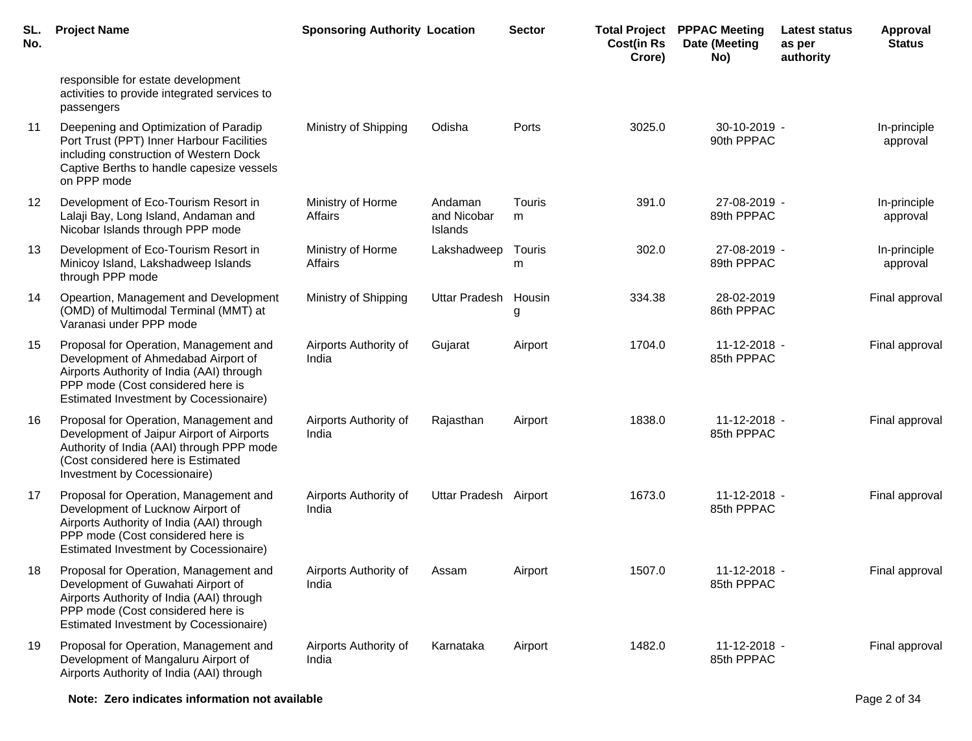| SL.<br>No. | <b>Project Name</b>                                                                                                                                                                                             | <b>Sponsoring Authority Location</b> |                                   | <b>Sector</b> | <b>Total Project</b><br><b>Cost(in Rs</b><br>Crore) | <b>PPPAC Meeting</b><br>Date (Meeting<br>No) | Latest status<br>as per<br>authority | <b>Approval</b><br><b>Status</b> |
|------------|-----------------------------------------------------------------------------------------------------------------------------------------------------------------------------------------------------------------|--------------------------------------|-----------------------------------|---------------|-----------------------------------------------------|----------------------------------------------|--------------------------------------|----------------------------------|
|            | responsible for estate development<br>activities to provide integrated services to<br>passengers                                                                                                                |                                      |                                   |               |                                                     |                                              |                                      |                                  |
| 11         | Deepening and Optimization of Paradip<br>Port Trust (PPT) Inner Harbour Facilities<br>including construction of Western Dock<br>Captive Berths to handle capesize vessels<br>on PPP mode                        | Ministry of Shipping                 | Odisha                            | Ports         | 3025.0                                              | $30-10-2019$ -<br>90th PPPAC                 |                                      | In-principle<br>approval         |
| 12         | Development of Eco-Tourism Resort in<br>Lalaji Bay, Long Island, Andaman and<br>Nicobar Islands through PPP mode                                                                                                | Ministry of Horme<br>Affairs         | Andaman<br>and Nicobar<br>Islands | Touris<br>m   | 391.0                                               | 27-08-2019 -<br>89th PPPAC                   |                                      | In-principle<br>approval         |
| 13         | Development of Eco-Tourism Resort in<br>Minicoy Island, Lakshadweep Islands<br>through PPP mode                                                                                                                 | Ministry of Horme<br>Affairs         | Lakshadweep                       | Touris<br>m   | 302.0                                               | 27-08-2019 -<br>89th PPPAC                   |                                      | In-principle<br>approval         |
| 14         | Opeartion, Management and Development<br>(OMD) of Multimodal Terminal (MMT) at<br>Varanasi under PPP mode                                                                                                       | Ministry of Shipping                 | <b>Uttar Pradesh</b>              | Housin<br>g   | 334.38                                              | 28-02-2019<br>86th PPPAC                     |                                      | Final approval                   |
| 15         | Proposal for Operation, Management and<br>Development of Ahmedabad Airport of<br>Airports Authority of India (AAI) through<br>PPP mode (Cost considered here is<br>Estimated Investment by Cocessionaire)       | Airports Authority of<br>India       | Gujarat                           | Airport       | 1704.0                                              | 11-12-2018 -<br>85th PPPAC                   |                                      | Final approval                   |
| 16         | Proposal for Operation, Management and<br>Development of Jaipur Airport of Airports<br>Authority of India (AAI) through PPP mode<br>(Cost considered here is Estimated<br>Investment by Cocessionaire)          | Airports Authority of<br>India       | Rajasthan                         | Airport       | 1838.0                                              | 11-12-2018 -<br>85th PPPAC                   |                                      | Final approval                   |
| 17         | Proposal for Operation, Management and<br>Development of Lucknow Airport of<br>Airports Authority of India (AAI) through<br>PPP mode (Cost considered here is<br>Estimated Investment by Cocessionaire)         | Airports Authority of<br>India       | Uttar Pradesh Airport             |               | 1673.0                                              | 11-12-2018 -<br>85th PPPAC                   |                                      | Final approval                   |
| 18         | Proposal for Operation, Management and<br>Development of Guwahati Airport of<br>Airports Authority of India (AAI) through<br>PPP mode (Cost considered here is<br><b>Estimated Investment by Cocessionaire)</b> | Airports Authority of<br>India       | Assam                             | Airport       | 1507.0                                              | $11 - 12 - 2018 -$<br>85th PPPAC             |                                      | Final approval                   |
| 19         | Proposal for Operation, Management and<br>Development of Mangaluru Airport of<br>Airports Authority of India (AAI) through                                                                                      | Airports Authority of<br>India       | Karnataka                         | Airport       | 1482.0                                              | 11-12-2018 -<br>85th PPPAC                   |                                      | Final approval                   |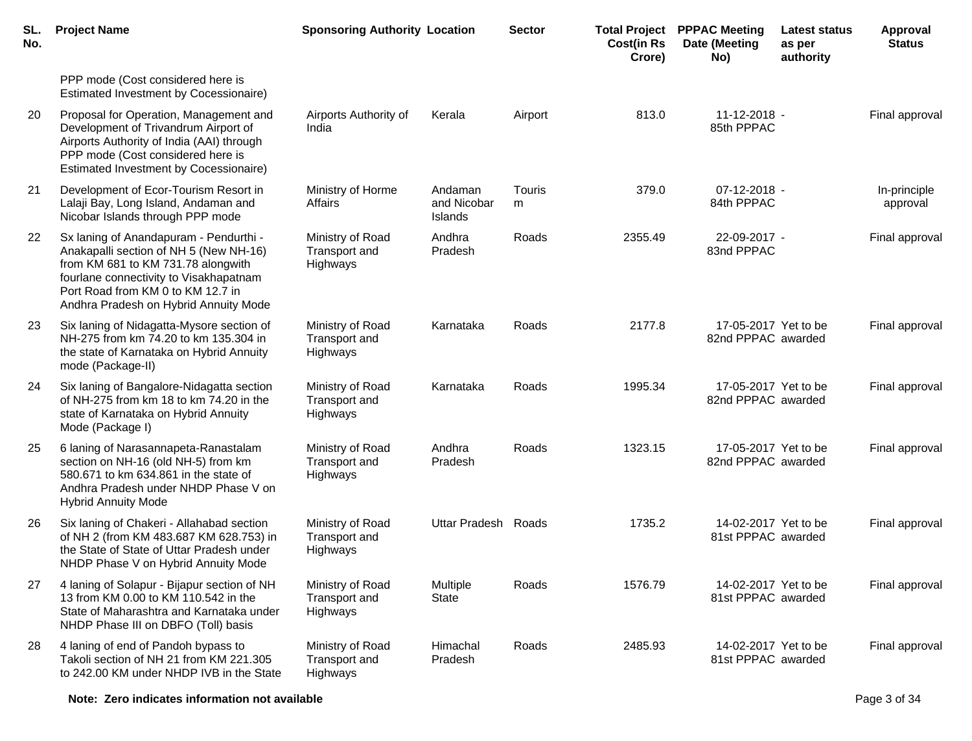| SL.<br>No. | <b>Project Name</b>                                                                                                                                                                                                                            | <b>Sponsoring Authority Location</b>          |                                   | <b>Sector</b> | <b>Cost(in Rs</b><br>Crore) | <b>Total Project PPPAC Meeting</b><br>Date (Meeting<br>No) | Latest status<br>as per<br>authority | Approval<br><b>Status</b> |
|------------|------------------------------------------------------------------------------------------------------------------------------------------------------------------------------------------------------------------------------------------------|-----------------------------------------------|-----------------------------------|---------------|-----------------------------|------------------------------------------------------------|--------------------------------------|---------------------------|
|            | PPP mode (Cost considered here is<br>Estimated Investment by Cocessionaire)                                                                                                                                                                    |                                               |                                   |               |                             |                                                            |                                      |                           |
| 20         | Proposal for Operation, Management and<br>Development of Trivandrum Airport of<br>Airports Authority of India (AAI) through<br>PPP mode (Cost considered here is<br>Estimated Investment by Cocessionaire)                                     | Airports Authority of<br>India                | Kerala                            | Airport       | 813.0                       | 11-12-2018 -<br>85th PPPAC                                 |                                      | Final approval            |
| 21         | Development of Ecor-Tourism Resort in<br>Lalaji Bay, Long Island, Andaman and<br>Nicobar Islands through PPP mode                                                                                                                              | Ministry of Horme<br>Affairs                  | Andaman<br>and Nicobar<br>Islands | Touris<br>m   | 379.0                       | 07-12-2018 -<br>84th PPPAC                                 |                                      | In-principle<br>approval  |
| 22         | Sx laning of Anandapuram - Pendurthi -<br>Anakapalli section of NH 5 (New NH-16)<br>from KM 681 to KM 731.78 alongwith<br>fourlane connectivity to Visakhapatnam<br>Port Road from KM 0 to KM 12.7 in<br>Andhra Pradesh on Hybrid Annuity Mode | Ministry of Road<br>Transport and<br>Highways | Andhra<br>Pradesh                 | Roads         | 2355.49                     | 22-09-2017 -<br>83nd PPPAC                                 |                                      | Final approval            |
| 23         | Six laning of Nidagatta-Mysore section of<br>NH-275 from km 74.20 to km 135.304 in<br>the state of Karnataka on Hybrid Annuity<br>mode (Package-II)                                                                                            | Ministry of Road<br>Transport and<br>Highways | Karnataka                         | Roads         | 2177.8                      | 17-05-2017 Yet to be<br>82nd PPPAC awarded                 |                                      | Final approval            |
| 24         | Six laning of Bangalore-Nidagatta section<br>of NH-275 from km 18 to km 74.20 in the<br>state of Karnataka on Hybrid Annuity<br>Mode (Package I)                                                                                               | Ministry of Road<br>Transport and<br>Highways | Karnataka                         | Roads         | 1995.34                     | 17-05-2017 Yet to be<br>82nd PPPAC awarded                 |                                      | Final approval            |
| 25         | 6 laning of Narasannapeta-Ranastalam<br>section on NH-16 (old NH-5) from km<br>580.671 to km 634.861 in the state of<br>Andhra Pradesh under NHDP Phase V on<br><b>Hybrid Annuity Mode</b>                                                     | Ministry of Road<br>Transport and<br>Highways | Andhra<br>Pradesh                 | Roads         | 1323.15                     | 17-05-2017 Yet to be<br>82nd PPPAC awarded                 |                                      | Final approval            |
| 26         | Six laning of Chakeri - Allahabad section<br>of NH 2 (from KM 483.687 KM 628.753) in<br>the State of State of Uttar Pradesh under<br>NHDP Phase V on Hybrid Annuity Mode                                                                       | Ministry of Road<br>Transport and<br>Highways | Uttar Pradesh Roads               |               | 1735.2                      | 14-02-2017 Yet to be<br>81st PPPAC awarded                 |                                      | Final approval            |
| 27         | 4 laning of Solapur - Bijapur section of NH<br>13 from KM 0.00 to KM 110.542 in the<br>State of Maharashtra and Karnataka under<br>NHDP Phase III on DBFO (Toll) basis                                                                         | Ministry of Road<br>Transport and<br>Highways | Multiple<br><b>State</b>          | Roads         | 1576.79                     | 14-02-2017 Yet to be<br>81st PPPAC awarded                 |                                      | Final approval            |
| 28         | 4 laning of end of Pandoh bypass to<br>Takoli section of NH 21 from KM 221.305<br>to 242.00 KM under NHDP IVB in the State                                                                                                                     | Ministry of Road<br>Transport and<br>Highways | Himachal<br>Pradesh               | Roads         | 2485.93                     | 14-02-2017 Yet to be<br>81st PPPAC awarded                 |                                      | Final approval            |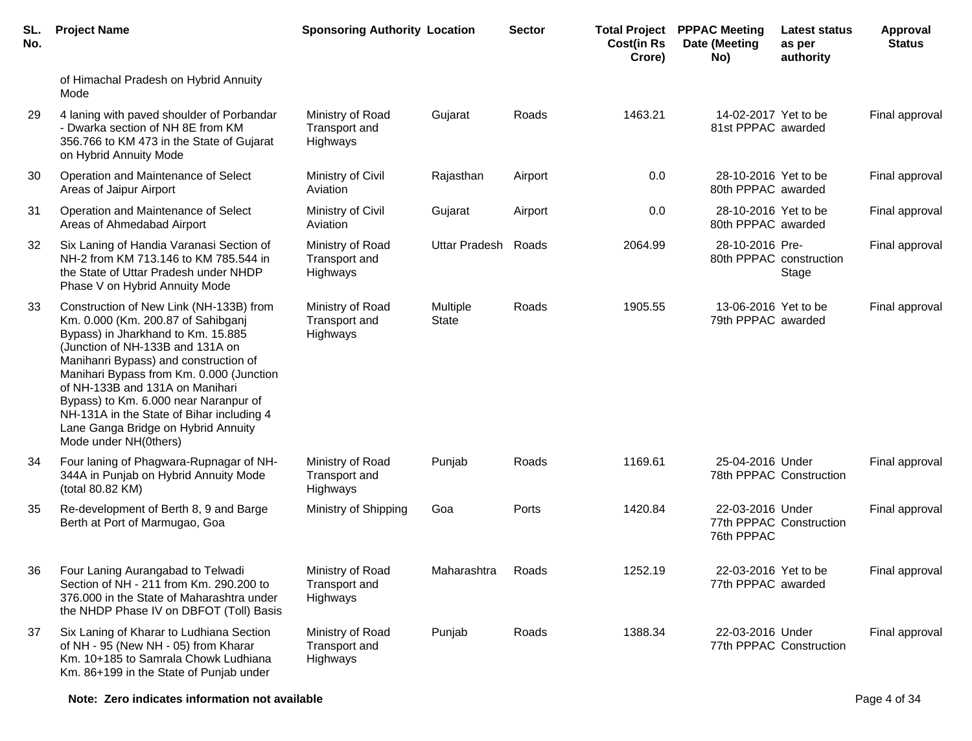| SL.<br>No. | <b>Project Name</b>                                                                                                                                                                                                                                                                                                                                                                                                                   | <b>Sponsoring Authority Location</b>          |                          | <b>Sector</b> | <b>Cost(in Rs</b><br>Crore) | <b>Total Project PPPAC Meeting</b><br>Date (Meeting<br>No) | <b>Latest status</b><br>as per<br>authority | <b>Approval</b><br><b>Status</b> |
|------------|---------------------------------------------------------------------------------------------------------------------------------------------------------------------------------------------------------------------------------------------------------------------------------------------------------------------------------------------------------------------------------------------------------------------------------------|-----------------------------------------------|--------------------------|---------------|-----------------------------|------------------------------------------------------------|---------------------------------------------|----------------------------------|
|            | of Himachal Pradesh on Hybrid Annuity<br>Mode                                                                                                                                                                                                                                                                                                                                                                                         |                                               |                          |               |                             |                                                            |                                             |                                  |
| 29         | 4 laning with paved shoulder of Porbandar<br>- Dwarka section of NH 8E from KM<br>356.766 to KM 473 in the State of Gujarat<br>on Hybrid Annuity Mode                                                                                                                                                                                                                                                                                 | Ministry of Road<br>Transport and<br>Highways | Gujarat                  | Roads         | 1463.21                     | 14-02-2017 Yet to be<br>81st PPPAC awarded                 |                                             | Final approval                   |
| 30         | Operation and Maintenance of Select<br>Areas of Jaipur Airport                                                                                                                                                                                                                                                                                                                                                                        | Ministry of Civil<br>Aviation                 | Rajasthan                | Airport       | 0.0                         | 28-10-2016 Yet to be<br>80th PPPAC awarded                 |                                             | Final approval                   |
| 31         | Operation and Maintenance of Select<br>Areas of Ahmedabad Airport                                                                                                                                                                                                                                                                                                                                                                     | Ministry of Civil<br>Aviation                 | Gujarat                  | Airport       | 0.0                         | 28-10-2016 Yet to be<br>80th PPPAC awarded                 |                                             | Final approval                   |
| 32         | Six Laning of Handia Varanasi Section of<br>NH-2 from KM 713.146 to KM 785.544 in<br>the State of Uttar Pradesh under NHDP<br>Phase V on Hybrid Annuity Mode                                                                                                                                                                                                                                                                          | Ministry of Road<br>Transport and<br>Highways | <b>Uttar Pradesh</b>     | Roads         | 2064.99                     | 28-10-2016 Pre-                                            | 80th PPPAC construction<br>Stage            | Final approval                   |
| 33         | Construction of New Link (NH-133B) from<br>Km. 0.000 (Km. 200.87 of Sahibganj<br>Bypass) in Jharkhand to Km. 15.885<br>(Junction of NH-133B and 131A on<br>Manihanri Bypass) and construction of<br>Manihari Bypass from Km. 0.000 (Junction<br>of NH-133B and 131A on Manihari<br>Bypass) to Km. 6.000 near Naranpur of<br>NH-131A in the State of Bihar including 4<br>Lane Ganga Bridge on Hybrid Annuity<br>Mode under NH(0thers) | Ministry of Road<br>Transport and<br>Highways | Multiple<br><b>State</b> | Roads         | 1905.55                     | 13-06-2016 Yet to be<br>79th PPPAC awarded                 |                                             | Final approval                   |
| 34         | Four laning of Phagwara-Rupnagar of NH-<br>344A in Punjab on Hybrid Annuity Mode<br>(total 80.82 KM)                                                                                                                                                                                                                                                                                                                                  | Ministry of Road<br>Transport and<br>Highways | Punjab                   | Roads         | 1169.61                     | 25-04-2016 Under                                           | 78th PPPAC Construction                     | Final approval                   |
| 35         | Re-development of Berth 8, 9 and Barge<br>Berth at Port of Marmugao, Goa                                                                                                                                                                                                                                                                                                                                                              | Ministry of Shipping                          | Goa                      | Ports         | 1420.84                     | 22-03-2016 Under<br>76th PPPAC                             | 77th PPPAC Construction                     | Final approval                   |
| 36         | Four Laning Aurangabad to Telwadi<br>Section of NH - 211 from Km. 290.200 to<br>376.000 in the State of Maharashtra under<br>the NHDP Phase IV on DBFOT (Toll) Basis                                                                                                                                                                                                                                                                  | Ministry of Road<br>Transport and<br>Highways | Maharashtra              | Roads         | 1252.19                     | 22-03-2016 Yet to be<br>77th PPPAC awarded                 |                                             | Final approval                   |
| 37         | Six Laning of Kharar to Ludhiana Section<br>of NH - 95 (New NH - 05) from Kharar<br>Km. 10+185 to Samrala Chowk Ludhiana<br>Km. 86+199 in the State of Punjab under                                                                                                                                                                                                                                                                   | Ministry of Road<br>Transport and<br>Highways | Punjab                   | Roads         | 1388.34                     | 22-03-2016 Under                                           | 77th PPPAC Construction                     | Final approval                   |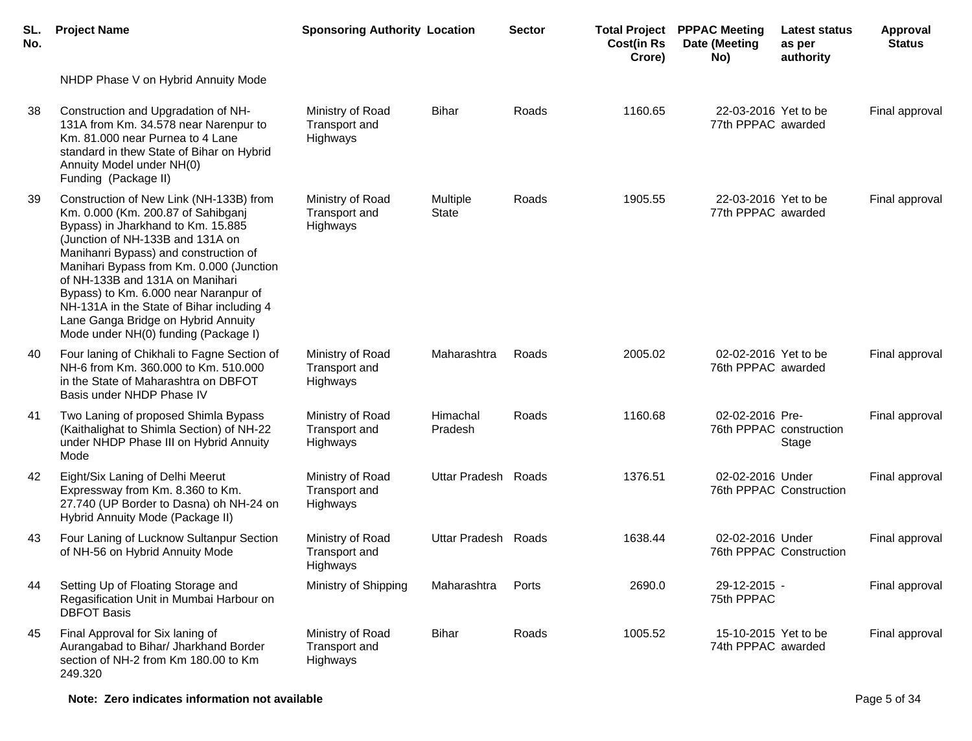| SL.<br>No. | <b>Project Name</b>                                                                                                                                                                                                                                                                                                                                                                                                                                  | <b>Sponsoring Authority Location</b>          |                          | <b>Sector</b> | <b>Total Project</b><br><b>Cost(in Rs</b><br>Crore) | <b>PPPAC Meeting</b><br>Date (Meeting<br>No) | Latest status<br>as per<br>authority | Approval<br><b>Status</b> |
|------------|------------------------------------------------------------------------------------------------------------------------------------------------------------------------------------------------------------------------------------------------------------------------------------------------------------------------------------------------------------------------------------------------------------------------------------------------------|-----------------------------------------------|--------------------------|---------------|-----------------------------------------------------|----------------------------------------------|--------------------------------------|---------------------------|
|            | NHDP Phase V on Hybrid Annuity Mode                                                                                                                                                                                                                                                                                                                                                                                                                  |                                               |                          |               |                                                     |                                              |                                      |                           |
| 38         | Construction and Upgradation of NH-<br>131A from Km. 34.578 near Narenpur to<br>Km. 81.000 near Purnea to 4 Lane<br>standard in thew State of Bihar on Hybrid<br>Annuity Model under NH(0)<br>Funding (Package II)                                                                                                                                                                                                                                   | Ministry of Road<br>Transport and<br>Highways | <b>Bihar</b>             | Roads         | 1160.65                                             | 22-03-2016 Yet to be<br>77th PPPAC awarded   |                                      | Final approval            |
| -39        | Construction of New Link (NH-133B) from<br>Km. 0.000 (Km. 200.87 of Sahibganj<br>Bypass) in Jharkhand to Km. 15.885<br>(Junction of NH-133B and 131A on<br>Manihanri Bypass) and construction of<br>Manihari Bypass from Km. 0.000 (Junction<br>of NH-133B and 131A on Manihari<br>Bypass) to Km. 6.000 near Naranpur of<br>NH-131A in the State of Bihar including 4<br>Lane Ganga Bridge on Hybrid Annuity<br>Mode under NH(0) funding (Package I) | Ministry of Road<br>Transport and<br>Highways | Multiple<br><b>State</b> | Roads         | 1905.55                                             | 22-03-2016 Yet to be<br>77th PPPAC awarded   |                                      | Final approval            |
| 40         | Four laning of Chikhali to Fagne Section of<br>NH-6 from Km. 360,000 to Km. 510,000<br>in the State of Maharashtra on DBFOT<br>Basis under NHDP Phase IV                                                                                                                                                                                                                                                                                             | Ministry of Road<br>Transport and<br>Highways | Maharashtra              | Roads         | 2005.02                                             | 02-02-2016 Yet to be<br>76th PPPAC awarded   |                                      | Final approval            |
| 41         | Two Laning of proposed Shimla Bypass<br>(Kaithalighat to Shimla Section) of NH-22<br>under NHDP Phase III on Hybrid Annuity<br>Mode                                                                                                                                                                                                                                                                                                                  | Ministry of Road<br>Transport and<br>Highways | Himachal<br>Pradesh      | Roads         | 1160.68                                             | 02-02-2016 Pre-                              | 76th PPPAC construction<br>Stage     | Final approval            |
| 42         | Eight/Six Laning of Delhi Meerut<br>Expressway from Km. 8.360 to Km.<br>27.740 (UP Border to Dasna) oh NH-24 on<br>Hybrid Annuity Mode (Package II)                                                                                                                                                                                                                                                                                                  | Ministry of Road<br>Transport and<br>Highways | Uttar Pradesh Roads      |               | 1376.51                                             | 02-02-2016 Under                             | 76th PPPAC Construction              | Final approval            |
| 43         | Four Laning of Lucknow Sultanpur Section<br>of NH-56 on Hybrid Annuity Mode                                                                                                                                                                                                                                                                                                                                                                          | Ministry of Road<br>Transport and<br>Highways | Uttar Pradesh Roads      |               | 1638.44                                             | 02-02-2016 Under                             | 76th PPPAC Construction              | Final approval            |
| 44         | Setting Up of Floating Storage and<br>Regasification Unit in Mumbai Harbour on<br><b>DBFOT Basis</b>                                                                                                                                                                                                                                                                                                                                                 | Ministry of Shipping                          | Maharashtra              | Ports         | 2690.0                                              | 29-12-2015 -<br>75th PPPAC                   |                                      | Final approval            |
| 45         | Final Approval for Six laning of<br>Aurangabad to Bihar/ Jharkhand Border<br>section of NH-2 from Km 180.00 to Km<br>249.320                                                                                                                                                                                                                                                                                                                         | Ministry of Road<br>Transport and<br>Highways | <b>Bihar</b>             | Roads         | 1005.52                                             | 15-10-2015 Yet to be<br>74th PPPAC awarded   |                                      | Final approval            |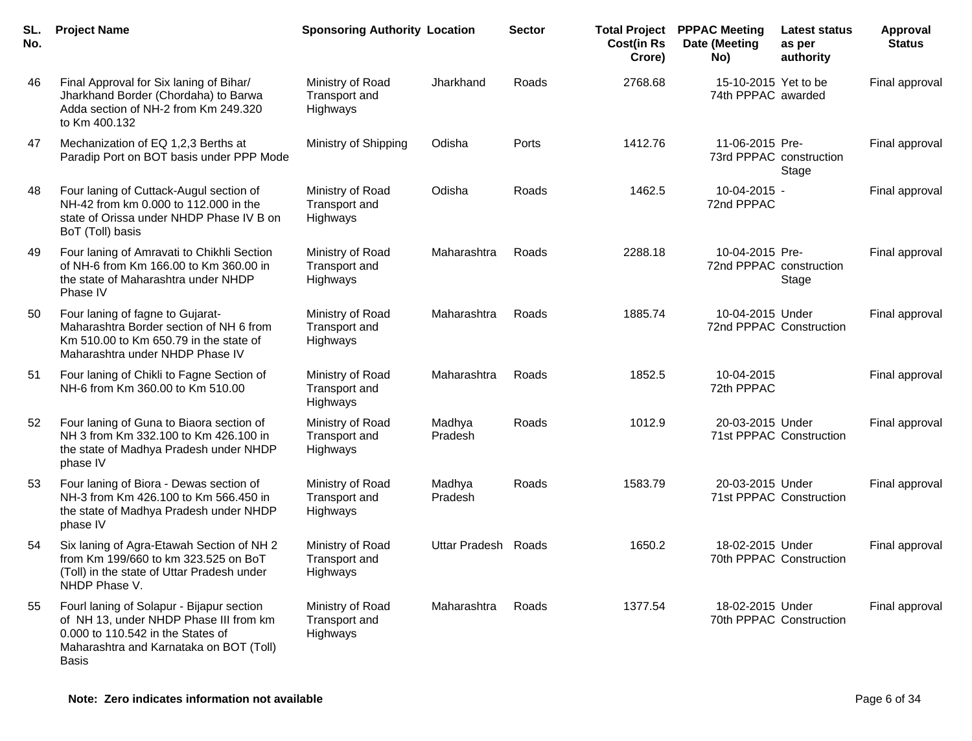| SL.<br>No. | <b>Project Name</b>                                                                                                                                                                 | <b>Sponsoring Authority Location</b>          |                     | <b>Sector</b> | <b>Cost(in Rs</b><br>Crore) | <b>Total Project PPPAC Meeting</b><br>Date (Meeting<br>No) | <b>Latest status</b><br>as per<br>authority | Approval<br><b>Status</b> |
|------------|-------------------------------------------------------------------------------------------------------------------------------------------------------------------------------------|-----------------------------------------------|---------------------|---------------|-----------------------------|------------------------------------------------------------|---------------------------------------------|---------------------------|
| 46         | Final Approval for Six laning of Bihar/<br>Jharkhand Border (Chordaha) to Barwa<br>Adda section of NH-2 from Km 249.320<br>to Km 400.132                                            | Ministry of Road<br>Transport and<br>Highways | Jharkhand           | Roads         | 2768.68                     | 15-10-2015 Yet to be<br>74th PPPAC awarded                 |                                             | Final approval            |
| 47         | Mechanization of EQ 1,2,3 Berths at<br>Paradip Port on BOT basis under PPP Mode                                                                                                     | Ministry of Shipping                          | Odisha              | Ports         | 1412.76                     | 11-06-2015 Pre-<br>73rd PPPAC construction                 | Stage                                       | Final approval            |
| 48         | Four laning of Cuttack-Augul section of<br>NH-42 from km 0.000 to 112.000 in the<br>state of Orissa under NHDP Phase IV B on<br>BoT (Toll) basis                                    | Ministry of Road<br>Transport and<br>Highways | Odisha              | Roads         | 1462.5                      | 10-04-2015 -<br>72nd PPPAC                                 |                                             | Final approval            |
| 49         | Four laning of Amravati to Chikhli Section<br>of NH-6 from Km 166.00 to Km 360.00 in<br>the state of Maharashtra under NHDP<br>Phase IV                                             | Ministry of Road<br>Transport and<br>Highways | Maharashtra         | Roads         | 2288.18                     | 10-04-2015 Pre-<br>72nd PPPAC construction                 | Stage                                       | Final approval            |
| 50         | Four laning of fagne to Gujarat-<br>Maharashtra Border section of NH 6 from<br>Km 510.00 to Km 650.79 in the state of<br>Maharashtra under NHDP Phase IV                            | Ministry of Road<br>Transport and<br>Highways | Maharashtra         | Roads         | 1885.74                     | 10-04-2015 Under<br>72nd PPPAC Construction                |                                             | Final approval            |
| 51         | Four laning of Chikli to Fagne Section of<br>NH-6 from Km 360.00 to Km 510.00                                                                                                       | Ministry of Road<br>Transport and<br>Highways | Maharashtra         | Roads         | 1852.5                      | 10-04-2015<br>72th PPPAC                                   |                                             | Final approval            |
| 52         | Four laning of Guna to Biaora section of<br>NH 3 from Km 332.100 to Km 426.100 in<br>the state of Madhya Pradesh under NHDP<br>phase IV                                             | Ministry of Road<br>Transport and<br>Highways | Madhya<br>Pradesh   | Roads         | 1012.9                      | 20-03-2015 Under                                           | 71st PPPAC Construction                     | Final approval            |
| 53         | Four laning of Biora - Dewas section of<br>NH-3 from Km 426.100 to Km 566.450 in<br>the state of Madhya Pradesh under NHDP<br>phase IV                                              | Ministry of Road<br>Transport and<br>Highways | Madhya<br>Pradesh   | Roads         | 1583.79                     | 20-03-2015 Under                                           | 71st PPPAC Construction                     | Final approval            |
| 54         | Six laning of Agra-Etawah Section of NH 2<br>from Km 199/660 to km 323.525 on BoT<br>(Toll) in the state of Uttar Pradesh under<br>NHDP Phase V.                                    | Ministry of Road<br>Transport and<br>Highways | Uttar Pradesh Roads |               | 1650.2                      | 18-02-2015 Under                                           | 70th PPPAC Construction                     | Final approval            |
| 55         | Fourl laning of Solapur - Bijapur section<br>of NH 13, under NHDP Phase III from km<br>0.000 to 110.542 in the States of<br>Maharashtra and Karnataka on BOT (Toll)<br><b>Basis</b> | Ministry of Road<br>Transport and<br>Highways | Maharashtra         | Roads         | 1377.54                     | 18-02-2015 Under                                           | 70th PPPAC Construction                     | Final approval            |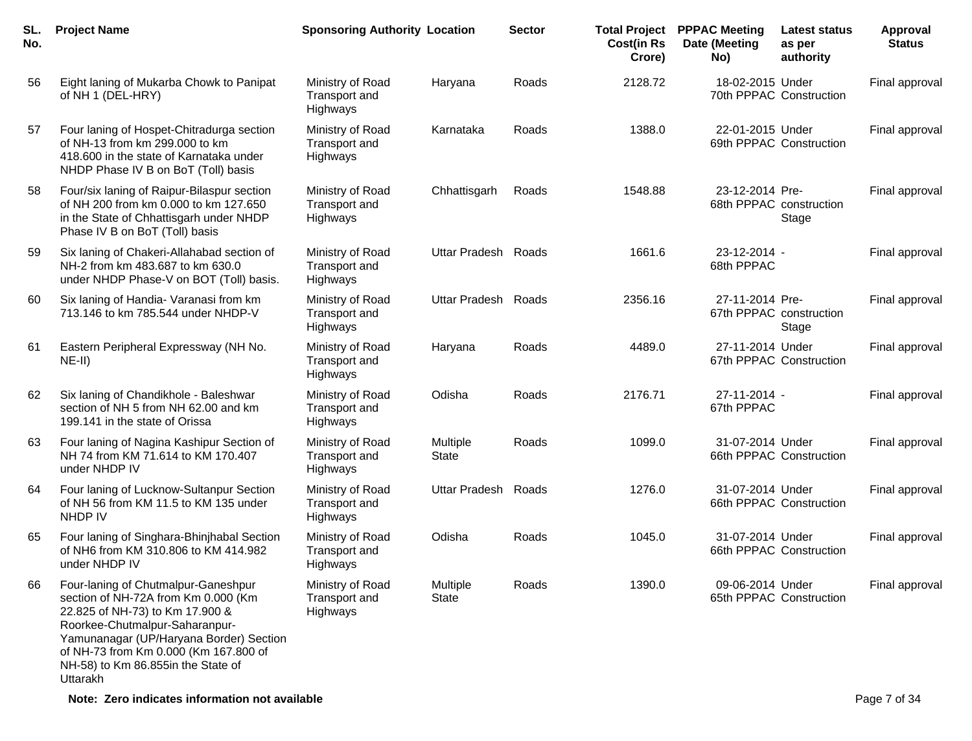| SL.<br>No. | <b>Project Name</b>                                                                                                                                                                                                                                                                   | <b>Sponsoring Authority Location</b>                 |                          | <b>Sector</b> | <b>Total Project</b><br><b>Cost(in Rs</b><br>Crore) | <b>PPPAC Meeting</b><br>Date (Meeting<br>No) | <b>Latest status</b><br>as per<br>authority | Approval<br><b>Status</b> |
|------------|---------------------------------------------------------------------------------------------------------------------------------------------------------------------------------------------------------------------------------------------------------------------------------------|------------------------------------------------------|--------------------------|---------------|-----------------------------------------------------|----------------------------------------------|---------------------------------------------|---------------------------|
| 56         | Eight laning of Mukarba Chowk to Panipat<br>of NH 1 (DEL-HRY)                                                                                                                                                                                                                         | Ministry of Road<br>Transport and<br>Highways        | Haryana                  | Roads         | 2128.72                                             | 18-02-2015 Under                             | 70th PPPAC Construction                     | Final approval            |
| 57         | Four laning of Hospet-Chitradurga section<br>of NH-13 from km 299.000 to km<br>418.600 in the state of Karnataka under<br>NHDP Phase IV B on BoT (Toll) basis                                                                                                                         | Ministry of Road<br>Transport and<br>Highways        | Karnataka                | Roads         | 1388.0                                              | 22-01-2015 Under                             | 69th PPPAC Construction                     | Final approval            |
| 58         | Four/six laning of Raipur-Bilaspur section<br>of NH 200 from km 0.000 to km 127.650<br>in the State of Chhattisgarh under NHDP<br>Phase IV B on BoT (Toll) basis                                                                                                                      | Ministry of Road<br>Transport and<br>Highways        | Chhattisgarh             | Roads         | 1548.88                                             | 23-12-2014 Pre-<br>68th PPPAC construction   | Stage                                       | Final approval            |
| 59         | Six laning of Chakeri-Allahabad section of<br>NH-2 from km 483.687 to km 630.0<br>under NHDP Phase-V on BOT (Toll) basis.                                                                                                                                                             | Ministry of Road<br>Transport and<br>Highways        | Uttar Pradesh Roads      |               | 1661.6                                              | 23-12-2014 -<br>68th PPPAC                   |                                             | Final approval            |
| 60         | Six laning of Handia- Varanasi from km<br>713.146 to km 785.544 under NHDP-V                                                                                                                                                                                                          | Ministry of Road<br>Transport and<br>Highways        | <b>Uttar Pradesh</b>     | Roads         | 2356.16                                             | 27-11-2014 Pre-<br>67th PPPAC construction   | Stage                                       | Final approval            |
| 61         | Eastern Peripheral Expressway (NH No.<br>$NE-II)$                                                                                                                                                                                                                                     | Ministry of Road<br><b>Transport and</b><br>Highways | Haryana                  | Roads         | 4489.0                                              | 27-11-2014 Under                             | 67th PPPAC Construction                     | Final approval            |
| 62         | Six laning of Chandikhole - Baleshwar<br>section of NH 5 from NH 62.00 and km<br>199.141 in the state of Orissa                                                                                                                                                                       | Ministry of Road<br>Transport and<br>Highways        | Odisha                   | Roads         | 2176.71                                             | 27-11-2014 -<br>67th PPPAC                   |                                             | Final approval            |
| 63         | Four laning of Nagina Kashipur Section of<br>NH 74 from KM 71.614 to KM 170.407<br>under NHDP IV                                                                                                                                                                                      | Ministry of Road<br>Transport and<br>Highways        | Multiple<br><b>State</b> | Roads         | 1099.0                                              | 31-07-2014 Under                             | 66th PPPAC Construction                     | Final approval            |
| 64         | Four laning of Lucknow-Sultanpur Section<br>of NH 56 from KM 11.5 to KM 135 under<br><b>NHDP IV</b>                                                                                                                                                                                   | Ministry of Road<br>Transport and<br>Highways        | Uttar Pradesh Roads      |               | 1276.0                                              | 31-07-2014 Under                             | 66th PPPAC Construction                     | Final approval            |
| 65         | Four laning of Singhara-Bhinjhabal Section<br>of NH6 from KM 310.806 to KM 414.982<br>under NHDP IV                                                                                                                                                                                   | Ministry of Road<br>Transport and<br>Highways        | Odisha                   | Roads         | 1045.0                                              | 31-07-2014 Under                             | 66th PPPAC Construction                     | Final approval            |
| 66         | Four-laning of Chutmalpur-Ganeshpur<br>section of NH-72A from Km 0.000 (Km<br>22.825 of NH-73) to Km 17.900 &<br>Roorkee-Chutmalpur-Saharanpur-<br>Yamunanagar (UP/Haryana Border) Section<br>of NH-73 from Km 0.000 (Km 167.800 of<br>NH-58) to Km 86.855in the State of<br>Uttarakh | Ministry of Road<br>Transport and<br>Highways        | Multiple<br>State        | Roads         | 1390.0                                              | 09-06-2014 Under                             | 65th PPPAC Construction                     | Final approval            |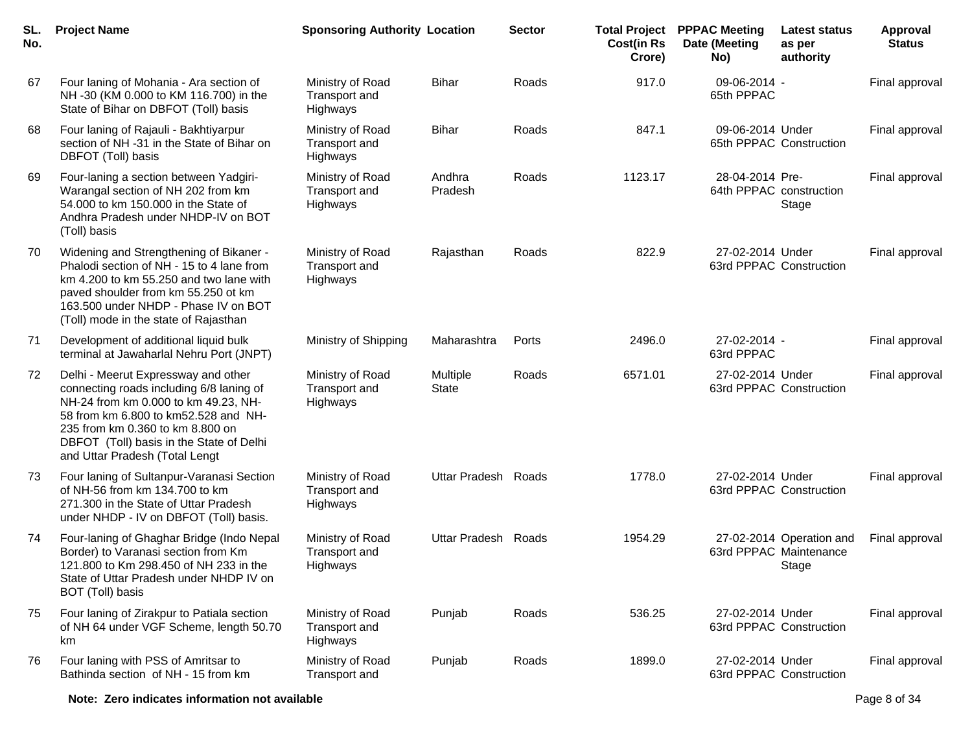| SL.<br>No. | <b>Project Name</b>                                                                                                                                                                                                                                                               | <b>Sponsoring Authority Location</b>                 |                                 | <b>Sector</b> | <b>Cost(in Rs</b><br>Crore) | <b>Total Project PPPAC Meeting</b><br>Date (Meeting<br>No) | <b>Latest status</b><br>as per<br>authority      | <b>Approval</b><br><b>Status</b> |
|------------|-----------------------------------------------------------------------------------------------------------------------------------------------------------------------------------------------------------------------------------------------------------------------------------|------------------------------------------------------|---------------------------------|---------------|-----------------------------|------------------------------------------------------------|--------------------------------------------------|----------------------------------|
| 67         | Four laning of Mohania - Ara section of<br>NH -30 (KM 0.000 to KM 116.700) in the<br>State of Bihar on DBFOT (Toll) basis                                                                                                                                                         | Ministry of Road<br>Transport and<br>Highways        | <b>Bihar</b>                    | Roads         | 917.0                       | 09-06-2014 -<br>65th PPPAC                                 |                                                  | Final approval                   |
| 68         | Four laning of Rajauli - Bakhtiyarpur<br>section of NH -31 in the State of Bihar on<br>DBFOT (Toll) basis                                                                                                                                                                         | Ministry of Road<br>Transport and<br>Highways        | <b>Bihar</b>                    | Roads         | 847.1                       | 09-06-2014 Under<br>65th PPPAC Construction                |                                                  | Final approval                   |
| 69         | Four-laning a section between Yadgiri-<br>Warangal section of NH 202 from km<br>54.000 to km 150.000 in the State of<br>Andhra Pradesh under NHDP-IV on BOT<br>(Toll) basis                                                                                                       | Ministry of Road<br>Transport and<br>Highways        | Andhra<br>Pradesh               | Roads         | 1123.17                     | 28-04-2014 Pre-<br>64th PPPAC construction                 | Stage                                            | Final approval                   |
| 70         | Widening and Strengthening of Bikaner -<br>Phalodi section of NH - 15 to 4 lane from<br>km 4.200 to km 55.250 and two lane with<br>paved shoulder from km 55.250 ot km<br>163.500 under NHDP - Phase IV on BOT<br>(Toll) mode in the state of Rajasthan                           | Ministry of Road<br>Transport and<br>Highways        | Rajasthan                       | Roads         | 822.9                       | 27-02-2014 Under<br>63rd PPPAC Construction                |                                                  | Final approval                   |
| 71         | Development of additional liquid bulk<br>terminal at Jawaharlal Nehru Port (JNPT)                                                                                                                                                                                                 | Ministry of Shipping                                 | Maharashtra                     | Ports         | 2496.0                      | 27-02-2014 -<br>63rd PPPAC                                 |                                                  | Final approval                   |
| 72         | Delhi - Meerut Expressway and other<br>connecting roads including 6/8 laning of<br>NH-24 from km 0.000 to km 49.23, NH-<br>58 from km 6.800 to km52.528 and NH-<br>235 from km 0.360 to km 8.800 on<br>DBFOT (Toll) basis in the State of Delhi<br>and Uttar Pradesh (Total Lengt | Ministry of Road<br>Transport and<br>Highways        | <b>Multiple</b><br><b>State</b> | Roads         | 6571.01                     | 27-02-2014 Under<br>63rd PPPAC Construction                |                                                  | Final approval                   |
| 73         | Four laning of Sultanpur-Varanasi Section<br>of NH-56 from km 134.700 to km<br>271.300 in the State of Uttar Pradesh<br>under NHDP - IV on DBFOT (Toll) basis.                                                                                                                    | Ministry of Road<br><b>Transport and</b><br>Highways | Uttar Pradesh Roads             |               | 1778.0                      | 27-02-2014 Under<br>63rd PPPAC Construction                |                                                  | Final approval                   |
| 74         | Four-laning of Ghaghar Bridge (Indo Nepal<br>Border) to Varanasi section from Km<br>121.800 to Km 298.450 of NH 233 in the<br>State of Uttar Pradesh under NHDP IV on<br>BOT (Toll) basis                                                                                         | Ministry of Road<br>Transport and<br>Highways        | Uttar Pradesh Roads             |               | 1954.29                     | 63rd PPPAC Maintenance                                     | 27-02-2014 Operation and Final approval<br>Stage |                                  |
| 75         | Four laning of Zirakpur to Patiala section<br>of NH 64 under VGF Scheme, length 50.70<br>km                                                                                                                                                                                       | Ministry of Road<br>Transport and<br>Highways        | Punjab                          | Roads         | 536.25                      | 27-02-2014 Under<br>63rd PPPAC Construction                |                                                  | Final approval                   |
| 76         | Four laning with PSS of Amritsar to<br>Bathinda section of NH - 15 from km                                                                                                                                                                                                        | Ministry of Road<br>Transport and                    | Punjab                          | Roads         | 1899.0                      | 27-02-2014 Under<br>63rd PPPAC Construction                |                                                  | Final approval                   |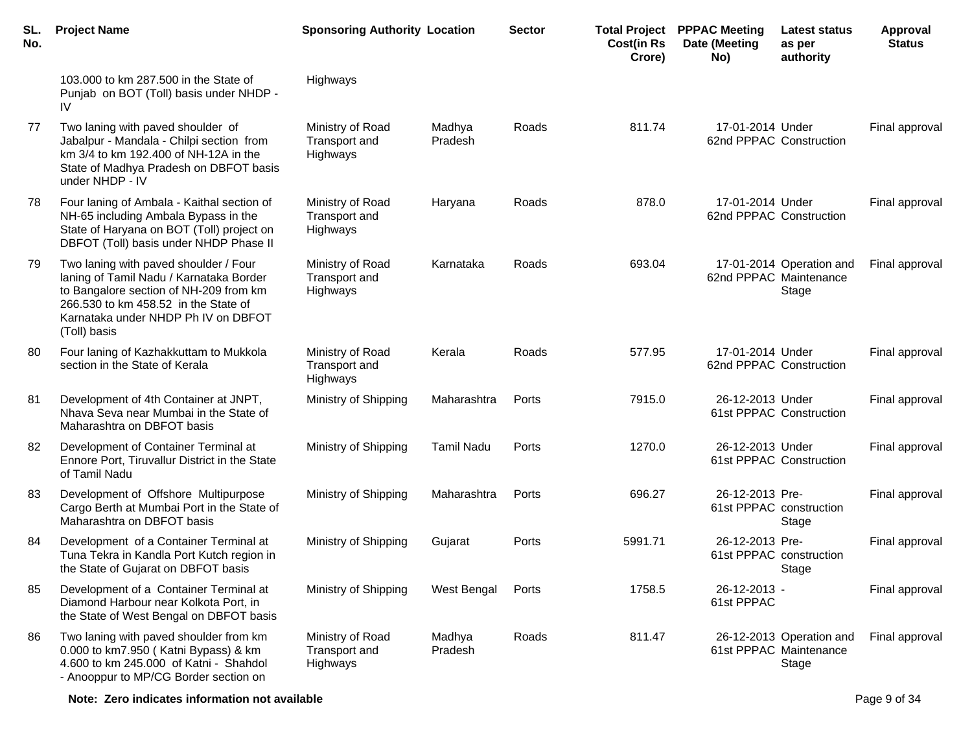| SL.<br>No. | <b>Project Name</b>                                                                                                                                                                                                       | <b>Sponsoring Authority Location</b>          |                   | <b>Sector</b> | <b>Cost(in Rs</b><br>Crore) | <b>Total Project PPPAC Meeting</b><br>Date (Meeting<br>No) | Latest status<br>as per<br>authority                        | <b>Approval</b><br><b>Status</b> |
|------------|---------------------------------------------------------------------------------------------------------------------------------------------------------------------------------------------------------------------------|-----------------------------------------------|-------------------|---------------|-----------------------------|------------------------------------------------------------|-------------------------------------------------------------|----------------------------------|
|            | 103.000 to km 287.500 in the State of<br>Punjab on BOT (Toll) basis under NHDP -<br>IV                                                                                                                                    | Highways                                      |                   |               |                             |                                                            |                                                             |                                  |
| 77         | Two laning with paved shoulder of<br>Jabalpur - Mandala - Chilpi section from<br>km 3/4 to km 192.400 of NH-12A in the<br>State of Madhya Pradesh on DBFOT basis<br>under NHDP - IV                                       | Ministry of Road<br>Transport and<br>Highways | Madhya<br>Pradesh | Roads         | 811.74                      | 17-01-2014 Under<br>62nd PPPAC Construction                |                                                             | Final approval                   |
| 78         | Four laning of Ambala - Kaithal section of<br>NH-65 including Ambala Bypass in the<br>State of Haryana on BOT (Toll) project on<br>DBFOT (Toll) basis under NHDP Phase II                                                 | Ministry of Road<br>Transport and<br>Highways | Haryana           | Roads         | 878.0                       | 17-01-2014 Under<br>62nd PPPAC Construction                |                                                             | Final approval                   |
| 79         | Two laning with paved shoulder / Four<br>laning of Tamil Nadu / Karnataka Border<br>to Bangalore section of NH-209 from km<br>266.530 to km 458.52 in the State of<br>Karnataka under NHDP Ph IV on DBFOT<br>(Toll) basis | Ministry of Road<br>Transport and<br>Highways | Karnataka         | Roads         | 693.04                      |                                                            | 17-01-2014 Operation and<br>62nd PPPAC Maintenance<br>Stage | Final approval                   |
| 80         | Four laning of Kazhakkuttam to Mukkola<br>section in the State of Kerala                                                                                                                                                  | Ministry of Road<br>Transport and<br>Highways | Kerala            | Roads         | 577.95                      | 17-01-2014 Under<br>62nd PPPAC Construction                |                                                             | Final approval                   |
| 81         | Development of 4th Container at JNPT,<br>Nhava Seva near Mumbai in the State of<br>Maharashtra on DBFOT basis                                                                                                             | Ministry of Shipping                          | Maharashtra       | Ports         | 7915.0                      | 26-12-2013 Under                                           | 61st PPPAC Construction                                     | Final approval                   |
| 82         | Development of Container Terminal at<br>Ennore Port, Tiruvallur District in the State<br>of Tamil Nadu                                                                                                                    | Ministry of Shipping                          | <b>Tamil Nadu</b> | Ports         | 1270.0                      | 26-12-2013 Under                                           | 61st PPPAC Construction                                     | Final approval                   |
| 83         | Development of Offshore Multipurpose<br>Cargo Berth at Mumbai Port in the State of<br>Maharashtra on DBFOT basis                                                                                                          | Ministry of Shipping                          | Maharashtra       | Ports         | 696.27                      | 26-12-2013 Pre-                                            | 61st PPPAC construction<br>Stage                            | Final approval                   |
| 84         | Development of a Container Terminal at<br>Tuna Tekra in Kandla Port Kutch region in<br>the State of Gujarat on DBFOT basis                                                                                                | Ministry of Shipping                          | Gujarat           | Ports         | 5991.71                     | 26-12-2013 Pre-                                            | 61st PPPAC construction<br>Stage                            | Final approval                   |
| 85         | Development of a Container Terminal at<br>Diamond Harbour near Kolkota Port, in<br>the State of West Bengal on DBFOT basis                                                                                                | Ministry of Shipping                          | West Bengal       | Ports         | 1758.5                      | 26-12-2013 -<br>61st PPPAC                                 |                                                             | Final approval                   |
| 86         | Two laning with paved shoulder from km<br>0.000 to km7.950 (Katni Bypass) & km<br>4.600 to km 245.000 of Katni - Shahdol<br>- Anooppur to MP/CG Border section on                                                         | Ministry of Road<br>Transport and<br>Highways | Madhya<br>Pradesh | Roads         | 811.47                      |                                                            | 26-12-2013 Operation and<br>61st PPPAC Maintenance<br>Stage | Final approval                   |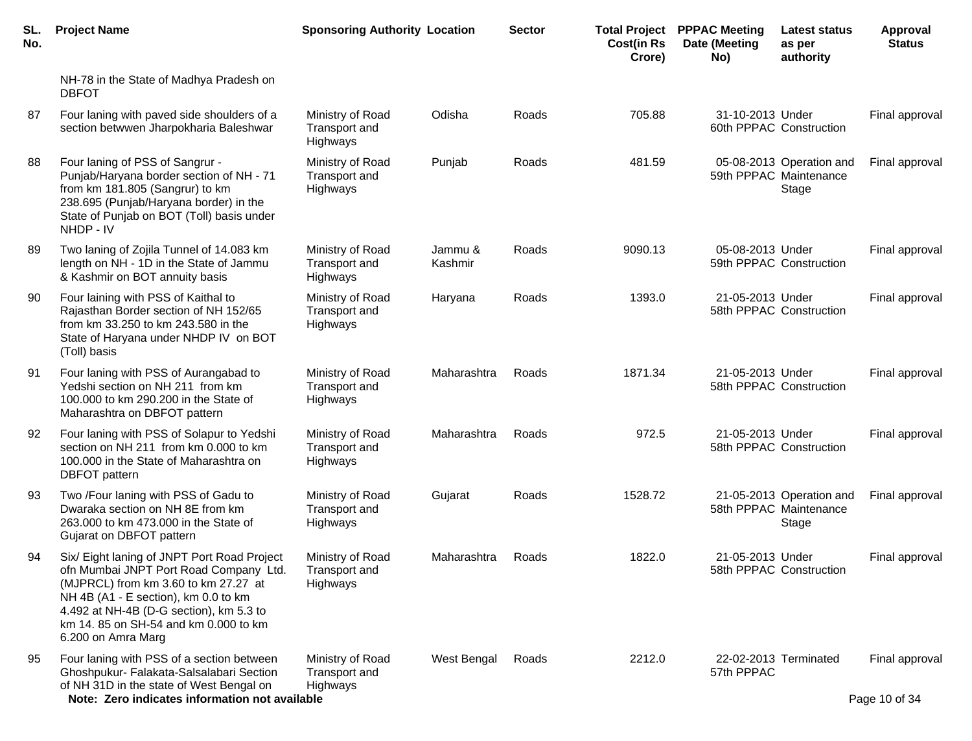| SL.<br>No. | <b>Project Name</b>                                                                                                                                                                                                                                                            | <b>Sponsoring Authority Location</b>                 |                    | <b>Sector</b> | <b>Cost(in Rs</b><br>Crore) | <b>Total Project PPPAC Meeting</b><br>Date (Meeting<br>No) | <b>Latest status</b><br>as per<br>authority                 | <b>Approval</b><br><b>Status</b> |
|------------|--------------------------------------------------------------------------------------------------------------------------------------------------------------------------------------------------------------------------------------------------------------------------------|------------------------------------------------------|--------------------|---------------|-----------------------------|------------------------------------------------------------|-------------------------------------------------------------|----------------------------------|
|            | NH-78 in the State of Madhya Pradesh on<br><b>DBFOT</b>                                                                                                                                                                                                                        |                                                      |                    |               |                             |                                                            |                                                             |                                  |
| 87         | Four laning with paved side shoulders of a<br>section betwwen Jharpokharia Baleshwar                                                                                                                                                                                           | Ministry of Road<br>Transport and<br><b>Highways</b> | Odisha             | Roads         | 705.88                      | 31-10-2013 Under                                           | 60th PPPAC Construction                                     | Final approval                   |
| 88         | Four laning of PSS of Sangrur -<br>Punjab/Haryana border section of NH - 71<br>from km 181.805 (Sangrur) to km<br>238.695 (Punjab/Haryana border) in the<br>State of Punjab on BOT (Toll) basis under<br>NHDP - IV                                                             | Ministry of Road<br>Transport and<br>Highways        | Punjab             | Roads         | 481.59                      |                                                            | 05-08-2013 Operation and<br>59th PPPAC Maintenance<br>Stage | Final approval                   |
| 89         | Two laning of Zojila Tunnel of 14.083 km<br>length on NH - 1D in the State of Jammu<br>& Kashmir on BOT annuity basis                                                                                                                                                          | Ministry of Road<br>Transport and<br>Highways        | Jammu &<br>Kashmir | Roads         | 9090.13                     | 05-08-2013 Under                                           | 59th PPPAC Construction                                     | Final approval                   |
| 90         | Four laining with PSS of Kaithal to<br>Rajasthan Border section of NH 152/65<br>from km 33.250 to km 243.580 in the<br>State of Haryana under NHDP IV on BOT<br>(Toll) basis                                                                                                   | Ministry of Road<br>Transport and<br>Highways        | Haryana            | Roads         | 1393.0                      | 21-05-2013 Under                                           | 58th PPPAC Construction                                     | Final approval                   |
| 91         | Four laning with PSS of Aurangabad to<br>Yedshi section on NH 211 from km<br>100.000 to km 290.200 in the State of<br>Maharashtra on DBFOT pattern                                                                                                                             | Ministry of Road<br>Transport and<br>Highways        | Maharashtra        | Roads         | 1871.34                     | 21-05-2013 Under                                           | 58th PPPAC Construction                                     | Final approval                   |
| 92         | Four laning with PSS of Solapur to Yedshi<br>section on NH 211 from km 0.000 to km<br>100.000 in the State of Maharashtra on<br><b>DBFOT</b> pattern                                                                                                                           | Ministry of Road<br>Transport and<br>Highways        | Maharashtra        | Roads         | 972.5                       | 21-05-2013 Under                                           | 58th PPPAC Construction                                     | Final approval                   |
| 93         | Two /Four laning with PSS of Gadu to<br>Dwaraka section on NH 8E from km<br>263.000 to km 473.000 in the State of<br>Gujarat on DBFOT pattern                                                                                                                                  | Ministry of Road<br>Transport and<br>Highways        | Gujarat            | Roads         | 1528.72                     |                                                            | 21-05-2013 Operation and<br>58th PPPAC Maintenance<br>Stage | Final approval                   |
| 94         | Six/ Eight laning of JNPT Port Road Project<br>ofn Mumbai JNPT Port Road Company Ltd.<br>(MJPRCL) from km 3.60 to km 27.27 at<br>NH 4B (A1 - E section), km 0.0 to km<br>4.492 at NH-4B (D-G section), km 5.3 to<br>km 14.85 on SH-54 and km 0.000 to km<br>6.200 on Amra Marg | Ministry of Road<br>Transport and<br>Highways        | Maharashtra        | Roads         | 1822.0                      | 21-05-2013 Under                                           | 58th PPPAC Construction                                     | Final approval                   |
| 95         | Four laning with PSS of a section between<br>Ghoshpukur- Falakata-Salsalabari Section<br>of NH 31D in the state of West Bengal on<br>Note: Zero indicates information not available                                                                                            | Ministry of Road<br>Transport and<br>Highways        | West Bengal        | Roads         | 2212.0                      | 57th PPPAC                                                 | 22-02-2013 Terminated                                       | Final approval<br>Page 10 of 34  |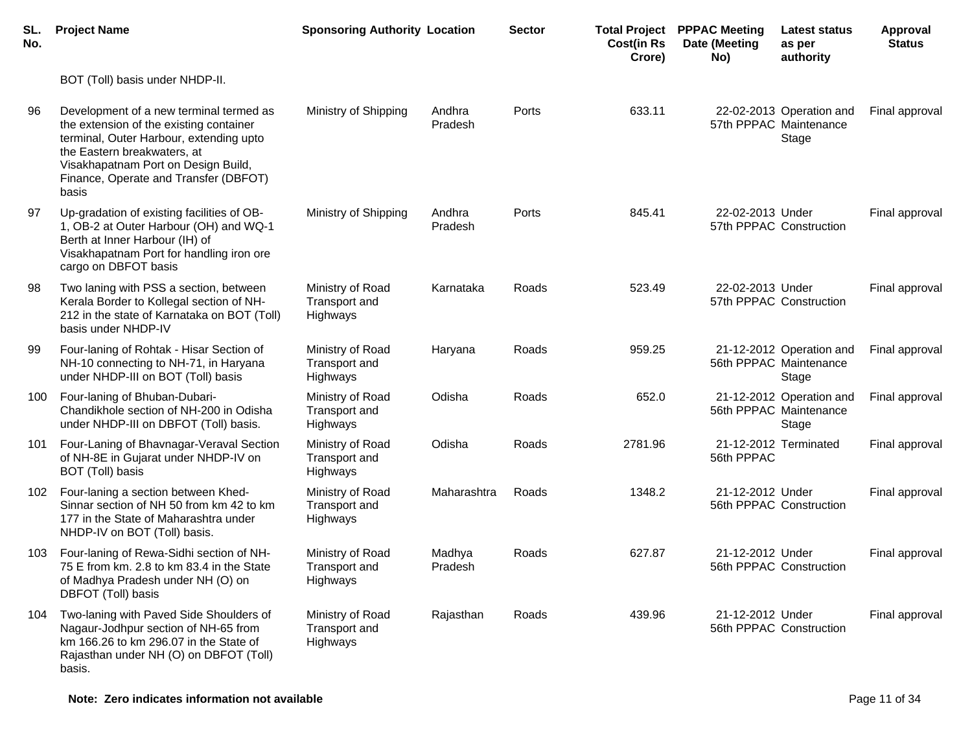| SL.<br>No. | <b>Project Name</b>                                                                                                                                                                                                                                   | <b>Sponsoring Authority Location</b>                 |                   | <b>Sector</b> | <b>Cost(in Rs</b><br>Crore) | <b>Total Project PPPAC Meeting</b><br>Date (Meeting<br>No) | Latest status<br>as per<br>authority                        | <b>Approval</b><br><b>Status</b> |
|------------|-------------------------------------------------------------------------------------------------------------------------------------------------------------------------------------------------------------------------------------------------------|------------------------------------------------------|-------------------|---------------|-----------------------------|------------------------------------------------------------|-------------------------------------------------------------|----------------------------------|
|            | BOT (Toll) basis under NHDP-II.                                                                                                                                                                                                                       |                                                      |                   |               |                             |                                                            |                                                             |                                  |
| 96         | Development of a new terminal termed as<br>the extension of the existing container<br>terminal, Outer Harbour, extending upto<br>the Eastern breakwaters, at<br>Visakhapatnam Port on Design Build,<br>Finance, Operate and Transfer (DBFOT)<br>basis | Ministry of Shipping                                 | Andhra<br>Pradesh | Ports         | 633.11                      |                                                            | 22-02-2013 Operation and<br>57th PPPAC Maintenance<br>Stage | Final approval                   |
| 97         | Up-gradation of existing facilities of OB-<br>1, OB-2 at Outer Harbour (OH) and WQ-1<br>Berth at Inner Harbour (IH) of<br>Visakhapatnam Port for handling iron ore<br>cargo on DBFOT basis                                                            | Ministry of Shipping                                 | Andhra<br>Pradesh | Ports         | 845.41                      | 22-02-2013 Under                                           | 57th PPPAC Construction                                     | Final approval                   |
| 98         | Two laning with PSS a section, between<br>Kerala Border to Kollegal section of NH-<br>212 in the state of Karnataka on BOT (Toll)<br>basis under NHDP-IV                                                                                              | Ministry of Road<br>Transport and<br>Highways        | Karnataka         | Roads         | 523.49                      | 22-02-2013 Under                                           | 57th PPPAC Construction                                     | Final approval                   |
| 99         | Four-laning of Rohtak - Hisar Section of<br>NH-10 connecting to NH-71, in Haryana<br>under NHDP-III on BOT (Toll) basis                                                                                                                               | Ministry of Road<br><b>Transport and</b><br>Highways | Haryana           | Roads         | 959.25                      |                                                            | 21-12-2012 Operation and<br>56th PPPAC Maintenance<br>Stage | Final approval                   |
| 100        | Four-laning of Bhuban-Dubari-<br>Chandikhole section of NH-200 in Odisha<br>under NHDP-III on DBFOT (Toll) basis.                                                                                                                                     | Ministry of Road<br>Transport and<br>Highways        | Odisha            | Roads         | 652.0                       |                                                            | 21-12-2012 Operation and<br>56th PPPAC Maintenance<br>Stage | Final approval                   |
| 101        | Four-Laning of Bhavnagar-Veraval Section<br>of NH-8E in Gujarat under NHDP-IV on<br>BOT (Toll) basis                                                                                                                                                  | Ministry of Road<br>Transport and<br>Highways        | Odisha            | Roads         | 2781.96                     | 56th PPPAC                                                 | 21-12-2012 Terminated                                       | Final approval                   |
| 102        | Four-laning a section between Khed-<br>Sinnar section of NH 50 from km 42 to km<br>177 in the State of Maharashtra under<br>NHDP-IV on BOT (Toll) basis.                                                                                              | Ministry of Road<br>Transport and<br>Highways        | Maharashtra       | Roads         | 1348.2                      | 21-12-2012 Under                                           | 56th PPPAC Construction                                     | Final approval                   |
| 103        | Four-laning of Rewa-Sidhi section of NH-<br>75 E from km. 2.8 to km 83.4 in the State<br>of Madhya Pradesh under NH (O) on<br>DBFOT (Toll) basis                                                                                                      | Ministry of Road<br>Transport and<br>Highways        | Madhya<br>Pradesh | Roads         | 627.87                      | 21-12-2012 Under                                           | 56th PPPAC Construction                                     | Final approval                   |
| 104        | Two-laning with Paved Side Shoulders of<br>Nagaur-Jodhpur section of NH-65 from<br>km 166.26 to km 296.07 in the State of<br>Rajasthan under NH (O) on DBFOT (Toll)<br>basis.                                                                         | Ministry of Road<br>Transport and<br>Highways        | Rajasthan         | Roads         | 439.96                      | 21-12-2012 Under                                           | 56th PPPAC Construction                                     | Final approval                   |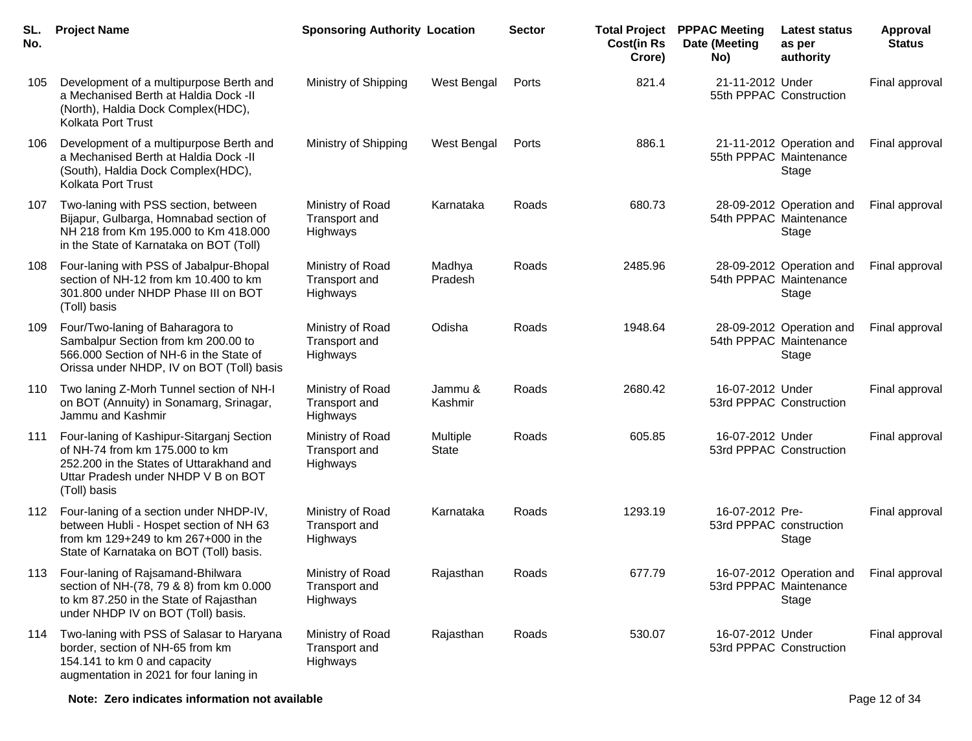| SL.<br>No. | <b>Project Name</b>                                                                                                                                                            | <b>Sponsoring Authority Location</b>          |                          | <b>Sector</b> | <b>Cost(in Rs</b><br>Crore) | <b>Total Project PPPAC Meeting</b><br>Date (Meeting<br>No) | <b>Latest status</b><br>as per<br>authority                 | <b>Approval</b><br><b>Status</b> |
|------------|--------------------------------------------------------------------------------------------------------------------------------------------------------------------------------|-----------------------------------------------|--------------------------|---------------|-----------------------------|------------------------------------------------------------|-------------------------------------------------------------|----------------------------------|
| 105        | Development of a multipurpose Berth and<br>a Mechanised Berth at Haldia Dock -II<br>(North), Haldia Dock Complex(HDC),<br>Kolkata Port Trust                                   | Ministry of Shipping                          | West Bengal              | Ports         | 821.4                       | 21-11-2012 Under                                           | 55th PPPAC Construction                                     | Final approval                   |
| 106        | Development of a multipurpose Berth and<br>a Mechanised Berth at Haldia Dock -II<br>(South), Haldia Dock Complex(HDC),<br>Kolkata Port Trust                                   | Ministry of Shipping                          | West Bengal              | Ports         | 886.1                       |                                                            | 21-11-2012 Operation and<br>55th PPPAC Maintenance<br>Stage | Final approval                   |
| 107        | Two-laning with PSS section, between<br>Bijapur, Gulbarga, Homnabad section of<br>NH 218 from Km 195.000 to Km 418.000<br>in the State of Karnataka on BOT (Toll)              | Ministry of Road<br>Transport and<br>Highways | Karnataka                | Roads         | 680.73                      |                                                            | 28-09-2012 Operation and<br>54th PPPAC Maintenance<br>Stage | Final approval                   |
| 108        | Four-laning with PSS of Jabalpur-Bhopal<br>section of NH-12 from km 10.400 to km<br>301.800 under NHDP Phase III on BOT<br>(Toll) basis                                        | Ministry of Road<br>Transport and<br>Highways | Madhya<br>Pradesh        | Roads         | 2485.96                     |                                                            | 28-09-2012 Operation and<br>54th PPPAC Maintenance<br>Stage | Final approval                   |
| 109        | Four/Two-laning of Baharagora to<br>Sambalpur Section from km 200.00 to<br>566.000 Section of NH-6 in the State of<br>Orissa under NHDP, IV on BOT (Toll) basis                | Ministry of Road<br>Transport and<br>Highways | Odisha                   | Roads         | 1948.64                     |                                                            | 28-09-2012 Operation and<br>54th PPPAC Maintenance<br>Stage | Final approval                   |
| 110        | Two laning Z-Morh Tunnel section of NH-I<br>on BOT (Annuity) in Sonamarg, Srinagar,<br>Jammu and Kashmir                                                                       | Ministry of Road<br>Transport and<br>Highways | Jammu &<br>Kashmir       | Roads         | 2680.42                     | 16-07-2012 Under                                           | 53rd PPPAC Construction                                     | Final approval                   |
| 111        | Four-laning of Kashipur-Sitarganj Section<br>of NH-74 from km 175.000 to km<br>252.200 in the States of Uttarakhand and<br>Uttar Pradesh under NHDP V B on BOT<br>(Toll) basis | Ministry of Road<br>Transport and<br>Highways | Multiple<br><b>State</b> | Roads         | 605.85                      | 16-07-2012 Under                                           | 53rd PPPAC Construction                                     | Final approval                   |
| 112        | Four-laning of a section under NHDP-IV,<br>between Hubli - Hospet section of NH 63<br>from km 129+249 to km 267+000 in the<br>State of Karnataka on BOT (Toll) basis.          | Ministry of Road<br>Transport and<br>Highways | Karnataka                | Roads         | 1293.19                     | 16-07-2012 Pre-<br>53rd PPPAC construction                 | Stage                                                       | Final approval                   |
| 113        | Four-laning of Rajsamand-Bhilwara<br>section of NH-(78, 79 & 8) from km 0.000<br>to km 87.250 in the State of Rajasthan<br>under NHDP IV on BOT (Toll) basis.                  | Ministry of Road<br>Transport and<br>Highways | Rajasthan                | Roads         | 677.79                      |                                                            | 16-07-2012 Operation and<br>53rd PPPAC Maintenance<br>Stage | Final approval                   |
| 114        | Two-laning with PSS of Salasar to Haryana<br>border, section of NH-65 from km<br>154.141 to km 0 and capacity<br>augmentation in 2021 for four laning in                       | Ministry of Road<br>Transport and<br>Highways | Rajasthan                | Roads         | 530.07                      | 16-07-2012 Under                                           | 53rd PPPAC Construction                                     | Final approval                   |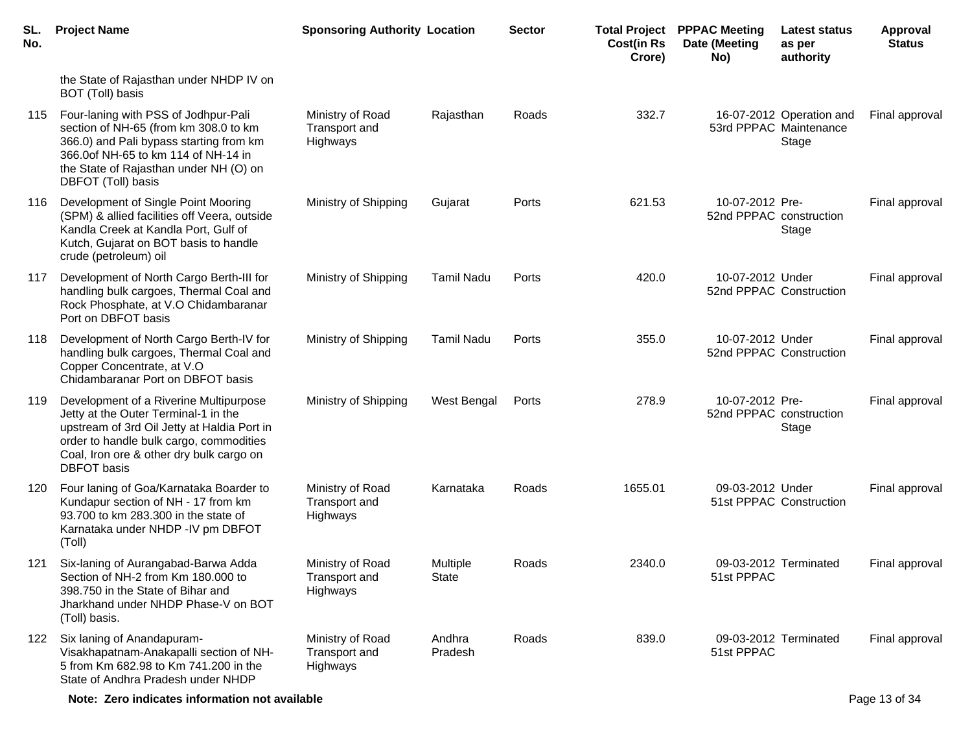| SL.<br>No. | <b>Project Name</b>                                                                                                                                                                                                                        | <b>Sponsoring Authority Location</b>                 |                          | <b>Sector</b> | <b>Cost(in Rs</b><br>Crore) | <b>Total Project PPPAC Meeting</b><br>Date (Meeting<br>No) | <b>Latest status</b><br>as per<br>authority                 | Approval<br><b>Status</b> |
|------------|--------------------------------------------------------------------------------------------------------------------------------------------------------------------------------------------------------------------------------------------|------------------------------------------------------|--------------------------|---------------|-----------------------------|------------------------------------------------------------|-------------------------------------------------------------|---------------------------|
|            | the State of Rajasthan under NHDP IV on<br>BOT (Toll) basis                                                                                                                                                                                |                                                      |                          |               |                             |                                                            |                                                             |                           |
| 115        | Four-laning with PSS of Jodhpur-Pali<br>section of NH-65 (from km 308.0 to km<br>366.0) and Pali bypass starting from km<br>366.0of NH-65 to km 114 of NH-14 in<br>the State of Rajasthan under NH (O) on<br>DBFOT (Toll) basis            | Ministry of Road<br>Transport and<br>Highways        | Rajasthan                | Roads         | 332.7                       |                                                            | 16-07-2012 Operation and<br>53rd PPPAC Maintenance<br>Stage | Final approval            |
| 116        | Development of Single Point Mooring<br>(SPM) & allied facilities off Veera, outside<br>Kandla Creek at Kandla Port, Gulf of<br>Kutch, Gujarat on BOT basis to handle<br>crude (petroleum) oil                                              | Ministry of Shipping                                 | Gujarat                  | Ports         | 621.53                      | 10-07-2012 Pre-<br>52nd PPPAC construction                 | Stage                                                       | Final approval            |
| 117        | Development of North Cargo Berth-III for<br>handling bulk cargoes, Thermal Coal and<br>Rock Phosphate, at V.O Chidambaranar<br>Port on DBFOT basis                                                                                         | Ministry of Shipping                                 | <b>Tamil Nadu</b>        | Ports         | 420.0                       | 10-07-2012 Under                                           | 52nd PPPAC Construction                                     | Final approval            |
| 118        | Development of North Cargo Berth-IV for<br>handling bulk cargoes, Thermal Coal and<br>Copper Concentrate, at V.O<br>Chidambaranar Port on DBFOT basis                                                                                      | Ministry of Shipping                                 | <b>Tamil Nadu</b>        | Ports         | 355.0                       | 10-07-2012 Under                                           | 52nd PPPAC Construction                                     | Final approval            |
| 119        | Development of a Riverine Multipurpose<br>Jetty at the Outer Terminal-1 in the<br>upstream of 3rd Oil Jetty at Haldia Port in<br>order to handle bulk cargo, commodities<br>Coal, Iron ore & other dry bulk cargo on<br><b>DBFOT</b> basis | Ministry of Shipping                                 | West Bengal              | Ports         | 278.9                       | 10-07-2012 Pre-<br>52nd PPPAC construction                 | Stage                                                       | Final approval            |
| 120        | Four laning of Goa/Karnataka Boarder to<br>Kundapur section of NH - 17 from km<br>93.700 to km 283.300 in the state of<br>Karnataka under NHDP -IV pm DBFOT<br>(Toll)                                                                      | Ministry of Road<br>Transport and<br>Highways        | Karnataka                | Roads         | 1655.01                     | 09-03-2012 Under                                           | 51st PPPAC Construction                                     | Final approval            |
| 121        | Six-laning of Aurangabad-Barwa Adda<br>Section of NH-2 from Km 180.000 to<br>398.750 in the State of Bihar and<br>Jharkhand under NHDP Phase-V on BOT<br>(Toll) basis.                                                                     | Ministry of Road<br><b>Transport and</b><br>Highways | Multiple<br><b>State</b> | Roads         | 2340.0                      | 51st PPPAC                                                 | 09-03-2012 Terminated                                       | Final approval            |
| 122        | Six laning of Anandapuram-<br>Visakhapatnam-Anakapalli section of NH-<br>5 from Km 682.98 to Km 741.200 in the<br>State of Andhra Pradesh under NHDP                                                                                       | Ministry of Road<br>Transport and<br>Highways        | Andhra<br>Pradesh        | Roads         | 839.0                       | 51st PPPAC                                                 | 09-03-2012 Terminated                                       | Final approval            |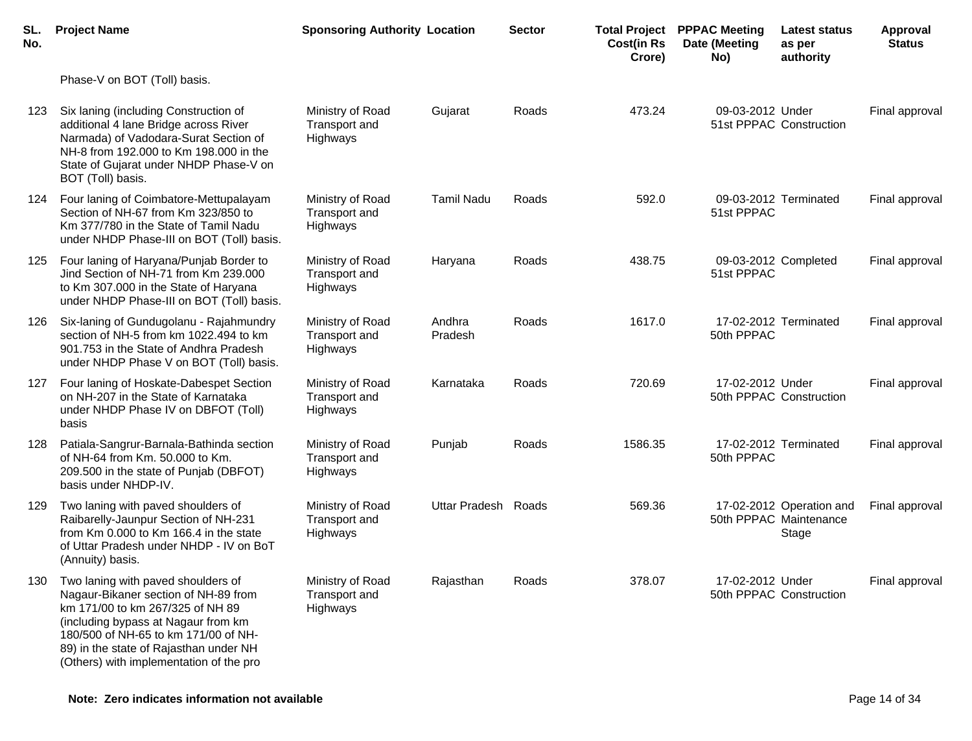| SL.<br>No. | <b>Project Name</b>                                                                                                                                                                                                                                                                | <b>Sponsoring Authority Location</b>                 |                     | <b>Sector</b> | <b>Cost(in Rs</b><br>Crore) | <b>Total Project PPPAC Meeting</b><br>Date (Meeting<br>No) | Latest status<br>as per<br>authority                        | Approval<br><b>Status</b> |
|------------|------------------------------------------------------------------------------------------------------------------------------------------------------------------------------------------------------------------------------------------------------------------------------------|------------------------------------------------------|---------------------|---------------|-----------------------------|------------------------------------------------------------|-------------------------------------------------------------|---------------------------|
|            | Phase-V on BOT (Toll) basis.                                                                                                                                                                                                                                                       |                                                      |                     |               |                             |                                                            |                                                             |                           |
| 123        | Six laning (including Construction of<br>additional 4 lane Bridge across River<br>Narmada) of Vadodara-Surat Section of<br>NH-8 from 192.000 to Km 198.000 in the<br>State of Gujarat under NHDP Phase-V on<br>BOT (Toll) basis.                                                   | Ministry of Road<br>Transport and<br>Highways        | Gujarat             | Roads         | 473.24                      | 09-03-2012 Under                                           | 51st PPPAC Construction                                     | Final approval            |
| 124        | Four laning of Coimbatore-Mettupalayam<br>Section of NH-67 from Km 323/850 to<br>Km 377/780 in the State of Tamil Nadu<br>under NHDP Phase-III on BOT (Toll) basis.                                                                                                                | Ministry of Road<br><b>Transport and</b><br>Highways | <b>Tamil Nadu</b>   | Roads         | 592.0                       | 51st PPPAC                                                 | 09-03-2012 Terminated                                       | Final approval            |
| 125        | Four laning of Haryana/Punjab Border to<br>Jind Section of NH-71 from Km 239.000<br>to Km 307.000 in the State of Haryana<br>under NHDP Phase-III on BOT (Toll) basis.                                                                                                             | Ministry of Road<br>Transport and<br>Highways        | Haryana             | Roads         | 438.75                      | 51st PPPAC                                                 | 09-03-2012 Completed                                        | Final approval            |
| 126        | Six-laning of Gundugolanu - Rajahmundry<br>section of NH-5 from km 1022.494 to km<br>901.753 in the State of Andhra Pradesh<br>under NHDP Phase V on BOT (Toll) basis.                                                                                                             | Ministry of Road<br>Transport and<br>Highways        | Andhra<br>Pradesh   | Roads         | 1617.0                      | 50th PPPAC                                                 | 17-02-2012 Terminated                                       | Final approval            |
| 127        | Four laning of Hoskate-Dabespet Section<br>on NH-207 in the State of Karnataka<br>under NHDP Phase IV on DBFOT (Toll)<br>basis                                                                                                                                                     | Ministry of Road<br><b>Transport and</b><br>Highways | Karnataka           | Roads         | 720.69                      | 17-02-2012 Under                                           | 50th PPPAC Construction                                     | Final approval            |
| 128        | Patiala-Sangrur-Barnala-Bathinda section<br>of NH-64 from Km. 50.000 to Km.<br>209.500 in the state of Punjab (DBFOT)<br>basis under NHDP-IV.                                                                                                                                      | Ministry of Road<br>Transport and<br>Highways        | Punjab              | Roads         | 1586.35                     | 50th PPPAC                                                 | 17-02-2012 Terminated                                       | Final approval            |
| 129        | Two laning with paved shoulders of<br>Raibarelly-Jaunpur Section of NH-231<br>from Km 0.000 to Km 166.4 in the state<br>of Uttar Pradesh under NHDP - IV on BoT<br>(Annuity) basis.                                                                                                | Ministry of Road<br>Transport and<br>Highways        | Uttar Pradesh Roads |               | 569.36                      |                                                            | 17-02-2012 Operation and<br>50th PPPAC Maintenance<br>Stage | Final approval            |
| 130        | Two laning with paved shoulders of<br>Nagaur-Bikaner section of NH-89 from<br>km 171/00 to km 267/325 of NH 89<br>(including bypass at Nagaur from km<br>180/500 of NH-65 to km 171/00 of NH-<br>89) in the state of Rajasthan under NH<br>(Others) with implementation of the pro | Ministry of Road<br>Transport and<br>Highways        | Rajasthan           | Roads         | 378.07                      | 17-02-2012 Under                                           | 50th PPPAC Construction                                     | Final approval            |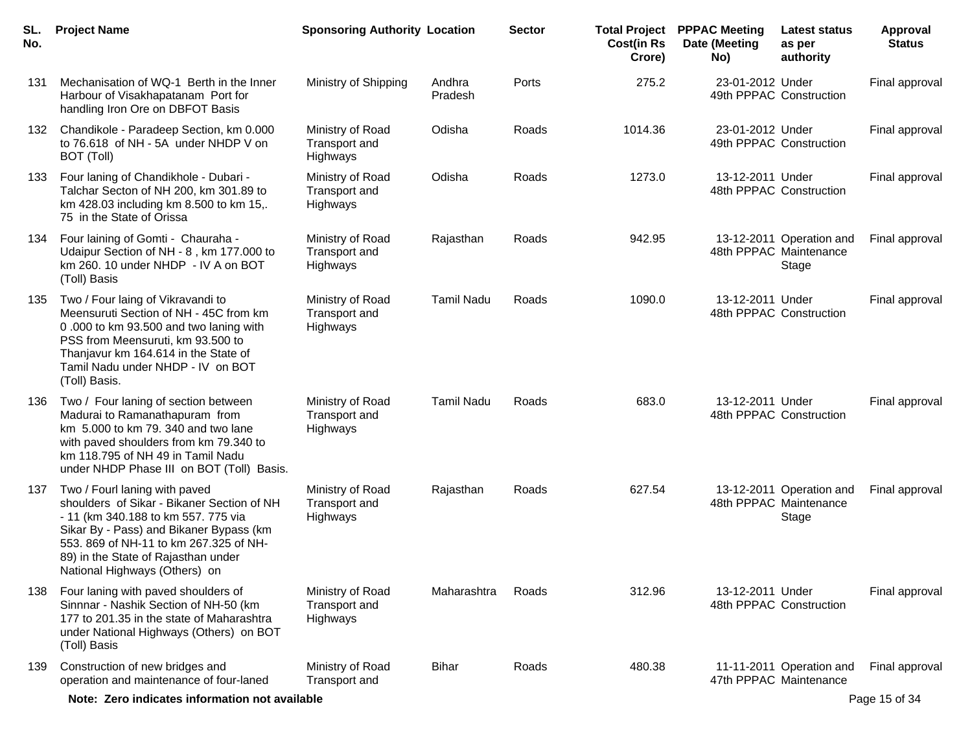| SL.<br>No. | <b>Project Name</b>                                                                                                                                                                                                                                                             | <b>Sponsoring Authority Location</b>          |                   | <b>Sector</b> | <b>Cost(in Rs</b><br>Crore) | <b>Total Project PPPAC Meeting</b><br>Date (Meeting<br>No) | Latest status<br>as per<br>authority                        | Approval<br><b>Status</b> |
|------------|---------------------------------------------------------------------------------------------------------------------------------------------------------------------------------------------------------------------------------------------------------------------------------|-----------------------------------------------|-------------------|---------------|-----------------------------|------------------------------------------------------------|-------------------------------------------------------------|---------------------------|
| 131        | Mechanisation of WQ-1 Berth in the Inner<br>Harbour of Visakhapatanam Port for<br>handling Iron Ore on DBFOT Basis                                                                                                                                                              | Ministry of Shipping                          | Andhra<br>Pradesh | Ports         | 275.2                       | 23-01-2012 Under                                           | 49th PPPAC Construction                                     | Final approval            |
| 132        | Chandikole - Paradeep Section, km 0.000<br>to 76.618 of NH - 5A under NHDP V on<br>BOT (Toll)                                                                                                                                                                                   | Ministry of Road<br>Transport and<br>Highways | Odisha            | Roads         | 1014.36                     | 23-01-2012 Under                                           | 49th PPPAC Construction                                     | Final approval            |
| 133        | Four laning of Chandikhole - Dubari -<br>Talchar Secton of NH 200, km 301.89 to<br>km 428.03 including km 8.500 to km 15,.<br>75 in the State of Orissa                                                                                                                         | Ministry of Road<br>Transport and<br>Highways | Odisha            | Roads         | 1273.0                      | 13-12-2011 Under                                           | 48th PPPAC Construction                                     | Final approval            |
| 134        | Four laining of Gomti - Chauraha -<br>Udaipur Section of NH - 8, km 177.000 to<br>km 260. 10 under NHDP - IV A on BOT<br>(Toll) Basis                                                                                                                                           | Ministry of Road<br>Transport and<br>Highways | Rajasthan         | Roads         | 942.95                      |                                                            | 13-12-2011 Operation and<br>48th PPPAC Maintenance<br>Stage | Final approval            |
| 135        | Two / Four laing of Vikravandi to<br>Meensuruti Section of NH - 45C from km<br>0.000 to km 93.500 and two laning with<br>PSS from Meensuruti, km 93.500 to<br>Thanjavur km 164.614 in the State of<br>Tamil Nadu under NHDP - IV on BOT<br>(Toll) Basis.                        | Ministry of Road<br>Transport and<br>Highways | <b>Tamil Nadu</b> | Roads         | 1090.0                      | 13-12-2011 Under                                           | 48th PPPAC Construction                                     | Final approval            |
| 136        | Two / Four laning of section between<br>Madurai to Ramanathapuram from<br>km 5.000 to km 79.340 and two lane<br>with paved shoulders from km 79.340 to<br>km 118.795 of NH 49 in Tamil Nadu<br>under NHDP Phase III on BOT (Toll) Basis.                                        | Ministry of Road<br>Transport and<br>Highways | <b>Tamil Nadu</b> | Roads         | 683.0                       | 13-12-2011 Under                                           | 48th PPPAC Construction                                     | Final approval            |
| 137        | Two / Fourl laning with paved<br>shoulders of Sikar - Bikaner Section of NH<br>- 11 (km 340.188 to km 557. 775 via<br>Sikar By - Pass) and Bikaner Bypass (km<br>553. 869 of NH-11 to km 267.325 of NH-<br>89) in the State of Rajasthan under<br>National Highways (Others) on | Ministry of Road<br>Transport and<br>Highways | Rajasthan         | Roads         | 627.54                      |                                                            | 13-12-2011 Operation and<br>48th PPPAC Maintenance<br>Stage | Final approval            |
| 138        | Four laning with paved shoulders of<br>Sinnnar - Nashik Section of NH-50 (km<br>177 to 201.35 in the state of Maharashtra<br>under National Highways (Others) on BOT<br>(Toll) Basis                                                                                            | Ministry of Road<br>Transport and<br>Highways | Maharashtra       | Roads         | 312.96                      | 13-12-2011 Under                                           | 48th PPPAC Construction                                     | Final approval            |
| 139        | Construction of new bridges and<br>operation and maintenance of four-laned                                                                                                                                                                                                      | Ministry of Road<br>Transport and             | <b>Bihar</b>      | Roads         | 480.38                      |                                                            | 11-11-2011 Operation and<br>47th PPPAC Maintenance          | Final approval            |
|            | Note: Zero indicates information not available                                                                                                                                                                                                                                  |                                               |                   |               |                             |                                                            |                                                             | Page 15 of 34             |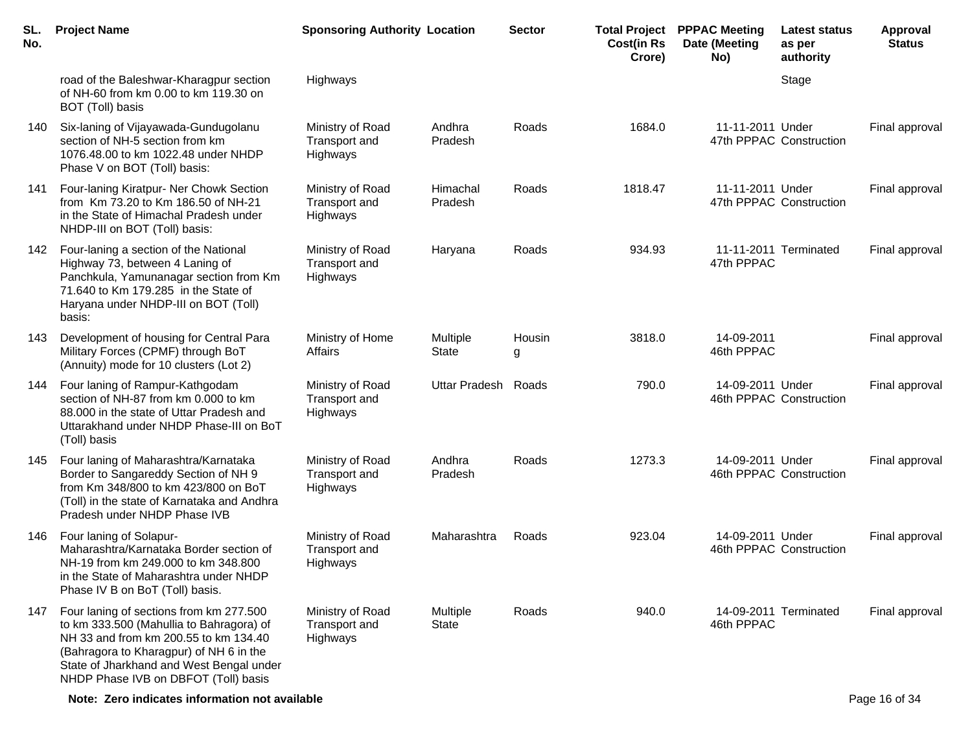| SL.<br>No. | <b>Project Name</b>                                                                                                                                                                                                                                         | <b>Sponsoring Authority Location</b>          |                          | <b>Sector</b> | <b>Total Project</b><br><b>Cost(in Rs</b><br>Crore) | <b>PPPAC Meeting</b><br>Date (Meeting<br>No) | <b>Latest status</b><br>as per<br>authority | <b>Approval</b><br><b>Status</b> |
|------------|-------------------------------------------------------------------------------------------------------------------------------------------------------------------------------------------------------------------------------------------------------------|-----------------------------------------------|--------------------------|---------------|-----------------------------------------------------|----------------------------------------------|---------------------------------------------|----------------------------------|
|            | road of the Baleshwar-Kharagpur section<br>of NH-60 from km 0.00 to km 119.30 on<br>BOT (Toll) basis                                                                                                                                                        | Highways                                      |                          |               |                                                     |                                              | Stage                                       |                                  |
| 140        | Six-laning of Vijayawada-Gundugolanu<br>section of NH-5 section from km<br>1076.48.00 to km 1022.48 under NHDP<br>Phase V on BOT (Toll) basis:                                                                                                              | Ministry of Road<br>Transport and<br>Highways | Andhra<br>Pradesh        | Roads         | 1684.0                                              | 11-11-2011 Under                             | 47th PPPAC Construction                     | Final approval                   |
| 141        | Four-laning Kiratpur- Ner Chowk Section<br>from Km 73.20 to Km 186.50 of NH-21<br>in the State of Himachal Pradesh under<br>NHDP-III on BOT (Toll) basis:                                                                                                   | Ministry of Road<br>Transport and<br>Highways | Himachal<br>Pradesh      | Roads         | 1818.47                                             | 11-11-2011 Under                             | 47th PPPAC Construction                     | Final approval                   |
| 142        | Four-laning a section of the National<br>Highway 73, between 4 Laning of<br>Panchkula, Yamunanagar section from Km<br>71.640 to Km 179.285 in the State of<br>Haryana under NHDP-III on BOT (Toll)<br>basis:                                                | Ministry of Road<br>Transport and<br>Highways | Haryana                  | Roads         | 934.93                                              | 47th PPPAC                                   | 11-11-2011 Terminated                       | Final approval                   |
| 143        | Development of housing for Central Para<br>Military Forces (CPMF) through BoT<br>(Annuity) mode for 10 clusters (Lot 2)                                                                                                                                     | Ministry of Home<br>Affairs                   | Multiple<br><b>State</b> | Housin<br>g   | 3818.0                                              | 14-09-2011<br>46th PPPAC                     |                                             | Final approval                   |
| 144        | Four laning of Rampur-Kathgodam<br>section of NH-87 from km 0.000 to km<br>88.000 in the state of Uttar Pradesh and<br>Uttarakhand under NHDP Phase-III on BoT<br>(Toll) basis                                                                              | Ministry of Road<br>Transport and<br>Highways | <b>Uttar Pradesh</b>     | Roads         | 790.0                                               | 14-09-2011 Under                             | 46th PPPAC Construction                     | Final approval                   |
| 145        | Four laning of Maharashtra/Karnataka<br>Border to Sangareddy Section of NH 9<br>from Km 348/800 to km 423/800 on BoT<br>(Toll) in the state of Karnataka and Andhra<br>Pradesh under NHDP Phase IVB                                                         | Ministry of Road<br>Transport and<br>Highways | Andhra<br>Pradesh        | Roads         | 1273.3                                              | 14-09-2011 Under                             | 46th PPPAC Construction                     | Final approval                   |
| 146        | Four laning of Solapur-<br>Maharashtra/Karnataka Border section of<br>NH-19 from km 249.000 to km 348.800<br>in the State of Maharashtra under NHDP<br>Phase IV B on BoT (Toll) basis.                                                                      | Ministry of Road<br>Transport and<br>Highways | Maharashtra              | Roads         | 923.04                                              | 14-09-2011 Under                             | 46th PPPAC Construction                     | Final approval                   |
| 147        | Four laning of sections from km 277.500<br>to km 333.500 (Mahullia to Bahragora) of<br>NH 33 and from km 200.55 to km 134.40<br>(Bahragora to Kharagpur) of NH 6 in the<br>State of Jharkhand and West Bengal under<br>NHDP Phase IVB on DBFOT (Toll) basis | Ministry of Road<br>Transport and<br>Highways | Multiple<br><b>State</b> | Roads         | 940.0                                               | 46th PPPAC                                   | 14-09-2011 Terminated                       | Final approval                   |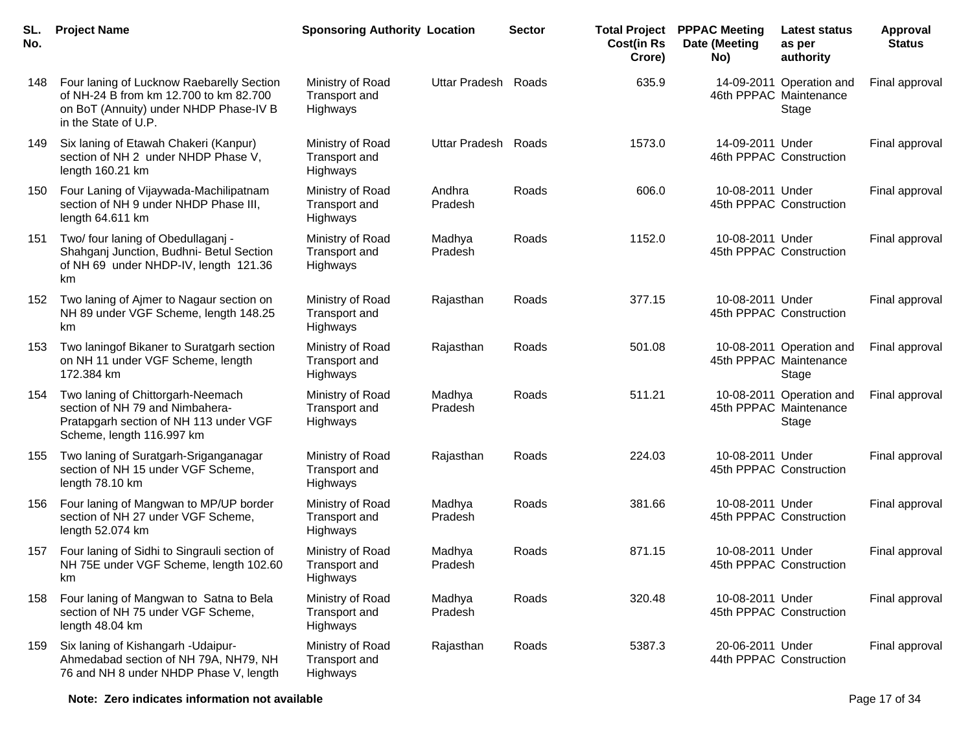| SL.<br>No. | <b>Project Name</b>                                                                                                                                   | <b>Sponsoring Authority Location</b>                 |                   | <b>Sector</b> | <b>Total Project</b><br><b>Cost(in Rs</b><br>Crore) | <b>PPPAC Meeting</b><br>Date (Meeting<br>No) | <b>Latest status</b><br>as per<br>authority                 | Approval<br><b>Status</b> |
|------------|-------------------------------------------------------------------------------------------------------------------------------------------------------|------------------------------------------------------|-------------------|---------------|-----------------------------------------------------|----------------------------------------------|-------------------------------------------------------------|---------------------------|
| 148        | Four laning of Lucknow Raebarelly Section<br>of NH-24 B from km 12.700 to km 82.700<br>on BoT (Annuity) under NHDP Phase-IV B<br>in the State of U.P. | Ministry of Road<br>Transport and<br>Highways        | Uttar Pradesh     | Roads         | 635.9                                               |                                              | 14-09-2011 Operation and<br>46th PPPAC Maintenance<br>Stage | Final approval            |
| 149        | Six laning of Etawah Chakeri (Kanpur)<br>section of NH 2 under NHDP Phase V,<br>length 160.21 km                                                      | Ministry of Road<br>Transport and<br>Highways        | Uttar Pradesh     | Roads         | 1573.0                                              | 14-09-2011 Under                             | 46th PPPAC Construction                                     | Final approval            |
| 150        | Four Laning of Vijaywada-Machilipatnam<br>section of NH 9 under NHDP Phase III,<br>length 64.611 km                                                   | Ministry of Road<br>Transport and<br>Highways        | Andhra<br>Pradesh | Roads         | 606.0                                               | 10-08-2011 Under                             | 45th PPPAC Construction                                     | Final approval            |
| 151        | Two/ four laning of Obedullaganj -<br>Shahganj Junction, Budhni- Betul Section<br>of NH 69 under NHDP-IV, length 121.36<br>km                         | Ministry of Road<br>Transport and<br>Highways        | Madhya<br>Pradesh | Roads         | 1152.0                                              | 10-08-2011 Under                             | 45th PPPAC Construction                                     | Final approval            |
| 152        | Two laning of Ajmer to Nagaur section on<br>NH 89 under VGF Scheme, length 148.25<br>km                                                               | Ministry of Road<br>Transport and<br>Highways        | Rajasthan         | Roads         | 377.15                                              | 10-08-2011 Under                             | 45th PPPAC Construction                                     | Final approval            |
| 153        | Two laningof Bikaner to Suratgarh section<br>on NH 11 under VGF Scheme, length<br>172.384 km                                                          | Ministry of Road<br>Transport and<br>Highways        | Rajasthan         | Roads         | 501.08                                              |                                              | 10-08-2011 Operation and<br>45th PPPAC Maintenance<br>Stage | Final approval            |
| 154        | Two laning of Chittorgarh-Neemach<br>section of NH 79 and Nimbahera-<br>Pratapgarh section of NH 113 under VGF<br>Scheme, length 116.997 km           | Ministry of Road<br>Transport and<br>Highways        | Madhya<br>Pradesh | Roads         | 511.21                                              |                                              | 10-08-2011 Operation and<br>45th PPPAC Maintenance<br>Stage | Final approval            |
| 155        | Two laning of Suratgarh-Sriganganagar<br>section of NH 15 under VGF Scheme,<br>length 78.10 km                                                        | Ministry of Road<br>Transport and<br>Highways        | Rajasthan         | Roads         | 224.03                                              | 10-08-2011 Under                             | 45th PPPAC Construction                                     | Final approval            |
| 156        | Four laning of Mangwan to MP/UP border<br>section of NH 27 under VGF Scheme,<br>length 52.074 km                                                      | Ministry of Road<br><b>Transport and</b><br>Highways | Madhya<br>Pradesh | Roads         | 381.66                                              | 10-08-2011 Under                             | 45th PPPAC Construction                                     | Final approval            |
| 157        | Four laning of Sidhi to Singrauli section of<br>NH 75E under VGF Scheme, length 102.60<br>km                                                          | Ministry of Road<br>Transport and<br>Highways        | Madhya<br>Pradesh | Roads         | 871.15                                              | 10-08-2011 Under                             | 45th PPPAC Construction                                     | Final approval            |
| 158        | Four laning of Mangwan to Satna to Bela<br>section of NH 75 under VGF Scheme,<br>length 48.04 km                                                      | Ministry of Road<br><b>Transport and</b><br>Highways | Madhya<br>Pradesh | Roads         | 320.48                                              | 10-08-2011 Under                             | 45th PPPAC Construction                                     | Final approval            |
| 159        | Six laning of Kishangarh - Udaipur-<br>Ahmedabad section of NH 79A, NH79, NH<br>76 and NH 8 under NHDP Phase V, length                                | Ministry of Road<br>Transport and<br>Highways        | Rajasthan         | Roads         | 5387.3                                              | 20-06-2011 Under                             | 44th PPPAC Construction                                     | Final approval            |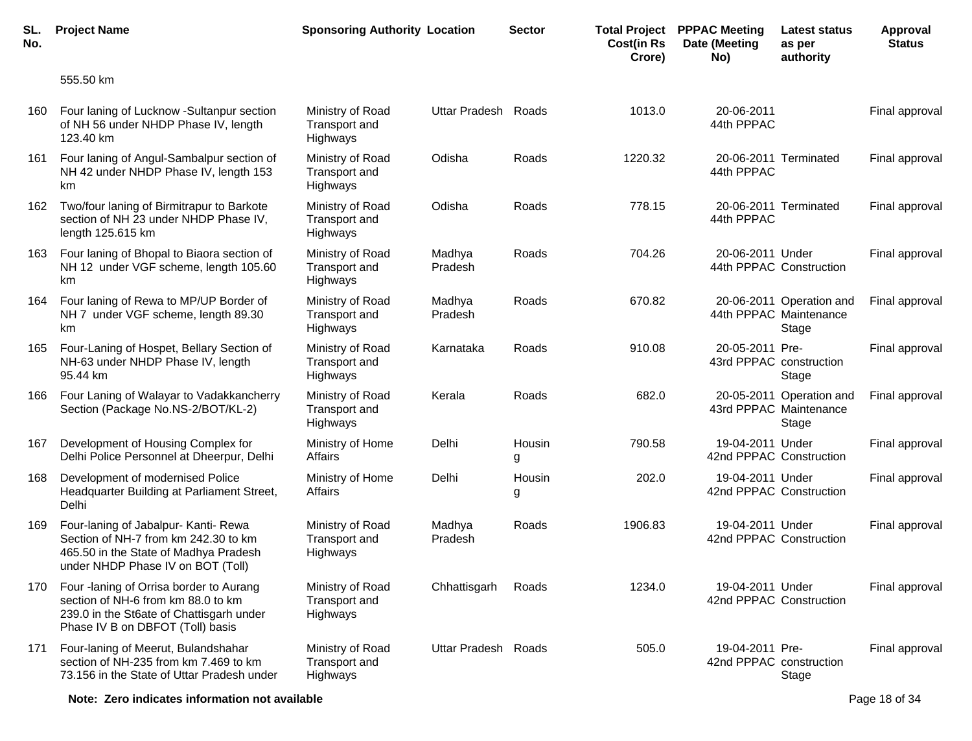| SL.<br>No. | <b>Project Name</b>                                                                                                                                           | <b>Sponsoring Authority Location</b>                 |                     | <b>Sector</b> | <b>Total Project</b><br><b>Cost(in Rs</b><br>Crore) | <b>PPPAC Meeting</b><br>Date (Meeting<br>No) | <b>Latest status</b><br>as per<br>authority                 | Approval<br><b>Status</b> |
|------------|---------------------------------------------------------------------------------------------------------------------------------------------------------------|------------------------------------------------------|---------------------|---------------|-----------------------------------------------------|----------------------------------------------|-------------------------------------------------------------|---------------------------|
|            | 555.50 km                                                                                                                                                     |                                                      |                     |               |                                                     |                                              |                                                             |                           |
| 160        | Four laning of Lucknow -Sultanpur section<br>of NH 56 under NHDP Phase IV, length<br>123.40 km                                                                | Ministry of Road<br>Transport and<br>Highways        | Uttar Pradesh       | Roads         | 1013.0                                              | 20-06-2011<br>44th PPPAC                     |                                                             | Final approval            |
| 161        | Four laning of Angul-Sambalpur section of<br>NH 42 under NHDP Phase IV, length 153<br>km                                                                      | Ministry of Road<br><b>Transport and</b><br>Highways | Odisha              | Roads         | 1220.32                                             | 44th PPPAC                                   | 20-06-2011 Terminated                                       | Final approval            |
| 162        | Two/four laning of Birmitrapur to Barkote<br>section of NH 23 under NHDP Phase IV,<br>length 125.615 km                                                       | Ministry of Road<br><b>Transport and</b><br>Highways | Odisha              | Roads         | 778.15                                              | 44th PPPAC                                   | 20-06-2011 Terminated                                       | Final approval            |
| 163        | Four laning of Bhopal to Biaora section of<br>NH 12 under VGF scheme, length 105.60<br>km                                                                     | Ministry of Road<br><b>Transport and</b><br>Highways | Madhya<br>Pradesh   | Roads         | 704.26                                              | 20-06-2011 Under                             | 44th PPPAC Construction                                     | Final approval            |
| 164        | Four laning of Rewa to MP/UP Border of<br>NH 7 under VGF scheme, length 89.30<br>km                                                                           | Ministry of Road<br><b>Transport and</b><br>Highways | Madhya<br>Pradesh   | Roads         | 670.82                                              |                                              | 20-06-2011 Operation and<br>44th PPPAC Maintenance<br>Stage | Final approval            |
| 165        | Four-Laning of Hospet, Bellary Section of<br>NH-63 under NHDP Phase IV, length<br>95.44 km                                                                    | Ministry of Road<br><b>Transport and</b><br>Highways | Karnataka           | Roads         | 910.08                                              | 20-05-2011 Pre-<br>43rd PPPAC construction   | Stage                                                       | Final approval            |
| 166        | Four Laning of Walayar to Vadakkancherry<br>Section (Package No.NS-2/BOT/KL-2)                                                                                | Ministry of Road<br>Transport and<br>Highways        | Kerala              | Roads         | 682.0                                               |                                              | 20-05-2011 Operation and<br>43rd PPPAC Maintenance<br>Stage | Final approval            |
| 167        | Development of Housing Complex for<br>Delhi Police Personnel at Dheerpur, Delhi                                                                               | Ministry of Home<br>Affairs                          | Delhi               | Housin<br>g   | 790.58                                              | 19-04-2011 Under<br>42nd PPPAC Construction  |                                                             | Final approval            |
| 168        | Development of modernised Police<br>Headquarter Building at Parliament Street,<br>Delhi                                                                       | Ministry of Home<br>Affairs                          | Delhi               | Housin<br>g   | 202.0                                               | 19-04-2011 Under<br>42nd PPPAC Construction  |                                                             | Final approval            |
| 169        | Four-laning of Jabalpur- Kanti- Rewa<br>Section of NH-7 from km 242.30 to km<br>465.50 in the State of Madhya Pradesh<br>under NHDP Phase IV on BOT (Toll)    | Ministry of Road<br>Transport and<br>Highways        | Madhya<br>Pradesh   | Roads         | 1906.83                                             | 19-04-2011 Under<br>42nd PPPAC Construction  |                                                             | Final approval            |
| 170        | Four -laning of Orrisa border to Aurang<br>section of NH-6 from km 88.0 to km<br>239.0 in the St6ate of Chattisgarh under<br>Phase IV B on DBFOT (Toll) basis | Ministry of Road<br>Transport and<br>Highways        | Chhattisgarh        | Roads         | 1234.0                                              | 19-04-2011 Under<br>42nd PPPAC Construction  |                                                             | Final approval            |
| 171        | Four-laning of Meerut, Bulandshahar<br>section of NH-235 from km 7.469 to km<br>73.156 in the State of Uttar Pradesh under                                    | Ministry of Road<br>Transport and<br>Highways        | Uttar Pradesh Roads |               | 505.0                                               | 19-04-2011 Pre-<br>42nd PPPAC construction   | Stage                                                       | Final approval            |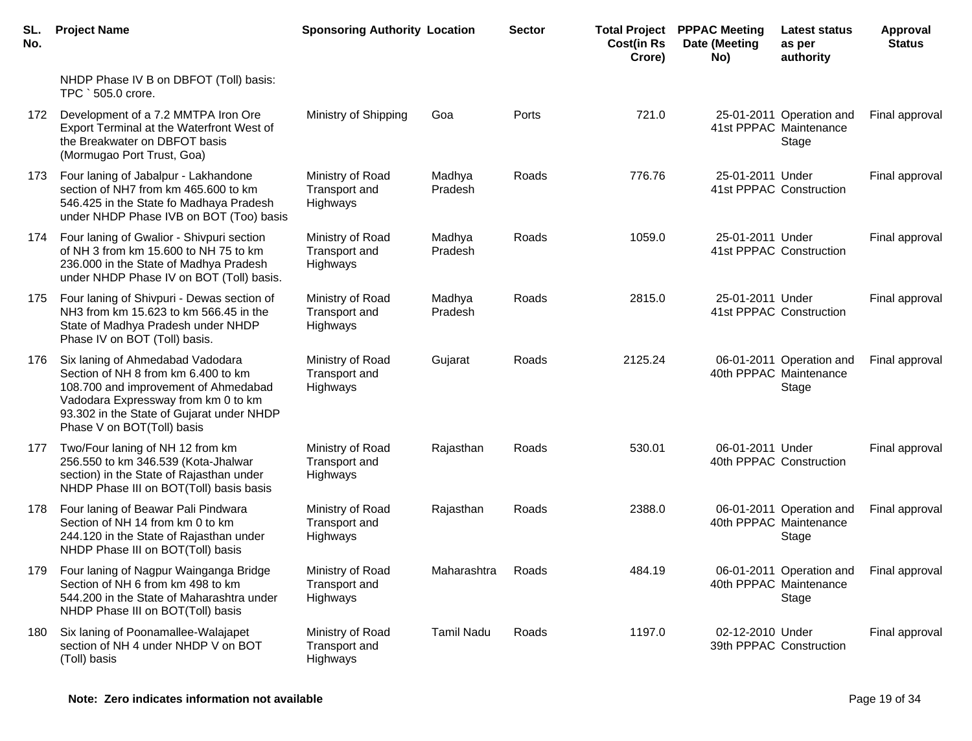| SL.<br>No. | <b>Project Name</b>                                                                                                                                                                                                               | <b>Sponsoring Authority Location</b>          |                   | <b>Sector</b> | <b>Cost(in Rs</b><br>Crore) | <b>Total Project PPPAC Meeting</b><br>Date (Meeting<br>No) | Latest status<br>as per<br>authority                        | Approval<br><b>Status</b> |
|------------|-----------------------------------------------------------------------------------------------------------------------------------------------------------------------------------------------------------------------------------|-----------------------------------------------|-------------------|---------------|-----------------------------|------------------------------------------------------------|-------------------------------------------------------------|---------------------------|
|            | NHDP Phase IV B on DBFOT (Toll) basis:<br>TPC ` 505.0 crore.                                                                                                                                                                      |                                               |                   |               |                             |                                                            |                                                             |                           |
| 172        | Development of a 7.2 MMTPA Iron Ore<br>Export Terminal at the Waterfront West of<br>the Breakwater on DBFOT basis<br>(Mormugao Port Trust, Goa)                                                                                   | Ministry of Shipping                          | Goa               | Ports         | 721.0                       |                                                            | 25-01-2011 Operation and<br>41st PPPAC Maintenance<br>Stage | Final approval            |
| 173        | Four laning of Jabalpur - Lakhandone<br>section of NH7 from km 465.600 to km<br>546.425 in the State fo Madhaya Pradesh<br>under NHDP Phase IVB on BOT (Too) basis                                                                | Ministry of Road<br>Transport and<br>Highways | Madhya<br>Pradesh | Roads         | 776.76                      | 25-01-2011 Under                                           | 41st PPPAC Construction                                     | Final approval            |
| 174        | Four laning of Gwalior - Shivpuri section<br>of NH 3 from km 15.600 to NH 75 to km<br>236.000 in the State of Madhya Pradesh<br>under NHDP Phase IV on BOT (Toll) basis.                                                          | Ministry of Road<br>Transport and<br>Highways | Madhya<br>Pradesh | Roads         | 1059.0                      | 25-01-2011 Under                                           | 41st PPPAC Construction                                     | Final approval            |
| 175        | Four laning of Shivpuri - Dewas section of<br>NH3 from km 15.623 to km 566.45 in the<br>State of Madhya Pradesh under NHDP<br>Phase IV on BOT (Toll) basis.                                                                       | Ministry of Road<br>Transport and<br>Highways | Madhya<br>Pradesh | Roads         | 2815.0                      | 25-01-2011 Under                                           | 41st PPPAC Construction                                     | Final approval            |
| 176        | Six laning of Ahmedabad Vadodara<br>Section of NH 8 from km 6.400 to km<br>108.700 and improvement of Ahmedabad<br>Vadodara Expressway from km 0 to km<br>93.302 in the State of Gujarat under NHDP<br>Phase V on BOT(Toll) basis | Ministry of Road<br>Transport and<br>Highways | Gujarat           | Roads         | 2125.24                     |                                                            | 06-01-2011 Operation and<br>40th PPPAC Maintenance<br>Stage | Final approval            |
| 177        | Two/Four laning of NH 12 from km<br>256.550 to km 346.539 (Kota-Jhalwar<br>section) in the State of Rajasthan under<br>NHDP Phase III on BOT(Toll) basis basis                                                                    | Ministry of Road<br>Transport and<br>Highways | Rajasthan         | Roads         | 530.01                      | 06-01-2011 Under                                           | 40th PPPAC Construction                                     | Final approval            |
| 178        | Four laning of Beawar Pali Pindwara<br>Section of NH 14 from km 0 to km<br>244.120 in the State of Rajasthan under<br>NHDP Phase III on BOT(Toll) basis                                                                           | Ministry of Road<br>Transport and<br>Highways | Rajasthan         | Roads         | 2388.0                      |                                                            | 06-01-2011 Operation and<br>40th PPPAC Maintenance<br>Stage | Final approval            |
| 179        | Four laning of Nagpur Wainganga Bridge<br>Section of NH 6 from km 498 to km<br>544.200 in the State of Maharashtra under<br>NHDP Phase III on BOT(Toll) basis                                                                     | Ministry of Road<br>Transport and<br>Highways | Maharashtra       | Roads         | 484.19                      |                                                            | 06-01-2011 Operation and<br>40th PPPAC Maintenance<br>Stage | Final approval            |
| 180        | Six laning of Poonamallee-Walajapet<br>section of NH 4 under NHDP V on BOT<br>(Toll) basis                                                                                                                                        | Ministry of Road<br>Transport and<br>Highways | <b>Tamil Nadu</b> | Roads         | 1197.0                      | 02-12-2010 Under                                           | 39th PPPAC Construction                                     | Final approval            |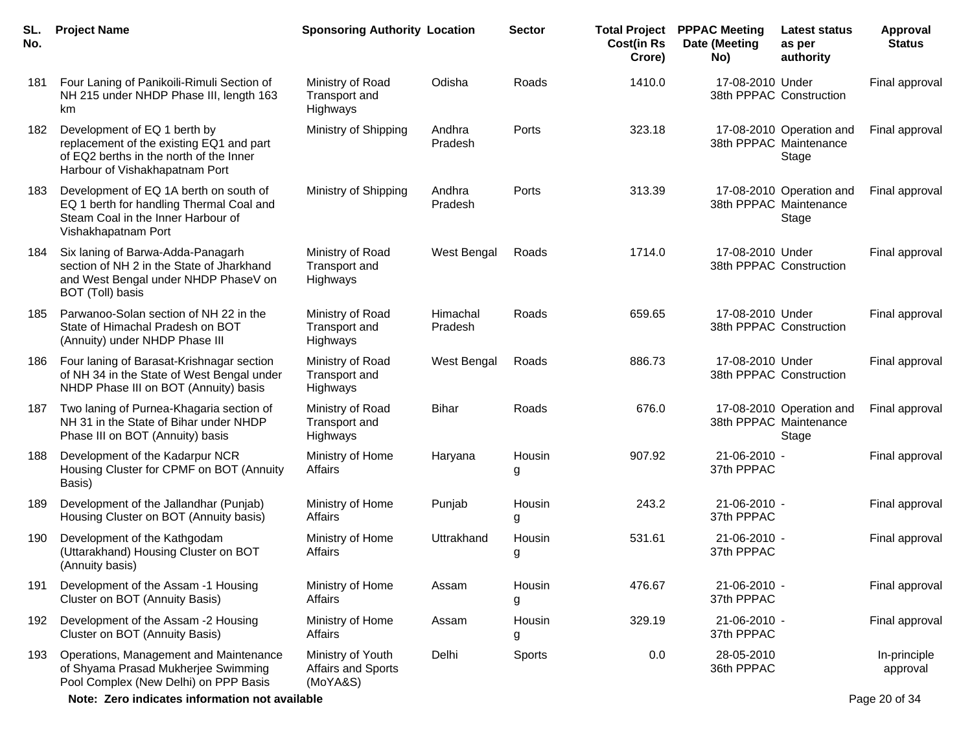| SL.<br>No. | <b>Project Name</b>                                                                                                                                   | <b>Sponsoring Authority Location</b>                |                     | <b>Sector</b> | <b>Cost(in Rs</b><br>Crore) | <b>Total Project PPPAC Meeting</b><br>Date (Meeting<br>No) | <b>Latest status</b><br>as per<br>authority                 | <b>Approval</b><br><b>Status</b> |
|------------|-------------------------------------------------------------------------------------------------------------------------------------------------------|-----------------------------------------------------|---------------------|---------------|-----------------------------|------------------------------------------------------------|-------------------------------------------------------------|----------------------------------|
| 181        | Four Laning of Panikoili-Rimuli Section of<br>NH 215 under NHDP Phase III, length 163<br>km                                                           | Ministry of Road<br>Transport and<br>Highways       | Odisha              | Roads         | 1410.0                      | 17-08-2010 Under                                           | 38th PPPAC Construction                                     | Final approval                   |
| 182        | Development of EQ 1 berth by<br>replacement of the existing EQ1 and part<br>of EQ2 berths in the north of the Inner<br>Harbour of Vishakhapatnam Port | Ministry of Shipping                                | Andhra<br>Pradesh   | Ports         | 323.18                      |                                                            | 17-08-2010 Operation and<br>38th PPPAC Maintenance<br>Stage | Final approval                   |
| 183        | Development of EQ 1A berth on south of<br>EQ 1 berth for handling Thermal Coal and<br>Steam Coal in the Inner Harbour of<br>Vishakhapatnam Port       | Ministry of Shipping                                | Andhra<br>Pradesh   | Ports         | 313.39                      |                                                            | 17-08-2010 Operation and<br>38th PPPAC Maintenance<br>Stage | Final approval                   |
| 184        | Six laning of Barwa-Adda-Panagarh<br>section of NH 2 in the State of Jharkhand<br>and West Bengal under NHDP PhaseV on<br>BOT (Toll) basis            | Ministry of Road<br>Transport and<br>Highways       | West Bengal         | Roads         | 1714.0                      | 17-08-2010 Under                                           | 38th PPPAC Construction                                     | Final approval                   |
| 185        | Parwanoo-Solan section of NH 22 in the<br>State of Himachal Pradesh on BOT<br>(Annuity) under NHDP Phase III                                          | Ministry of Road<br>Transport and<br>Highways       | Himachal<br>Pradesh | Roads         | 659.65                      | 17-08-2010 Under                                           | 38th PPPAC Construction                                     | Final approval                   |
| 186        | Four laning of Barasat-Krishnagar section<br>of NH 34 in the State of West Bengal under<br>NHDP Phase III on BOT (Annuity) basis                      | Ministry of Road<br>Transport and<br>Highways       | West Bengal         | Roads         | 886.73                      | 17-08-2010 Under                                           | 38th PPPAC Construction                                     | Final approval                   |
| 187        | Two laning of Purnea-Khagaria section of<br>NH 31 in the State of Bihar under NHDP<br>Phase III on BOT (Annuity) basis                                | Ministry of Road<br>Transport and<br>Highways       | <b>Bihar</b>        | Roads         | 676.0                       |                                                            | 17-08-2010 Operation and<br>38th PPPAC Maintenance<br>Stage | Final approval                   |
| 188        | Development of the Kadarpur NCR<br>Housing Cluster for CPMF on BOT (Annuity<br>Basis)                                                                 | Ministry of Home<br>Affairs                         | Haryana             | Housin<br>g   | 907.92                      | 21-06-2010 -<br>37th PPPAC                                 |                                                             | Final approval                   |
| 189        | Development of the Jallandhar (Punjab)<br>Housing Cluster on BOT (Annuity basis)                                                                      | Ministry of Home<br>Affairs                         | Punjab              | Housin<br>g   | 243.2                       | 21-06-2010 -<br>37th PPPAC                                 |                                                             | Final approval                   |
| 190.       | Development of the Kathgodam<br>(Uttarakhand) Housing Cluster on BOT<br>(Annuity basis)                                                               | Ministry of Home<br>Affairs                         | Uttrakhand          | Housin<br>g   | 531.61                      | 21-06-2010 -<br>37th PPPAC                                 |                                                             | Final approval                   |
| 191        | Development of the Assam -1 Housing<br>Cluster on BOT (Annuity Basis)                                                                                 | Ministry of Home<br>Affairs                         | Assam               | Housin<br>g   | 476.67                      | 21-06-2010 -<br>37th PPPAC                                 |                                                             | Final approval                   |
| 192        | Development of the Assam -2 Housing<br>Cluster on BOT (Annuity Basis)                                                                                 | Ministry of Home<br>Affairs                         | Assam               | Housin<br>g   | 329.19                      | 21-06-2010 -<br>37th PPPAC                                 |                                                             | Final approval                   |
| 193        | Operations, Management and Maintenance<br>of Shyama Prasad Mukherjee Swimming<br>Pool Complex (New Delhi) on PPP Basis                                | Ministry of Youth<br>Affairs and Sports<br>(MoYA&S) | Delhi               | Sports        | 0.0                         | 28-05-2010<br>36th PPPAC                                   |                                                             | In-principle<br>approval         |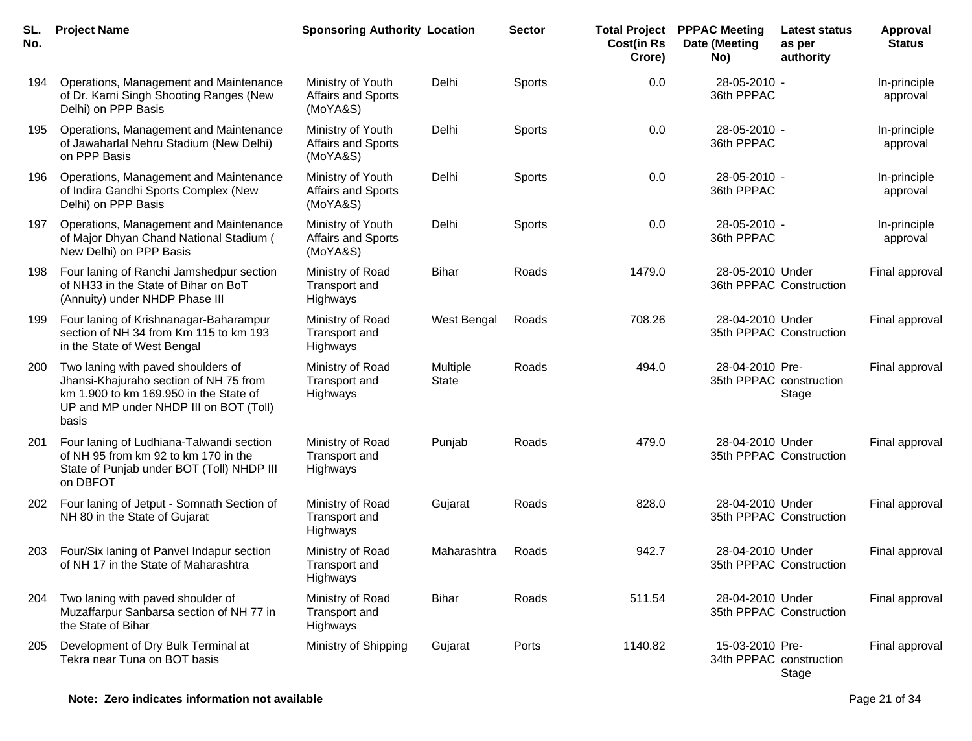| SL.<br>No. | <b>Project Name</b>                                                                                                                                                       | <b>Sponsoring Authority Location</b>                       |                          | <b>Sector</b> | <b>Total Project</b><br><b>Cost(in Rs</b><br>Crore) | <b>PPPAC Meeting</b><br>Date (Meeting<br>No) | <b>Latest status</b><br>as per<br>authority | <b>Approval</b><br><b>Status</b> |
|------------|---------------------------------------------------------------------------------------------------------------------------------------------------------------------------|------------------------------------------------------------|--------------------------|---------------|-----------------------------------------------------|----------------------------------------------|---------------------------------------------|----------------------------------|
| 194        | Operations, Management and Maintenance<br>of Dr. Karni Singh Shooting Ranges (New<br>Delhi) on PPP Basis                                                                  | Ministry of Youth<br>Affairs and Sports<br>(MoYA&S)        | Delhi                    | Sports        | 0.0                                                 | 28-05-2010 -<br>36th PPPAC                   |                                             | In-principle<br>approval         |
| 195        | Operations, Management and Maintenance<br>of Jawaharlal Nehru Stadium (New Delhi)<br>on PPP Basis                                                                         | Ministry of Youth<br>Affairs and Sports<br>(MoYA&S)        | Delhi                    | Sports        | 0.0                                                 | 28-05-2010 -<br>36th PPPAC                   |                                             | In-principle<br>approval         |
| 196        | Operations, Management and Maintenance<br>of Indira Gandhi Sports Complex (New<br>Delhi) on PPP Basis                                                                     | Ministry of Youth<br><b>Affairs and Sports</b><br>(MoYA&S) | Delhi                    | Sports        | 0.0                                                 | 28-05-2010 -<br>36th PPPAC                   |                                             | In-principle<br>approval         |
| 197        | Operations, Management and Maintenance<br>of Major Dhyan Chand National Stadium (<br>New Delhi) on PPP Basis                                                              | Ministry of Youth<br>Affairs and Sports<br>(MoYA&S)        | Delhi                    | Sports        | 0.0                                                 | 28-05-2010 -<br>36th PPPAC                   |                                             | In-principle<br>approval         |
| 198        | Four laning of Ranchi Jamshedpur section<br>of NH33 in the State of Bihar on BoT<br>(Annuity) under NHDP Phase III                                                        | Ministry of Road<br>Transport and<br>Highways              | <b>Bihar</b>             | Roads         | 1479.0                                              | 28-05-2010 Under                             | 36th PPPAC Construction                     | Final approval                   |
| 199        | Four laning of Krishnanagar-Baharampur<br>section of NH 34 from Km 115 to km 193<br>in the State of West Bengal                                                           | Ministry of Road<br>Transport and<br>Highways              | West Bengal              | Roads         | 708.26                                              | 28-04-2010 Under                             | 35th PPPAC Construction                     | Final approval                   |
| 200        | Two laning with paved shoulders of<br>Jhansi-Khajuraho section of NH 75 from<br>km 1.900 to km 169.950 in the State of<br>UP and MP under NHDP III on BOT (Toll)<br>basis | Ministry of Road<br>Transport and<br>Highways              | Multiple<br><b>State</b> | Roads         | 494.0                                               | 28-04-2010 Pre-                              | 35th PPPAC construction<br>Stage            | Final approval                   |
| 201        | Four laning of Ludhiana-Talwandi section<br>of NH 95 from km 92 to km 170 in the<br>State of Punjab under BOT (Toll) NHDP III<br>on DBFOT                                 | Ministry of Road<br>Transport and<br>Highways              | Punjab                   | Roads         | 479.0                                               | 28-04-2010 Under                             | 35th PPPAC Construction                     | Final approval                   |
| 202        | Four laning of Jetput - Somnath Section of<br>NH 80 in the State of Gujarat                                                                                               | Ministry of Road<br>Transport and<br>Highways              | Gujarat                  | Roads         | 828.0                                               | 28-04-2010 Under                             | 35th PPPAC Construction                     | Final approval                   |
| 203        | Four/Six laning of Panvel Indapur section<br>of NH 17 in the State of Maharashtra                                                                                         | Ministry of Road<br>Transport and<br>Highways              | Maharashtra              | Roads         | 942.7                                               | 28-04-2010 Under                             | 35th PPPAC Construction                     | Final approval                   |
| 204        | Two laning with paved shoulder of<br>Muzaffarpur Sanbarsa section of NH 77 in<br>the State of Bihar                                                                       | Ministry of Road<br>Transport and<br>Highways              | Bihar                    | Roads         | 511.54                                              | 28-04-2010 Under                             | 35th PPPAC Construction                     | Final approval                   |
| 205        | Development of Dry Bulk Terminal at<br>Tekra near Tuna on BOT basis                                                                                                       | Ministry of Shipping                                       | Gujarat                  | Ports         | 1140.82                                             | 15-03-2010 Pre-                              | 34th PPPAC construction<br>Stage            | Final approval                   |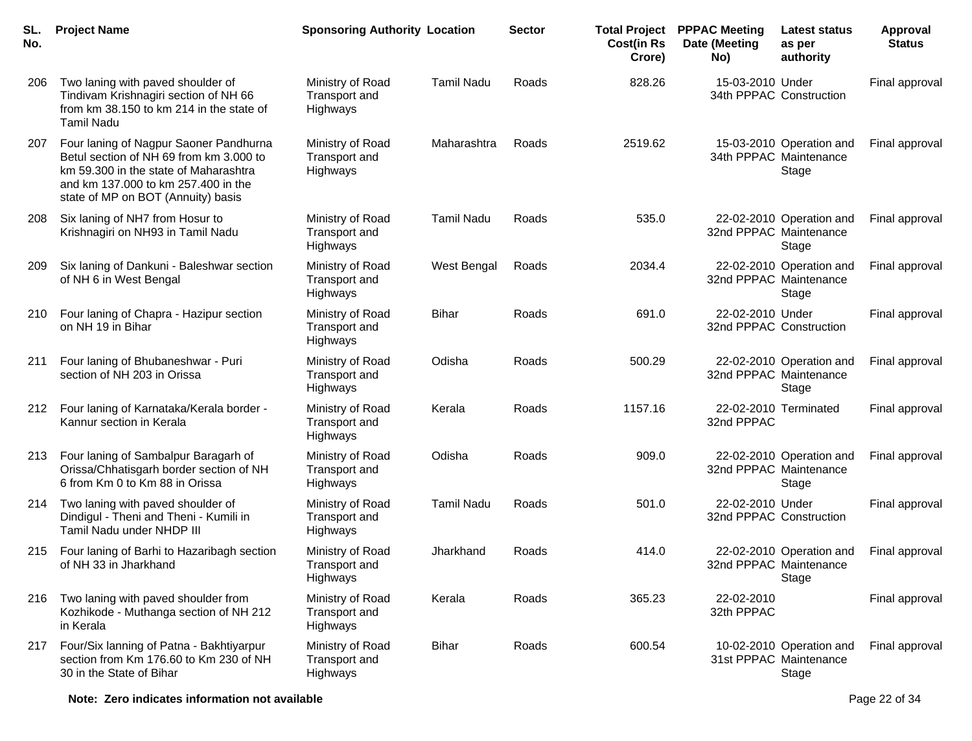| SL.<br>No. | <b>Project Name</b>                                                                                                                                                                                     | <b>Sponsoring Authority Location</b>          |                   | <b>Sector</b> | <b>Total Project</b><br><b>Cost(in Rs</b><br>Crore) | <b>PPPAC Meeting</b><br>Date (Meeting<br>No) | Latest status<br>as per<br>authority                        | <b>Approval</b><br><b>Status</b> |
|------------|---------------------------------------------------------------------------------------------------------------------------------------------------------------------------------------------------------|-----------------------------------------------|-------------------|---------------|-----------------------------------------------------|----------------------------------------------|-------------------------------------------------------------|----------------------------------|
| 206        | Two laning with paved shoulder of<br>Tindivam Krishnagiri section of NH 66<br>from km 38.150 to km 214 in the state of<br><b>Tamil Nadu</b>                                                             | Ministry of Road<br>Transport and<br>Highways | <b>Tamil Nadu</b> | Roads         | 828.26                                              | 15-03-2010 Under                             | 34th PPPAC Construction                                     | Final approval                   |
| 207        | Four laning of Nagpur Saoner Pandhurna<br>Betul section of NH 69 from km 3.000 to<br>km 59.300 in the state of Maharashtra<br>and km 137,000 to km 257.400 in the<br>state of MP on BOT (Annuity) basis | Ministry of Road<br>Transport and<br>Highways | Maharashtra       | Roads         | 2519.62                                             |                                              | 15-03-2010 Operation and<br>34th PPPAC Maintenance<br>Stage | Final approval                   |
| 208        | Six laning of NH7 from Hosur to<br>Krishnagiri on NH93 in Tamil Nadu                                                                                                                                    | Ministry of Road<br>Transport and<br>Highways | <b>Tamil Nadu</b> | Roads         | 535.0                                               |                                              | 22-02-2010 Operation and<br>32nd PPPAC Maintenance<br>Stage | Final approval                   |
| 209        | Six laning of Dankuni - Baleshwar section<br>of NH 6 in West Bengal                                                                                                                                     | Ministry of Road<br>Transport and<br>Highways | West Bengal       | Roads         | 2034.4                                              | 32nd PPPAC Maintenance                       | 22-02-2010 Operation and<br>Stage                           | Final approval                   |
| 210        | Four laning of Chapra - Hazipur section<br>on NH 19 in Bihar                                                                                                                                            | Ministry of Road<br>Transport and<br>Highways | <b>Bihar</b>      | Roads         | 691.0                                               | 22-02-2010 Under<br>32nd PPPAC Construction  |                                                             | Final approval                   |
| 211        | Four laning of Bhubaneshwar - Puri<br>section of NH 203 in Orissa                                                                                                                                       | Ministry of Road<br>Transport and<br>Highways | Odisha            | Roads         | 500.29                                              |                                              | 22-02-2010 Operation and<br>32nd PPPAC Maintenance<br>Stage | Final approval                   |
| 212        | Four laning of Karnataka/Kerala border -<br>Kannur section in Kerala                                                                                                                                    | Ministry of Road<br>Transport and<br>Highways | Kerala            | Roads         | 1157.16                                             | 32nd PPPAC                                   | 22-02-2010 Terminated                                       | Final approval                   |
| 213        | Four laning of Sambalpur Baragarh of<br>Orissa/Chhatisgarh border section of NH<br>6 from Km 0 to Km 88 in Orissa                                                                                       | Ministry of Road<br>Transport and<br>Highways | Odisha            | Roads         | 909.0                                               | 32nd PPPAC Maintenance                       | 22-02-2010 Operation and<br>Stage                           | Final approval                   |
| 214        | Two laning with paved shoulder of<br>Dindigul - Theni and Theni - Kumili in<br>Tamil Nadu under NHDP III                                                                                                | Ministry of Road<br>Transport and<br>Highways | <b>Tamil Nadu</b> | Roads         | 501.0                                               | 22-02-2010 Under<br>32nd PPPAC Construction  |                                                             | Final approval                   |
| 215        | Four laning of Barhi to Hazaribagh section<br>of NH 33 in Jharkhand                                                                                                                                     | Ministry of Road<br>Transport and<br>Highways | Jharkhand         | Roads         | 414.0                                               |                                              | 22-02-2010 Operation and<br>32nd PPPAC Maintenance<br>Stage | Final approval                   |
| 216        | Two laning with paved shoulder from<br>Kozhikode - Muthanga section of NH 212<br>in Kerala                                                                                                              | Ministry of Road<br>Transport and<br>Highways | Kerala            | Roads         | 365.23                                              | 22-02-2010<br>32th PPPAC                     |                                                             | Final approval                   |
| 217        | Four/Six lanning of Patna - Bakhtiyarpur<br>section from Km 176.60 to Km 230 of NH<br>30 in the State of Bihar                                                                                          | Ministry of Road<br>Transport and<br>Highways | <b>Bihar</b>      | Roads         | 600.54                                              |                                              | 10-02-2010 Operation and<br>31st PPPAC Maintenance<br>Stage | Final approval                   |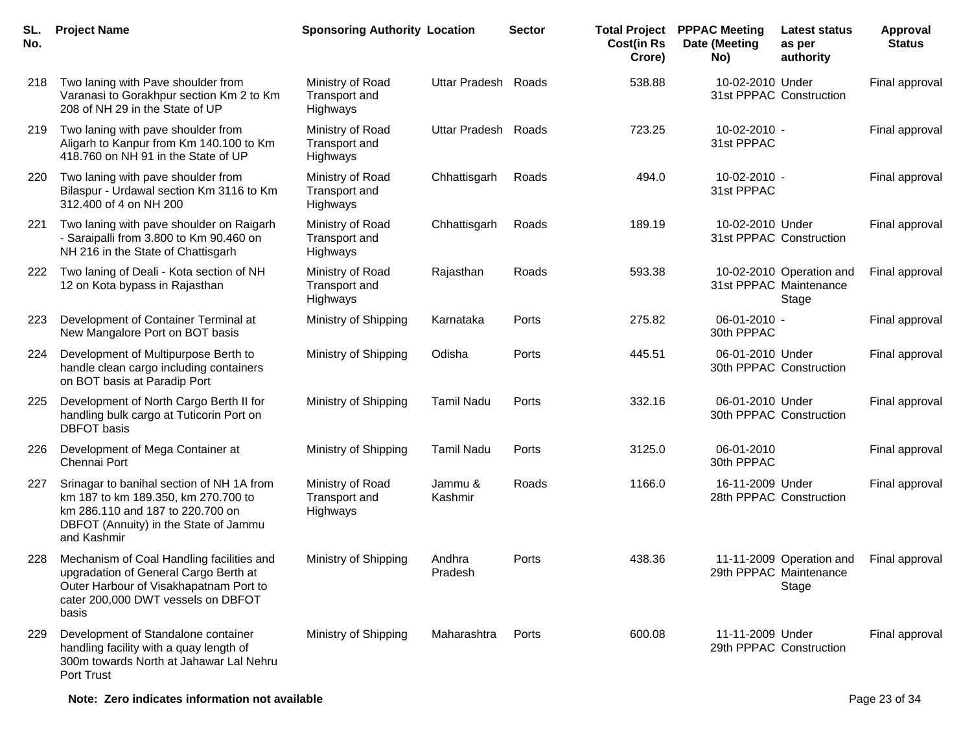| SL.<br>No. | <b>Project Name</b>                                                                                                                                                          | <b>Sponsoring Authority Location</b>          |                      | <b>Sector</b> | <b>Total Project</b><br><b>Cost(in Rs</b><br>Crore) | <b>PPPAC Meeting</b><br>Date (Meeting<br>No) | Latest status<br>as per<br>authority                        | <b>Approval</b><br><b>Status</b> |
|------------|------------------------------------------------------------------------------------------------------------------------------------------------------------------------------|-----------------------------------------------|----------------------|---------------|-----------------------------------------------------|----------------------------------------------|-------------------------------------------------------------|----------------------------------|
| 218        | Two laning with Pave shoulder from<br>Varanasi to Gorakhpur section Km 2 to Km<br>208 of NH 29 in the State of UP                                                            | Ministry of Road<br>Transport and<br>Highways | <b>Uttar Pradesh</b> | Roads         | 538.88                                              | 10-02-2010 Under                             | 31st PPPAC Construction                                     | Final approval                   |
| 219        | Two laning with pave shoulder from<br>Aligarh to Kanpur from Km 140.100 to Km<br>418.760 on NH 91 in the State of UP                                                         | Ministry of Road<br>Transport and<br>Highways | Uttar Pradesh Roads  |               | 723.25                                              | 10-02-2010 -<br>31st PPPAC                   |                                                             | Final approval                   |
| 220        | Two laning with pave shoulder from<br>Bilaspur - Urdawal section Km 3116 to Km<br>312.400 of 4 on NH 200                                                                     | Ministry of Road<br>Transport and<br>Highways | Chhattisgarh         | Roads         | 494.0                                               | 10-02-2010 -<br>31st PPPAC                   |                                                             | Final approval                   |
| 221        | Two laning with pave shoulder on Raigarh<br>- Saraipalli from 3.800 to Km 90.460 on<br>NH 216 in the State of Chattisgarh                                                    | Ministry of Road<br>Transport and<br>Highways | Chhattisgarh         | Roads         | 189.19                                              | 10-02-2010 Under                             | 31st PPPAC Construction                                     | Final approval                   |
| 222        | Two laning of Deali - Kota section of NH<br>12 on Kota bypass in Rajasthan                                                                                                   | Ministry of Road<br>Transport and<br>Highways | Rajasthan            | Roads         | 593.38                                              |                                              | 10-02-2010 Operation and<br>31st PPPAC Maintenance<br>Stage | Final approval                   |
| 223        | Development of Container Terminal at<br>New Mangalore Port on BOT basis                                                                                                      | Ministry of Shipping                          | Karnataka            | Ports         | 275.82                                              | 06-01-2010 -<br>30th PPPAC                   |                                                             | Final approval                   |
| 224        | Development of Multipurpose Berth to<br>handle clean cargo including containers<br>on BOT basis at Paradip Port                                                              | Ministry of Shipping                          | Odisha               | Ports         | 445.51                                              | 06-01-2010 Under                             | 30th PPPAC Construction                                     | Final approval                   |
| 225        | Development of North Cargo Berth II for<br>handling bulk cargo at Tuticorin Port on<br><b>DBFOT</b> basis                                                                    | Ministry of Shipping                          | <b>Tamil Nadu</b>    | Ports         | 332.16                                              | 06-01-2010 Under                             | 30th PPPAC Construction                                     | Final approval                   |
| 226        | Development of Mega Container at<br>Chennai Port                                                                                                                             | Ministry of Shipping                          | <b>Tamil Nadu</b>    | Ports         | 3125.0                                              | 06-01-2010<br>30th PPPAC                     |                                                             | Final approval                   |
| 227        | Srinagar to banihal section of NH 1A from<br>km 187 to km 189.350, km 270.700 to<br>km 286.110 and 187 to 220.700 on<br>DBFOT (Annuity) in the State of Jammu<br>and Kashmir | Ministry of Road<br>Transport and<br>Highways | Jammu &<br>Kashmir   | Roads         | 1166.0                                              | 16-11-2009 Under                             | 28th PPPAC Construction                                     | Final approval                   |
| 228        | Mechanism of Coal Handling facilities and<br>upgradation of General Cargo Berth at<br>Outer Harbour of Visakhapatnam Port to<br>cater 200,000 DWT vessels on DBFOT<br>basis  | Ministry of Shipping                          | Andhra<br>Pradesh    | Ports         | 438.36                                              |                                              | 11-11-2009 Operation and<br>29th PPPAC Maintenance<br>Stage | Final approval                   |
| 229        | Development of Standalone container<br>handling facility with a quay length of<br>300m towards North at Jahawar Lal Nehru<br><b>Port Trust</b>                               | Ministry of Shipping                          | Maharashtra          | Ports         | 600.08                                              | 11-11-2009 Under<br>29th PPPAC Construction  |                                                             | Final approval                   |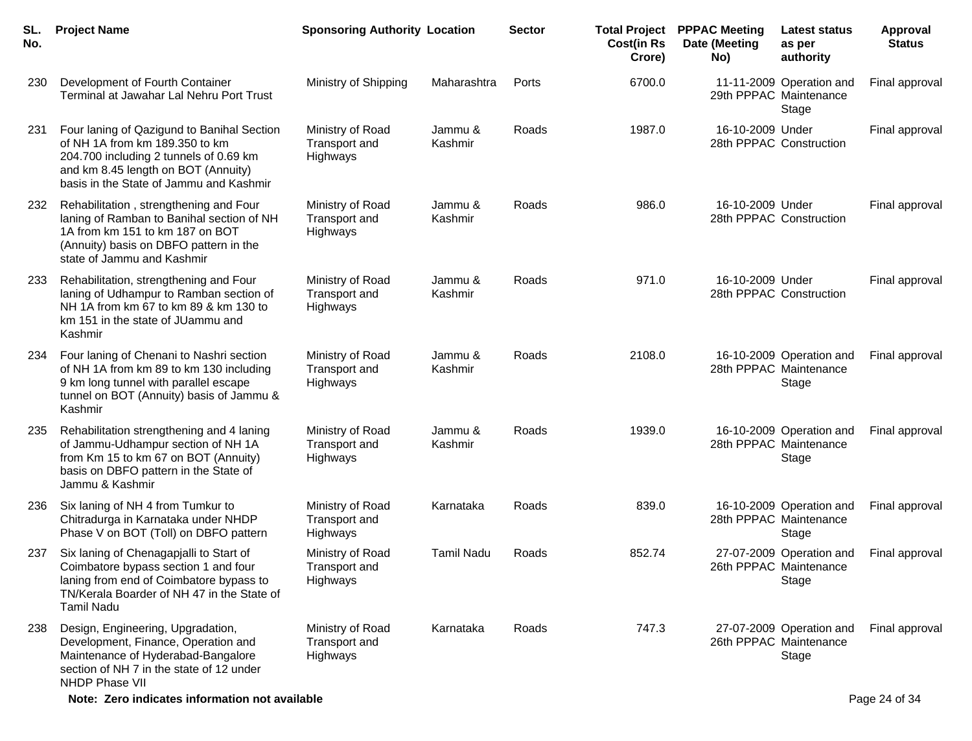| SL.<br>No. | <b>Project Name</b>                                                                                                                                                                                      | <b>Sponsoring Authority Location</b>          |                    | <b>Sector</b> | <b>Cost(in Rs</b><br>Crore) | <b>Total Project PPPAC Meeting</b><br>Date (Meeting<br>No) | <b>Latest status</b><br>as per<br>authority                 | <b>Approval</b><br><b>Status</b> |
|------------|----------------------------------------------------------------------------------------------------------------------------------------------------------------------------------------------------------|-----------------------------------------------|--------------------|---------------|-----------------------------|------------------------------------------------------------|-------------------------------------------------------------|----------------------------------|
| 230        | Development of Fourth Container<br>Terminal at Jawahar Lal Nehru Port Trust                                                                                                                              | Ministry of Shipping                          | Maharashtra        | Ports         | 6700.0                      |                                                            | 11-11-2009 Operation and<br>29th PPPAC Maintenance<br>Stage | Final approval                   |
| 231        | Four laning of Qazigund to Banihal Section<br>of NH 1A from km 189.350 to km<br>204.700 including 2 tunnels of 0.69 km<br>and km 8.45 length on BOT (Annuity)<br>basis in the State of Jammu and Kashmir | Ministry of Road<br>Transport and<br>Highways | Jammu &<br>Kashmir | Roads         | 1987.0                      | 16-10-2009 Under                                           | 28th PPPAC Construction                                     | Final approval                   |
| 232        | Rehabilitation, strengthening and Four<br>laning of Ramban to Banihal section of NH<br>1A from km 151 to km 187 on BOT<br>(Annuity) basis on DBFO pattern in the<br>state of Jammu and Kashmir           | Ministry of Road<br>Transport and<br>Highways | Jammu &<br>Kashmir | Roads         | 986.0                       | 16-10-2009 Under                                           | 28th PPPAC Construction                                     | Final approval                   |
| 233        | Rehabilitation, strengthening and Four<br>laning of Udhampur to Ramban section of<br>NH 1A from km 67 to km 89 & km 130 to<br>km 151 in the state of JUammu and<br>Kashmir                               | Ministry of Road<br>Transport and<br>Highways | Jammu &<br>Kashmir | Roads         | 971.0                       | 16-10-2009 Under                                           | 28th PPPAC Construction                                     | Final approval                   |
| 234        | Four laning of Chenani to Nashri section<br>of NH 1A from km 89 to km 130 including<br>9 km long tunnel with parallel escape<br>tunnel on BOT (Annuity) basis of Jammu &<br>Kashmir                      | Ministry of Road<br>Transport and<br>Highways | Jammu &<br>Kashmir | Roads         | 2108.0                      |                                                            | 16-10-2009 Operation and<br>28th PPPAC Maintenance<br>Stage | Final approval                   |
| 235        | Rehabilitation strengthening and 4 laning<br>of Jammu-Udhampur section of NH 1A<br>from Km 15 to km 67 on BOT (Annuity)<br>basis on DBFO pattern in the State of<br>Jammu & Kashmir                      | Ministry of Road<br>Transport and<br>Highways | Jammu &<br>Kashmir | Roads         | 1939.0                      |                                                            | 16-10-2009 Operation and<br>28th PPPAC Maintenance<br>Stage | Final approval                   |
| 236        | Six laning of NH 4 from Tumkur to<br>Chitradurga in Karnataka under NHDP<br>Phase V on BOT (Toll) on DBFO pattern                                                                                        | Ministry of Road<br>Transport and<br>Highways | Karnataka          | Roads         | 839.0                       |                                                            | 16-10-2009 Operation and<br>28th PPPAC Maintenance<br>Stage | Final approval                   |
| 237        | Six laning of Chenagapjalli to Start of<br>Coimbatore bypass section 1 and four<br>laning from end of Coimbatore bypass to<br>TN/Kerala Boarder of NH 47 in the State of<br><b>Tamil Nadu</b>            | Ministry of Road<br>Transport and<br>Highways | <b>Tamil Nadu</b>  | Roads         | 852.74                      |                                                            | 27-07-2009 Operation and<br>26th PPPAC Maintenance<br>Stage | Final approval                   |
| 238        | Design, Engineering, Upgradation,<br>Development, Finance, Operation and<br>Maintenance of Hyderabad-Bangalore<br>section of NH 7 in the state of 12 under<br>NHDP Phase VII                             | Ministry of Road<br>Transport and<br>Highways | Karnataka          | Roads         | 747.3                       |                                                            | 27-07-2009 Operation and<br>26th PPPAC Maintenance<br>Stage | Final approval                   |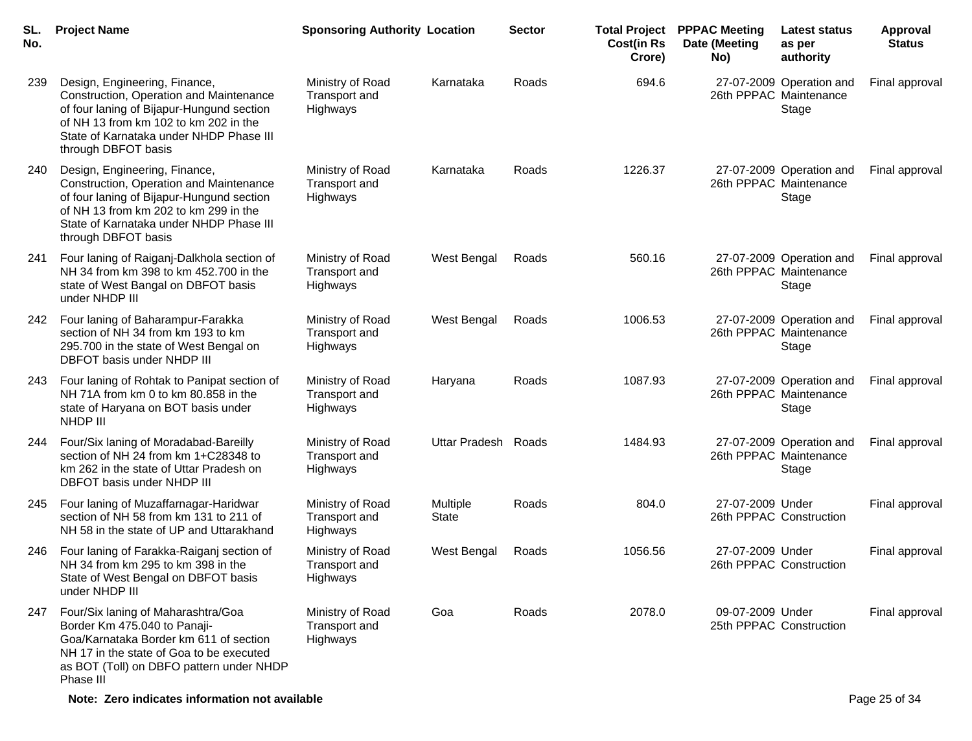| SL.<br>No. | <b>Project Name</b>                                                                                                                                                                                                              | <b>Sponsoring Authority Location</b>          |                          | <b>Sector</b> | <b>Total Project</b><br><b>Cost(in Rs</b><br>Crore) | <b>PPPAC Meeting</b><br>Date (Meeting<br>No) | <b>Latest status</b><br>as per<br>authority                 | <b>Approval</b><br><b>Status</b> |
|------------|----------------------------------------------------------------------------------------------------------------------------------------------------------------------------------------------------------------------------------|-----------------------------------------------|--------------------------|---------------|-----------------------------------------------------|----------------------------------------------|-------------------------------------------------------------|----------------------------------|
| 239        | Design, Engineering, Finance,<br>Construction, Operation and Maintenance<br>of four laning of Bijapur-Hungund section<br>of NH 13 from km 102 to km 202 in the<br>State of Karnataka under NHDP Phase III<br>through DBFOT basis | Ministry of Road<br>Transport and<br>Highways | Karnataka                | Roads         | 694.6                                               |                                              | 27-07-2009 Operation and<br>26th PPPAC Maintenance<br>Stage | Final approval                   |
| 240        | Design, Engineering, Finance,<br>Construction, Operation and Maintenance<br>of four laning of Bijapur-Hungund section<br>of NH 13 from km 202 to km 299 in the<br>State of Karnataka under NHDP Phase III<br>through DBFOT basis | Ministry of Road<br>Transport and<br>Highways | Karnataka                | Roads         | 1226.37                                             |                                              | 27-07-2009 Operation and<br>26th PPPAC Maintenance<br>Stage | Final approval                   |
| 241        | Four laning of Raiganj-Dalkhola section of<br>NH 34 from km 398 to km 452.700 in the<br>state of West Bangal on DBFOT basis<br>under NHDP III                                                                                    | Ministry of Road<br>Transport and<br>Highways | West Bengal              | Roads         | 560.16                                              |                                              | 27-07-2009 Operation and<br>26th PPPAC Maintenance<br>Stage | Final approval                   |
| 242        | Four laning of Baharampur-Farakka<br>section of NH 34 from km 193 to km<br>295.700 in the state of West Bengal on<br>DBFOT basis under NHDP III                                                                                  | Ministry of Road<br>Transport and<br>Highways | West Bengal              | Roads         | 1006.53                                             |                                              | 27-07-2009 Operation and<br>26th PPPAC Maintenance<br>Stage | Final approval                   |
| 243        | Four laning of Rohtak to Panipat section of<br>NH 71A from km 0 to km 80.858 in the<br>state of Haryana on BOT basis under<br>NHDP III                                                                                           | Ministry of Road<br>Transport and<br>Highways | Haryana                  | Roads         | 1087.93                                             |                                              | 27-07-2009 Operation and<br>26th PPPAC Maintenance<br>Stage | Final approval                   |
| 244        | Four/Six laning of Moradabad-Bareilly<br>section of NH 24 from km 1+C28348 to<br>km 262 in the state of Uttar Pradesh on<br>DBFOT basis under NHDP III                                                                           | Ministry of Road<br>Transport and<br>Highways | <b>Uttar Pradesh</b>     | Roads         | 1484.93                                             |                                              | 27-07-2009 Operation and<br>26th PPPAC Maintenance<br>Stage | Final approval                   |
| 245        | Four laning of Muzaffarnagar-Haridwar<br>section of NH 58 from km 131 to 211 of<br>NH 58 in the state of UP and Uttarakhand                                                                                                      | Ministry of Road<br>Transport and<br>Highways | Multiple<br><b>State</b> | Roads         | 804.0                                               | 27-07-2009 Under                             | 26th PPPAC Construction                                     | Final approval                   |
| 246        | Four laning of Farakka-Raiganj section of<br>NH 34 from km 295 to km 398 in the<br>State of West Bengal on DBFOT basis<br>under NHDP III                                                                                         | Ministry of Road<br>Transport and<br>Highways | West Bengal              | Roads         | 1056.56                                             | 27-07-2009 Under                             | 26th PPPAC Construction                                     | Final approval                   |
| 247        | Four/Six laning of Maharashtra/Goa<br>Border Km 475.040 to Panaji-<br>Goa/Karnataka Border km 611 of section<br>NH 17 in the state of Goa to be executed<br>as BOT (Toll) on DBFO pattern under NHDP<br>Phase III                | Ministry of Road<br>Transport and<br>Highways | Goa                      | Roads         | 2078.0                                              | 09-07-2009 Under                             | 25th PPPAC Construction                                     | Final approval                   |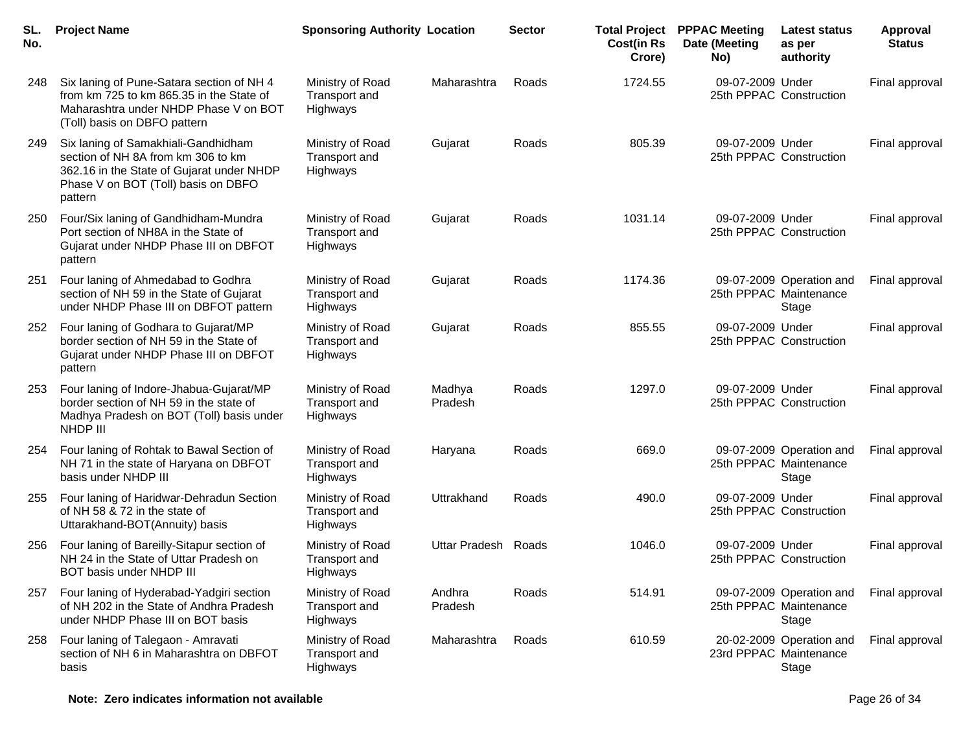| SL.<br>No. | <b>Project Name</b>                                                                                                                                                      | <b>Sponsoring Authority Location</b>          |                     | <b>Sector</b> | <b>Cost(in Rs</b><br>Crore) | <b>Total Project PPPAC Meeting</b><br>Date (Meeting<br>No) | <b>Latest status</b><br>as per<br>authority                 | <b>Approval</b><br><b>Status</b> |
|------------|--------------------------------------------------------------------------------------------------------------------------------------------------------------------------|-----------------------------------------------|---------------------|---------------|-----------------------------|------------------------------------------------------------|-------------------------------------------------------------|----------------------------------|
| 248        | Six laning of Pune-Satara section of NH 4<br>from km 725 to km 865.35 in the State of<br>Maharashtra under NHDP Phase V on BOT<br>(Toll) basis on DBFO pattern           | Ministry of Road<br>Transport and<br>Highways | Maharashtra         | Roads         | 1724.55                     | 09-07-2009 Under                                           | 25th PPPAC Construction                                     | Final approval                   |
| 249        | Six laning of Samakhiali-Gandhidham<br>section of NH 8A from km 306 to km<br>362.16 in the State of Gujarat under NHDP<br>Phase V on BOT (Toll) basis on DBFO<br>pattern | Ministry of Road<br>Transport and<br>Highways | Gujarat             | Roads         | 805.39                      | 09-07-2009 Under                                           | 25th PPPAC Construction                                     | Final approval                   |
| 250        | Four/Six laning of Gandhidham-Mundra<br>Port section of NH8A in the State of<br>Gujarat under NHDP Phase III on DBFOT<br>pattern                                         | Ministry of Road<br>Transport and<br>Highways | Gujarat             | Roads         | 1031.14                     | 09-07-2009 Under                                           | 25th PPPAC Construction                                     | Final approval                   |
| 251        | Four laning of Ahmedabad to Godhra<br>section of NH 59 in the State of Gujarat<br>under NHDP Phase III on DBFOT pattern                                                  | Ministry of Road<br>Transport and<br>Highways | Gujarat             | Roads         | 1174.36                     |                                                            | 09-07-2009 Operation and<br>25th PPPAC Maintenance<br>Stage | Final approval                   |
| 252        | Four laning of Godhara to Gujarat/MP<br>border section of NH 59 in the State of<br>Gujarat under NHDP Phase III on DBFOT<br>pattern                                      | Ministry of Road<br>Transport and<br>Highways | Gujarat             | Roads         | 855.55                      | 09-07-2009 Under                                           | 25th PPPAC Construction                                     | Final approval                   |
| 253        | Four laning of Indore-Jhabua-Gujarat/MP<br>border section of NH 59 in the state of<br>Madhya Pradesh on BOT (Toll) basis under<br>NHDP III                               | Ministry of Road<br>Transport and<br>Highways | Madhya<br>Pradesh   | Roads         | 1297.0                      | 09-07-2009 Under                                           | 25th PPPAC Construction                                     | Final approval                   |
| 254        | Four laning of Rohtak to Bawal Section of<br>NH 71 in the state of Haryana on DBFOT<br>basis under NHDP III                                                              | Ministry of Road<br>Transport and<br>Highways | Haryana             | Roads         | 669.0                       |                                                            | 09-07-2009 Operation and<br>25th PPPAC Maintenance<br>Stage | Final approval                   |
| 255        | Four laning of Haridwar-Dehradun Section<br>of NH 58 & 72 in the state of<br>Uttarakhand-BOT(Annuity) basis                                                              | Ministry of Road<br>Transport and<br>Highways | Uttrakhand          | Roads         | 490.0                       | 09-07-2009 Under                                           | 25th PPPAC Construction                                     | Final approval                   |
| 256        | Four laning of Bareilly-Sitapur section of<br>NH 24 in the State of Uttar Pradesh on<br>BOT basis under NHDP III                                                         | Ministry of Road<br>Transport and<br>Highways | Uttar Pradesh Roads |               | 1046.0                      | 09-07-2009 Under                                           | 25th PPPAC Construction                                     | Final approval                   |
| 257        | Four laning of Hyderabad-Yadgiri section<br>of NH 202 in the State of Andhra Pradesh<br>under NHDP Phase III on BOT basis                                                | Ministry of Road<br>Transport and<br>Highways | Andhra<br>Pradesh   | Roads         | 514.91                      |                                                            | 09-07-2009 Operation and<br>25th PPPAC Maintenance<br>Stage | Final approval                   |
| 258        | Four laning of Talegaon - Amravati<br>section of NH 6 in Maharashtra on DBFOT<br>basis                                                                                   | Ministry of Road<br>Transport and<br>Highways | Maharashtra         | Roads         | 610.59                      |                                                            | 20-02-2009 Operation and<br>23rd PPPAC Maintenance<br>Stage | Final approval                   |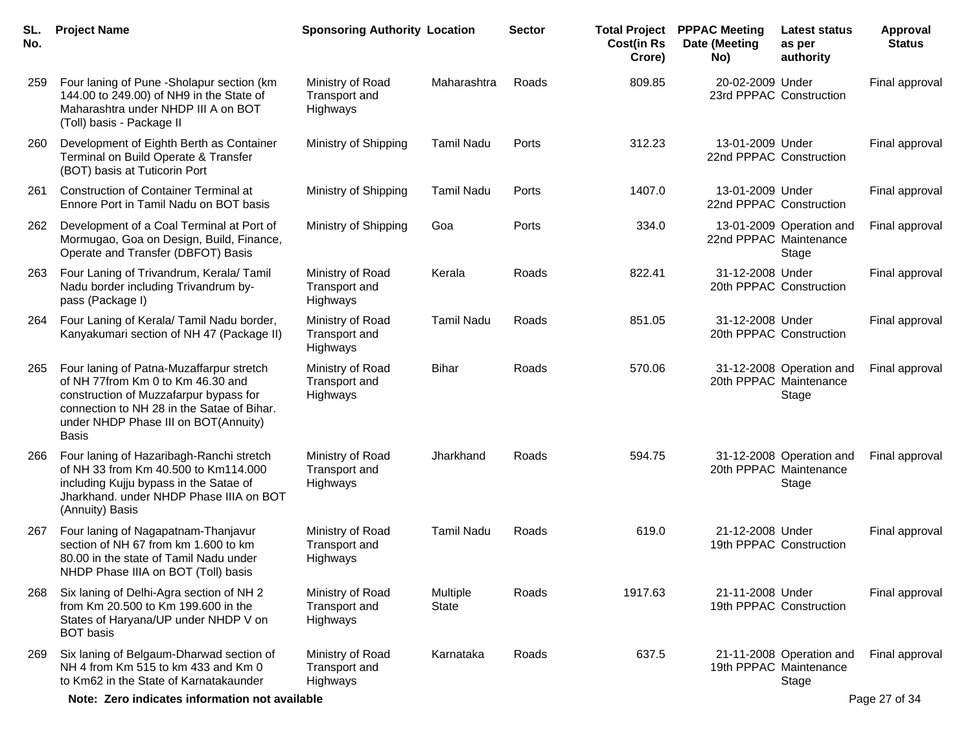| SL.<br>No. | <b>Project Name</b>                                                                                                                                                                                                           | <b>Sponsoring Authority Location</b>          |                          | <b>Sector</b> | <b>Total Project</b><br><b>Cost(in Rs</b><br>Crore) | <b>PPPAC Meeting</b><br>Date (Meeting<br>No) | <b>Latest status</b><br>as per<br>authority                 | Approval<br><b>Status</b> |
|------------|-------------------------------------------------------------------------------------------------------------------------------------------------------------------------------------------------------------------------------|-----------------------------------------------|--------------------------|---------------|-----------------------------------------------------|----------------------------------------------|-------------------------------------------------------------|---------------------------|
| 259        | Four laning of Pune - Sholapur section (km<br>144.00 to 249.00) of NH9 in the State of<br>Maharashtra under NHDP III A on BOT<br>(Toll) basis - Package II                                                                    | Ministry of Road<br>Transport and<br>Highways | Maharashtra              | Roads         | 809.85                                              | 20-02-2009 Under<br>23rd PPPAC Construction  |                                                             | Final approval            |
| 260        | Development of Eighth Berth as Container<br>Terminal on Build Operate & Transfer<br>(BOT) basis at Tuticorin Port                                                                                                             | Ministry of Shipping                          | <b>Tamil Nadu</b>        | Ports         | 312.23                                              | 13-01-2009 Under<br>22nd PPPAC Construction  |                                                             | Final approval            |
| 261        | <b>Construction of Container Terminal at</b><br>Ennore Port in Tamil Nadu on BOT basis                                                                                                                                        | Ministry of Shipping                          | <b>Tamil Nadu</b>        | Ports         | 1407.0                                              | 13-01-2009 Under<br>22nd PPPAC Construction  |                                                             | Final approval            |
| 262        | Development of a Coal Terminal at Port of<br>Mormugao, Goa on Design, Build, Finance,<br>Operate and Transfer (DBFOT) Basis                                                                                                   | Ministry of Shipping                          | Goa                      | Ports         | 334.0                                               | 22nd PPPAC Maintenance                       | 13-01-2009 Operation and<br>Stage                           | Final approval            |
| 263        | Four Laning of Trivandrum, Kerala/ Tamil<br>Nadu border including Trivandrum by-<br>pass (Package I)                                                                                                                          | Ministry of Road<br>Transport and<br>Highways | Kerala                   | Roads         | 822.41                                              | 31-12-2008 Under                             | 20th PPPAC Construction                                     | Final approval            |
| 264        | Four Laning of Kerala/ Tamil Nadu border,<br>Kanyakumari section of NH 47 (Package II)                                                                                                                                        | Ministry of Road<br>Transport and<br>Highways | <b>Tamil Nadu</b>        | Roads         | 851.05                                              | 31-12-2008 Under                             | 20th PPPAC Construction                                     | Final approval            |
| 265        | Four laning of Patna-Muzaffarpur stretch<br>of NH 77from Km 0 to Km 46.30 and<br>construction of Muzzafarpur bypass for<br>connection to NH 28 in the Satae of Bihar.<br>under NHDP Phase III on BOT(Annuity)<br><b>Basis</b> | Ministry of Road<br>Transport and<br>Highways | <b>Bihar</b>             | Roads         | 570.06                                              |                                              | 31-12-2008 Operation and<br>20th PPPAC Maintenance<br>Stage | Final approval            |
| 266        | Four laning of Hazaribagh-Ranchi stretch<br>of NH 33 from Km 40.500 to Km114.000<br>including Kujju bypass in the Satae of<br>Jharkhand. under NHDP Phase IIIA on BOT<br>(Annuity) Basis                                      | Ministry of Road<br>Transport and<br>Highways | Jharkhand                | Roads         | 594.75                                              |                                              | 31-12-2008 Operation and<br>20th PPPAC Maintenance<br>Stage | Final approval            |
| 267        | Four laning of Nagapatnam-Thanjavur<br>section of NH 67 from km 1.600 to km<br>80.00 in the state of Tamil Nadu under<br>NHDP Phase IIIA on BOT (Toll) basis                                                                  | Ministry of Road<br>Transport and<br>Highways | <b>Tamil Nadu</b>        | Roads         | 619.0                                               | 21-12-2008 Under                             | 19th PPPAC Construction                                     | Final approval            |
| 268        | Six laning of Delhi-Agra section of NH 2<br>from Km 20.500 to Km 199.600 in the<br>States of Haryana/UP under NHDP V on<br><b>BOT</b> basis                                                                                   | Ministry of Road<br>Transport and<br>Highways | Multiple<br><b>State</b> | Roads         | 1917.63                                             | 21-11-2008 Under                             | 19th PPPAC Construction                                     | Final approval            |
| 269        | Six laning of Belgaum-Dharwad section of<br>NH 4 from Km 515 to km 433 and Km 0<br>to Km62 in the State of Karnatakaunder                                                                                                     | Ministry of Road<br>Transport and<br>Highways | Karnataka                | Roads         | 637.5                                               |                                              | 21-11-2008 Operation and<br>19th PPPAC Maintenance<br>Stage | Final approval            |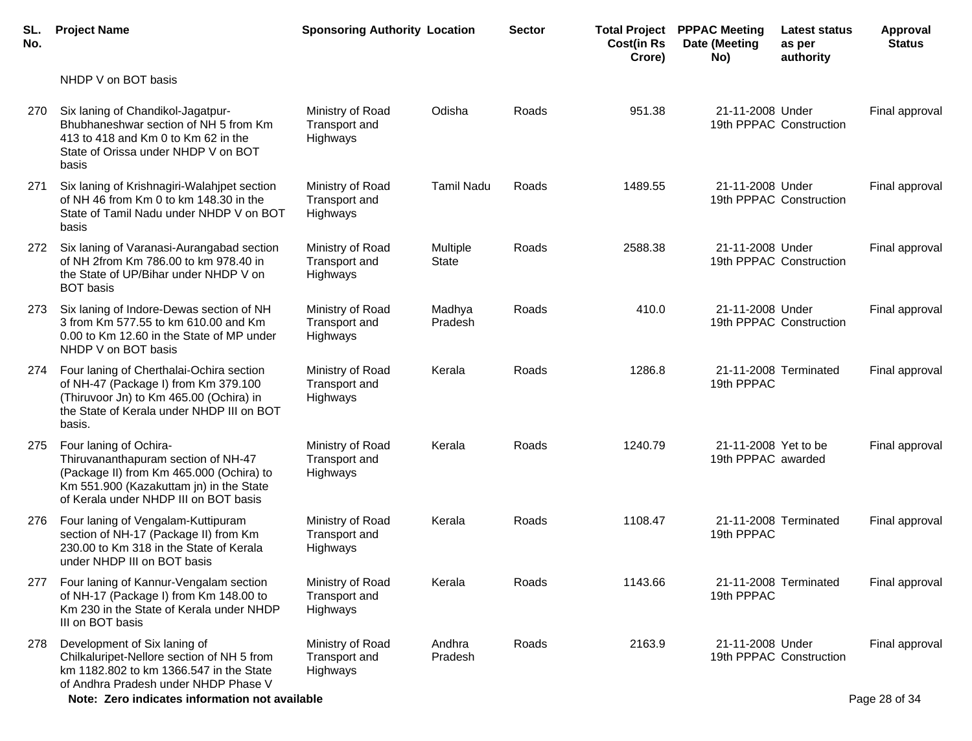| <b>Project Name</b>                                                                                                                                                                           |                                                      |                                                | <b>Sector</b>                        | <b>Cost(in Rs</b><br>Crore) | <b>PPPAC Meeting</b><br>Date (Meeting<br>No) | as per<br>authority  | <b>Approval</b><br><b>Status</b>                                                                                                                                                                                                                                                                                                                                                         |
|-----------------------------------------------------------------------------------------------------------------------------------------------------------------------------------------------|------------------------------------------------------|------------------------------------------------|--------------------------------------|-----------------------------|----------------------------------------------|----------------------|------------------------------------------------------------------------------------------------------------------------------------------------------------------------------------------------------------------------------------------------------------------------------------------------------------------------------------------------------------------------------------------|
| NHDP V on BOT basis                                                                                                                                                                           |                                                      |                                                |                                      |                             |                                              |                      |                                                                                                                                                                                                                                                                                                                                                                                          |
| Six laning of Chandikol-Jagatpur-<br>Bhubhaneshwar section of NH 5 from Km<br>413 to 418 and Km 0 to Km 62 in the<br>State of Orissa under NHDP V on BOT<br>basis                             | Ministry of Road<br>Transport and<br><b>Highways</b> | Odisha                                         | Roads                                | 951.38                      |                                              |                      | Final approval                                                                                                                                                                                                                                                                                                                                                                           |
| Six laning of Krishnagiri-Walahjpet section<br>of NH 46 from Km 0 to km 148.30 in the<br>State of Tamil Nadu under NHDP V on BOT<br>basis                                                     | Ministry of Road<br>Transport and<br><b>Highways</b> | <b>Tamil Nadu</b>                              | Roads                                | 1489.55                     |                                              |                      | Final approval                                                                                                                                                                                                                                                                                                                                                                           |
| Six laning of Varanasi-Aurangabad section<br>of NH 2from Km 786.00 to km 978.40 in<br>the State of UP/Bihar under NHDP V on<br><b>BOT</b> basis                                               | Ministry of Road<br>Transport and<br>Highways        | <b>Multiple</b><br><b>State</b>                | Roads                                | 2588.38                     |                                              |                      | Final approval                                                                                                                                                                                                                                                                                                                                                                           |
| Six laning of Indore-Dewas section of NH<br>3 from Km 577.55 to km 610.00 and Km<br>0.00 to Km 12.60 in the State of MP under<br>NHDP V on BOT basis                                          | Ministry of Road<br>Transport and<br>Highways        | Madhya<br>Pradesh                              | Roads                                | 410.0                       |                                              |                      | Final approval                                                                                                                                                                                                                                                                                                                                                                           |
| Four laning of Cherthalai-Ochira section<br>of NH-47 (Package I) from Km 379.100<br>(Thiruvoor Jn) to Km 465.00 (Ochira) in<br>the State of Kerala under NHDP III on BOT<br>basis.            | Ministry of Road<br>Transport and<br>Highways        | Kerala                                         | Roads                                | 1286.8                      | 19th PPPAC                                   |                      | Final approval                                                                                                                                                                                                                                                                                                                                                                           |
| Four laning of Ochira-<br>Thiruvananthapuram section of NH-47<br>(Package II) from Km 465.000 (Ochira) to<br>Km 551.900 (Kazakuttam jn) in the State<br>of Kerala under NHDP III on BOT basis | Ministry of Road<br>Transport and<br>Highways        | Kerala                                         | Roads                                | 1240.79                     |                                              |                      | Final approval                                                                                                                                                                                                                                                                                                                                                                           |
| Four laning of Vengalam-Kuttipuram<br>section of NH-17 (Package II) from Km<br>230.00 to Km 318 in the State of Kerala<br>under NHDP III on BOT basis                                         | Ministry of Road<br>Transport and<br>Highways        | Kerala                                         | Roads                                | 1108.47                     | 19th PPPAC                                   |                      | Final approval                                                                                                                                                                                                                                                                                                                                                                           |
| Four laning of Kannur-Vengalam section<br>of NH-17 (Package I) from Km 148.00 to<br>Km 230 in the State of Kerala under NHDP<br>III on BOT basis                                              | Ministry of Road<br>Transport and<br><b>Highways</b> | Kerala                                         | Roads                                | 1143.66                     | 19th PPPAC                                   |                      | Final approval                                                                                                                                                                                                                                                                                                                                                                           |
| Development of Six laning of<br>Chilkaluripet-Nellore section of NH 5 from<br>km 1182.802 to km 1366.547 in the State<br>of Andhra Pradesh under NHDP Phase V                                 | Ministry of Road<br>Transport and<br>Highways        | Andhra<br>Pradesh                              | Roads                                | 2163.9                      |                                              |                      | Final approval<br>Page 28 of 34                                                                                                                                                                                                                                                                                                                                                          |
| 277                                                                                                                                                                                           | 272                                                  | Note: Zero indicates information not available | <b>Sponsoring Authority Location</b> |                             |                                              | <b>Total Project</b> | <b>Latest status</b><br>21-11-2008 Under<br>19th PPPAC Construction<br>21-11-2008 Under<br>19th PPPAC Construction<br>21-11-2008 Under<br>19th PPPAC Construction<br>21-11-2008 Under<br>19th PPPAC Construction<br>21-11-2008 Terminated<br>21-11-2008 Yet to be<br>19th PPPAC awarded<br>21-11-2008 Terminated<br>21-11-2008 Terminated<br>21-11-2008 Under<br>19th PPPAC Construction |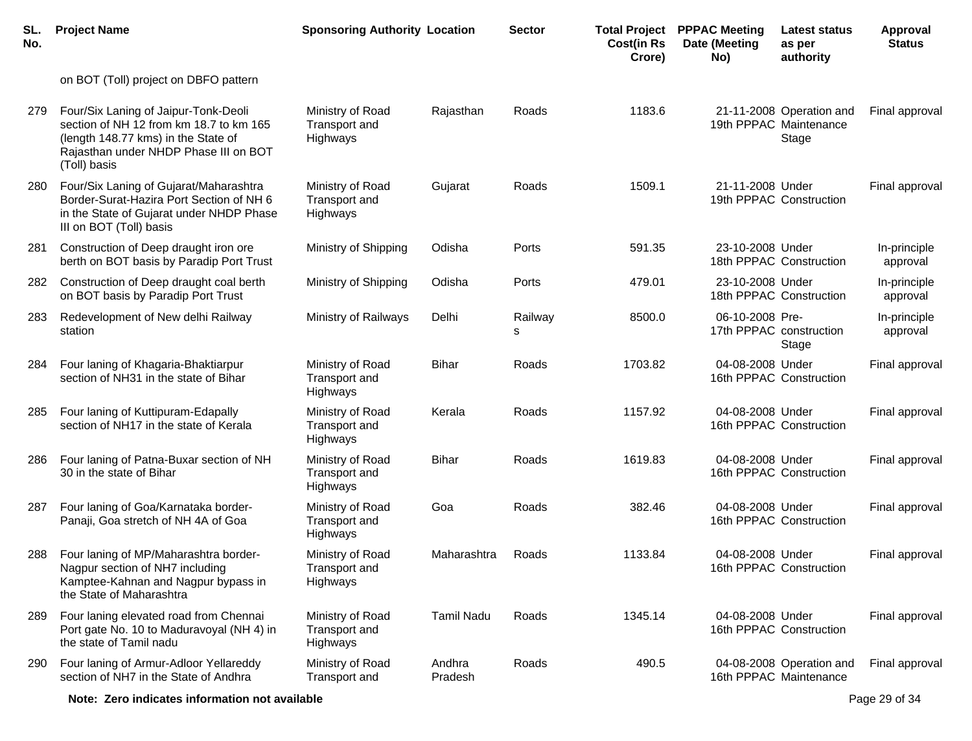| SL.<br>No. | <b>Project Name</b>                                                                                                                                                             | <b>Sponsoring Authority Location</b>          |                   | <b>Sector</b> | <b>Total Project</b><br><b>Cost(in Rs</b><br>Crore) | <b>PPPAC Meeting</b><br>Date (Meeting<br>No) | <b>Latest status</b><br>as per<br>authority                 | <b>Approval</b><br><b>Status</b> |
|------------|---------------------------------------------------------------------------------------------------------------------------------------------------------------------------------|-----------------------------------------------|-------------------|---------------|-----------------------------------------------------|----------------------------------------------|-------------------------------------------------------------|----------------------------------|
|            | on BOT (Toll) project on DBFO pattern                                                                                                                                           |                                               |                   |               |                                                     |                                              |                                                             |                                  |
| 279        | Four/Six Laning of Jaipur-Tonk-Deoli<br>section of NH 12 from km 18.7 to km 165<br>(length 148.77 kms) in the State of<br>Rajasthan under NHDP Phase III on BOT<br>(Toll) basis | Ministry of Road<br>Transport and<br>Highways | Rajasthan         | Roads         | 1183.6                                              |                                              | 21-11-2008 Operation and<br>19th PPPAC Maintenance<br>Stage | Final approval                   |
| 280        | Four/Six Laning of Gujarat/Maharashtra<br>Border-Surat-Hazira Port Section of NH 6<br>in the State of Gujarat under NHDP Phase<br>III on BOT (Toll) basis                       | Ministry of Road<br>Transport and<br>Highways | Gujarat           | Roads         | 1509.1                                              | 21-11-2008 Under                             | 19th PPPAC Construction                                     | Final approval                   |
| 281        | Construction of Deep draught iron ore<br>berth on BOT basis by Paradip Port Trust                                                                                               | Ministry of Shipping                          | Odisha            | Ports         | 591.35                                              | 23-10-2008 Under                             | 18th PPPAC Construction                                     | In-principle<br>approval         |
| 282        | Construction of Deep draught coal berth<br>on BOT basis by Paradip Port Trust                                                                                                   | Ministry of Shipping                          | Odisha            | Ports         | 479.01                                              | 23-10-2008 Under                             | 18th PPPAC Construction                                     | In-principle<br>approval         |
| 283        | Redevelopment of New delhi Railway<br>station                                                                                                                                   | Ministry of Railways                          | Delhi             | Railway<br>s  | 8500.0                                              | 06-10-2008 Pre-                              | 17th PPPAC construction<br>Stage                            | In-principle<br>approval         |
| 284        | Four laning of Khagaria-Bhaktiarpur<br>section of NH31 in the state of Bihar                                                                                                    | Ministry of Road<br>Transport and<br>Highways | <b>Bihar</b>      | Roads         | 1703.82                                             | 04-08-2008 Under                             | 16th PPPAC Construction                                     | Final approval                   |
| 285        | Four laning of Kuttipuram-Edapally<br>section of NH17 in the state of Kerala                                                                                                    | Ministry of Road<br>Transport and<br>Highways | Kerala            | Roads         | 1157.92                                             | 04-08-2008 Under                             | 16th PPPAC Construction                                     | Final approval                   |
| 286        | Four laning of Patna-Buxar section of NH<br>30 in the state of Bihar                                                                                                            | Ministry of Road<br>Transport and<br>Highways | <b>Bihar</b>      | Roads         | 1619.83                                             | 04-08-2008 Under                             | 16th PPPAC Construction                                     | Final approval                   |
| 287        | Four laning of Goa/Karnataka border-<br>Panaji, Goa stretch of NH 4A of Goa                                                                                                     | Ministry of Road<br>Transport and<br>Highways | Goa               | Roads         | 382.46                                              | 04-08-2008 Under                             | 16th PPPAC Construction                                     | Final approval                   |
| 288        | Four laning of MP/Maharashtra border-<br>Nagpur section of NH7 including<br>Kamptee-Kahnan and Nagpur bypass in<br>the State of Maharashtra                                     | Ministry of Road<br>Transport and<br>Highways | Maharashtra       | Roads         | 1133.84                                             | 04-08-2008 Under                             | 16th PPPAC Construction                                     | Final approval                   |
| 289        | Four laning elevated road from Chennai<br>Port gate No. 10 to Maduravoyal (NH 4) in<br>the state of Tamil nadu                                                                  | Ministry of Road<br>Transport and<br>Highways | <b>Tamil Nadu</b> | Roads         | 1345.14                                             | 04-08-2008 Under                             | 16th PPPAC Construction                                     | Final approval                   |
| 290        | Four laning of Armur-Adloor Yellareddy<br>section of NH7 in the State of Andhra                                                                                                 | Ministry of Road<br>Transport and             | Andhra<br>Pradesh | Roads         | 490.5                                               |                                              | 04-08-2008 Operation and<br>16th PPPAC Maintenance          | Final approval                   |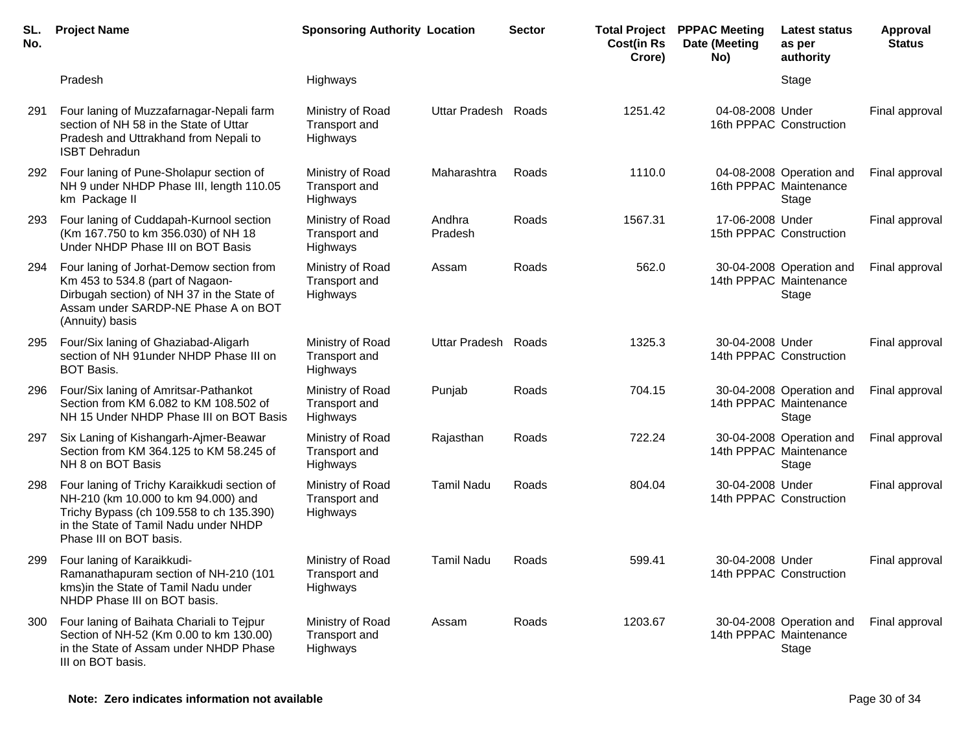| SL.<br>No. | <b>Project Name</b>                                                                                                                                                                                | <b>Sponsoring Authority Location</b>                 |                      | <b>Sector</b> | <b>Cost(in Rs</b><br>Crore) | <b>Total Project PPPAC Meeting</b><br>Date (Meeting<br>No) | <b>Latest status</b><br>as per<br>authority                 | <b>Approval</b><br><b>Status</b> |
|------------|----------------------------------------------------------------------------------------------------------------------------------------------------------------------------------------------------|------------------------------------------------------|----------------------|---------------|-----------------------------|------------------------------------------------------------|-------------------------------------------------------------|----------------------------------|
|            | Pradesh                                                                                                                                                                                            | <b>Highways</b>                                      |                      |               |                             |                                                            | Stage                                                       |                                  |
| 291        | Four laning of Muzzafarnagar-Nepali farm<br>section of NH 58 in the State of Uttar<br>Pradesh and Uttrakhand from Nepali to<br><b>ISBT Dehradun</b>                                                | Ministry of Road<br>Transport and<br>Highways        | <b>Uttar Pradesh</b> | Roads         | 1251.42                     | 04-08-2008 Under                                           | 16th PPPAC Construction                                     | Final approval                   |
| 292        | Four laning of Pune-Sholapur section of<br>NH 9 under NHDP Phase III, length 110.05<br>km Package II                                                                                               | Ministry of Road<br>Transport and<br>Highways        | Maharashtra          | Roads         | 1110.0                      |                                                            | 04-08-2008 Operation and<br>16th PPPAC Maintenance<br>Stage | Final approval                   |
| 293        | Four laning of Cuddapah-Kurnool section<br>(Km 167.750 to km 356.030) of NH 18<br>Under NHDP Phase III on BOT Basis                                                                                | Ministry of Road<br>Transport and<br>Highways        | Andhra<br>Pradesh    | Roads         | 1567.31                     | 17-06-2008 Under                                           | 15th PPPAC Construction                                     | Final approval                   |
| 294        | Four laning of Jorhat-Demow section from<br>Km 453 to 534.8 (part of Nagaon-<br>Dirbugah section) of NH 37 in the State of<br>Assam under SARDP-NE Phase A on BOT<br>(Annuity) basis               | Ministry of Road<br>Transport and<br>Highways        | Assam                | Roads         | 562.0                       |                                                            | 30-04-2008 Operation and<br>14th PPPAC Maintenance<br>Stage | Final approval                   |
| 295        | Four/Six laning of Ghaziabad-Aligarh<br>section of NH 91 under NHDP Phase III on<br><b>BOT Basis.</b>                                                                                              | Ministry of Road<br>Transport and<br>Highways        | <b>Uttar Pradesh</b> | Roads         | 1325.3                      | 30-04-2008 Under                                           | 14th PPPAC Construction                                     | Final approval                   |
| 296        | Four/Six laning of Amritsar-Pathankot<br>Section from KM 6.082 to KM 108.502 of<br>NH 15 Under NHDP Phase III on BOT Basis                                                                         | Ministry of Road<br>Transport and<br>Highways        | Punjab               | Roads         | 704.15                      |                                                            | 30-04-2008 Operation and<br>14th PPPAC Maintenance<br>Stage | Final approval                   |
| 297        | Six Laning of Kishangarh-Ajmer-Beawar<br>Section from KM 364.125 to KM 58.245 of<br>NH 8 on BOT Basis                                                                                              | Ministry of Road<br><b>Transport and</b><br>Highways | Rajasthan            | Roads         | 722.24                      |                                                            | 30-04-2008 Operation and<br>14th PPPAC Maintenance<br>Stage | Final approval                   |
| 298        | Four laning of Trichy Karaikkudi section of<br>NH-210 (km 10.000 to km 94.000) and<br>Trichy Bypass (ch 109.558 to ch 135.390)<br>in the State of Tamil Nadu under NHDP<br>Phase III on BOT basis. | Ministry of Road<br>Transport and<br>Highways        | <b>Tamil Nadu</b>    | Roads         | 804.04                      | 30-04-2008 Under                                           | 14th PPPAC Construction                                     | Final approval                   |
| 299        | Four laning of Karaikkudi-<br>Ramanathapuram section of NH-210 (101<br>kms) in the State of Tamil Nadu under<br>NHDP Phase III on BOT basis.                                                       | Ministry of Road<br>Transport and<br>Highways        | <b>Tamil Nadu</b>    | Roads         | 599.41                      | 30-04-2008 Under                                           | 14th PPPAC Construction                                     | Final approval                   |
| 300        | Four laning of Baihata Chariali to Tejpur<br>Section of NH-52 (Km 0.00 to km 130.00)<br>in the State of Assam under NHDP Phase<br>III on BOT basis.                                                | Ministry of Road<br>Transport and<br>Highways        | Assam                | Roads         | 1203.67                     |                                                            | 30-04-2008 Operation and<br>14th PPPAC Maintenance<br>Stage | Final approval                   |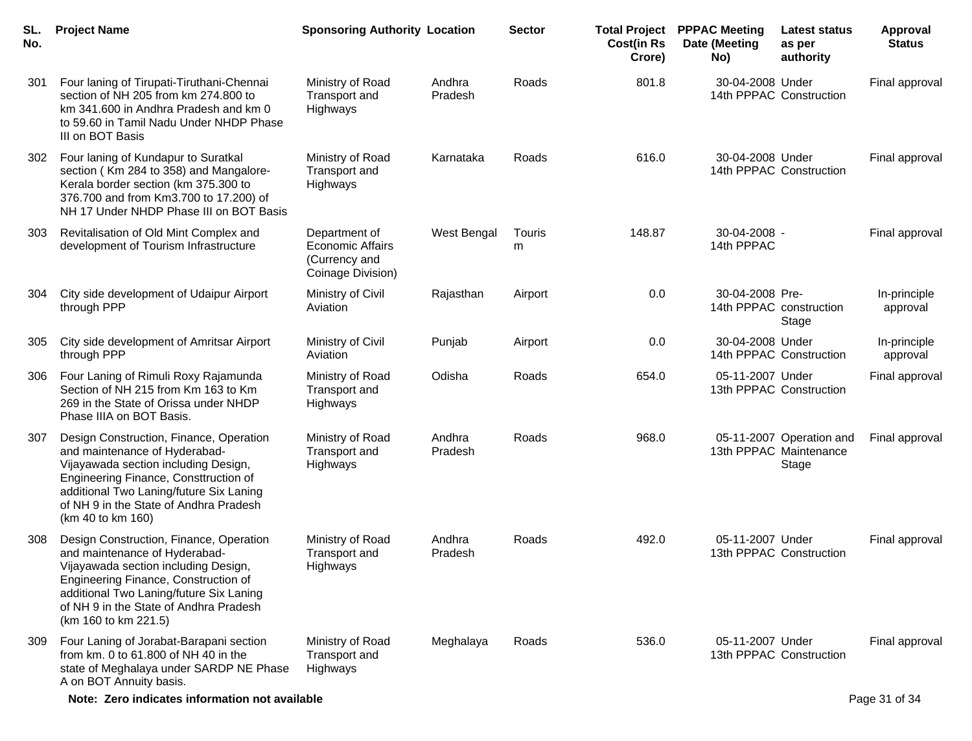| SL.<br>No. | <b>Project Name</b>                                                                                                                                                                                                                                                   | <b>Sponsoring Authority Location</b>                                           |                   | <b>Sector</b> | <b>Cost(in Rs</b><br>Crore) | <b>Total Project PPPAC Meeting</b><br>Date (Meeting<br>No) | Latest status<br>as per<br>authority | <b>Approval</b><br><b>Status</b> |
|------------|-----------------------------------------------------------------------------------------------------------------------------------------------------------------------------------------------------------------------------------------------------------------------|--------------------------------------------------------------------------------|-------------------|---------------|-----------------------------|------------------------------------------------------------|--------------------------------------|----------------------------------|
| 301        | Four laning of Tirupati-Tiruthani-Chennai<br>section of NH 205 from km 274.800 to<br>km 341.600 in Andhra Pradesh and km 0<br>to 59.60 in Tamil Nadu Under NHDP Phase<br>III on BOT Basis                                                                             | Ministry of Road<br>Transport and<br>Highways                                  | Andhra<br>Pradesh | Roads         | 801.8                       | 30-04-2008 Under<br>14th PPPAC Construction                |                                      | Final approval                   |
| 302        | Four laning of Kundapur to Suratkal<br>section (Km 284 to 358) and Mangalore-<br>Kerala border section (km 375.300 to<br>376.700 and from Km3.700 to 17.200) of<br>NH 17 Under NHDP Phase III on BOT Basis                                                            | Ministry of Road<br>Transport and<br>Highways                                  | Karnataka         | Roads         | 616.0                       | 30-04-2008 Under<br>14th PPPAC Construction                |                                      | Final approval                   |
| 303        | Revitalisation of Old Mint Complex and<br>development of Tourism Infrastructure                                                                                                                                                                                       | Department of<br><b>Economic Affairs</b><br>(Currency and<br>Coinage Division) | West Bengal       | Touris<br>m   | 148.87                      | 30-04-2008 -<br>14th PPPAC                                 |                                      | Final approval                   |
| 304        | City side development of Udaipur Airport<br>through PPP                                                                                                                                                                                                               | Ministry of Civil<br>Aviation                                                  | Rajasthan         | Airport       | 0.0                         | 30-04-2008 Pre-<br>14th PPPAC construction                 | Stage                                | In-principle<br>approval         |
| 305        | City side development of Amritsar Airport<br>through PPP                                                                                                                                                                                                              | Ministry of Civil<br>Aviation                                                  | Punjab            | Airport       | 0.0                         | 30-04-2008 Under<br>14th PPPAC Construction                |                                      | In-principle<br>approval         |
| 306        | Four Laning of Rimuli Roxy Rajamunda<br>Section of NH 215 from Km 163 to Km<br>269 in the State of Orissa under NHDP<br>Phase IIIA on BOT Basis.                                                                                                                      | Ministry of Road<br>Transport and<br>Highways                                  | Odisha            | Roads         | 654.0                       | 05-11-2007 Under<br>13th PPPAC Construction                |                                      | Final approval                   |
| 307        | Design Construction, Finance, Operation<br>and maintenance of Hyderabad-<br>Vijayawada section including Design,<br>Engineering Finance, Consttruction of<br>additional Two Laning/future Six Laning<br>of NH 9 in the State of Andhra Pradesh<br>(km 40 to km 160)   | Ministry of Road<br>Transport and<br>Highways                                  | Andhra<br>Pradesh | Roads         | 968.0                       | 13th PPPAC Maintenance                                     | 05-11-2007 Operation and<br>Stage    | Final approval                   |
| 308        | Design Construction, Finance, Operation<br>and maintenance of Hyderabad-<br>Vijayawada section including Design,<br>Engineering Finance, Construction of<br>additional Two Laning/future Six Laning<br>of NH 9 in the State of Andhra Pradesh<br>(km 160 to km 221.5) | Ministry of Road<br>Transport and<br>Highways                                  | Andhra<br>Pradesh | Roads         | 492.0                       | 05-11-2007 Under<br>13th PPPAC Construction                |                                      | Final approval                   |
| 309        | Four Laning of Jorabat-Barapani section<br>from km. 0 to 61.800 of NH 40 in the<br>state of Meghalaya under SARDP NE Phase<br>A on BOT Annuity basis.                                                                                                                 | Ministry of Road<br>Transport and<br>Highways                                  | Meghalaya         | Roads         | 536.0                       | 05-11-2007 Under<br>13th PPPAC Construction                |                                      | Final approval                   |
|            | Note: Zero indicates information not available                                                                                                                                                                                                                        |                                                                                |                   |               |                             |                                                            |                                      | Page 31 of 34                    |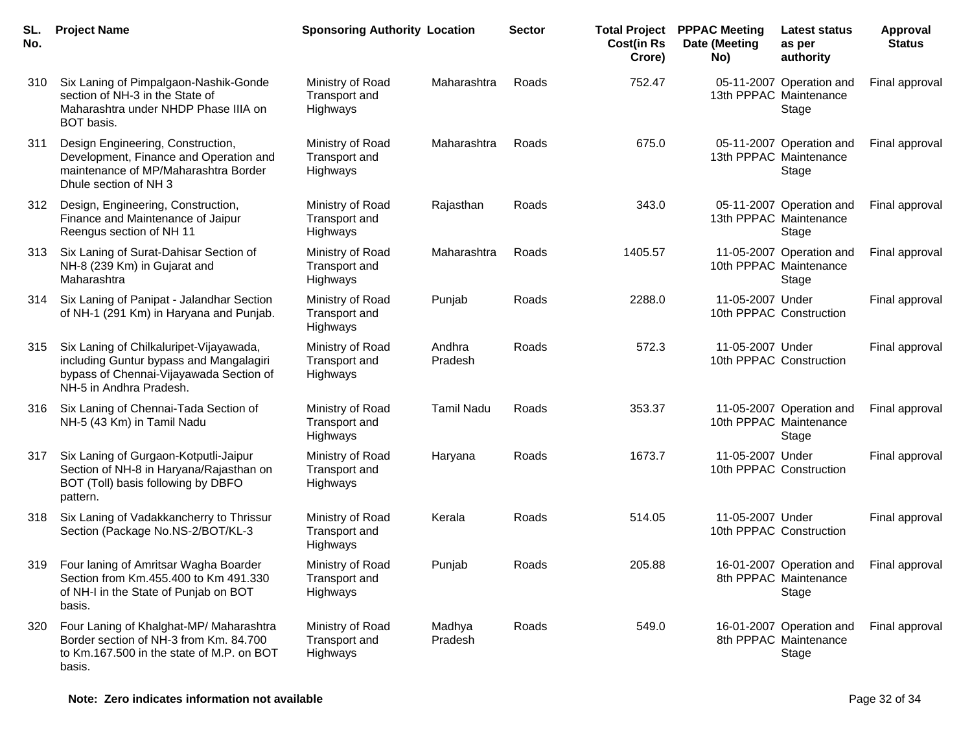| SL.<br>No. | <b>Project Name</b>                                                                                                                                      | <b>Sponsoring Authority Location</b>          |                   | <b>Sector</b> | <b>Total Project</b><br><b>Cost(in Rs</b><br>Crore) | <b>PPPAC Meeting</b><br>Date (Meeting<br>No) | <b>Latest status</b><br>as per<br>authority                 | Approval<br><b>Status</b> |
|------------|----------------------------------------------------------------------------------------------------------------------------------------------------------|-----------------------------------------------|-------------------|---------------|-----------------------------------------------------|----------------------------------------------|-------------------------------------------------------------|---------------------------|
| 310        | Six Laning of Pimpalgaon-Nashik-Gonde<br>section of NH-3 in the State of<br>Maharashtra under NHDP Phase IIIA on<br>BOT basis.                           | Ministry of Road<br>Transport and<br>Highways | Maharashtra       | Roads         | 752.47                                              |                                              | 05-11-2007 Operation and<br>13th PPPAC Maintenance<br>Stage | Final approval            |
| 311        | Design Engineering, Construction,<br>Development, Finance and Operation and<br>maintenance of MP/Maharashtra Border<br>Dhule section of NH 3             | Ministry of Road<br>Transport and<br>Highways | Maharashtra       | Roads         | 675.0                                               |                                              | 05-11-2007 Operation and<br>13th PPPAC Maintenance<br>Stage | Final approval            |
| 312        | Design, Engineering, Construction,<br>Finance and Maintenance of Jaipur<br>Reengus section of NH 11                                                      | Ministry of Road<br>Transport and<br>Highways | Rajasthan         | Roads         | 343.0                                               |                                              | 05-11-2007 Operation and<br>13th PPPAC Maintenance<br>Stage | Final approval            |
| 313        | Six Laning of Surat-Dahisar Section of<br>NH-8 (239 Km) in Gujarat and<br>Maharashtra                                                                    | Ministry of Road<br>Transport and<br>Highways | Maharashtra       | Roads         | 1405.57                                             |                                              | 11-05-2007 Operation and<br>10th PPPAC Maintenance<br>Stage | Final approval            |
| 314        | Six Laning of Panipat - Jalandhar Section<br>of NH-1 (291 Km) in Haryana and Punjab.                                                                     | Ministry of Road<br>Transport and<br>Highways | Punjab            | Roads         | 2288.0                                              | 11-05-2007 Under                             | 10th PPPAC Construction                                     | Final approval            |
| 315        | Six Laning of Chilkaluripet-Vijayawada,<br>including Guntur bypass and Mangalagiri<br>bypass of Chennai-Vijayawada Section of<br>NH-5 in Andhra Pradesh. | Ministry of Road<br>Transport and<br>Highways | Andhra<br>Pradesh | Roads         | 572.3                                               | 11-05-2007 Under                             | 10th PPPAC Construction                                     | Final approval            |
| 316        | Six Laning of Chennai-Tada Section of<br>NH-5 (43 Km) in Tamil Nadu                                                                                      | Ministry of Road<br>Transport and<br>Highways | <b>Tamil Nadu</b> | Roads         | 353.37                                              |                                              | 11-05-2007 Operation and<br>10th PPPAC Maintenance<br>Stage | Final approval            |
| 317        | Six Laning of Gurgaon-Kotputli-Jaipur<br>Section of NH-8 in Haryana/Rajasthan on<br>BOT (Toll) basis following by DBFO<br>pattern.                       | Ministry of Road<br>Transport and<br>Highways | Haryana           | Roads         | 1673.7                                              | 11-05-2007 Under                             | 10th PPPAC Construction                                     | Final approval            |
| 318        | Six Laning of Vadakkancherry to Thrissur<br>Section (Package No.NS-2/BOT/KL-3                                                                            | Ministry of Road<br>Transport and<br>Highways | Kerala            | Roads         | 514.05                                              | 11-05-2007 Under                             | 10th PPPAC Construction                                     | Final approval            |
| 319        | Four laning of Amritsar Wagha Boarder<br>Section from Km.455.400 to Km 491.330<br>of NH-I in the State of Punjab on BOT<br>basis.                        | Ministry of Road<br>Transport and<br>Highways | Punjab            | Roads         | 205.88                                              |                                              | 16-01-2007 Operation and<br>8th PPPAC Maintenance<br>Stage  | Final approval            |
| 320        | Four Laning of Khalghat-MP/ Maharashtra<br>Border section of NH-3 from Km. 84.700<br>to Km.167.500 in the state of M.P. on BOT<br>basis.                 | Ministry of Road<br>Transport and<br>Highways | Madhya<br>Pradesh | Roads         | 549.0                                               |                                              | 16-01-2007 Operation and<br>8th PPPAC Maintenance<br>Stage  | Final approval            |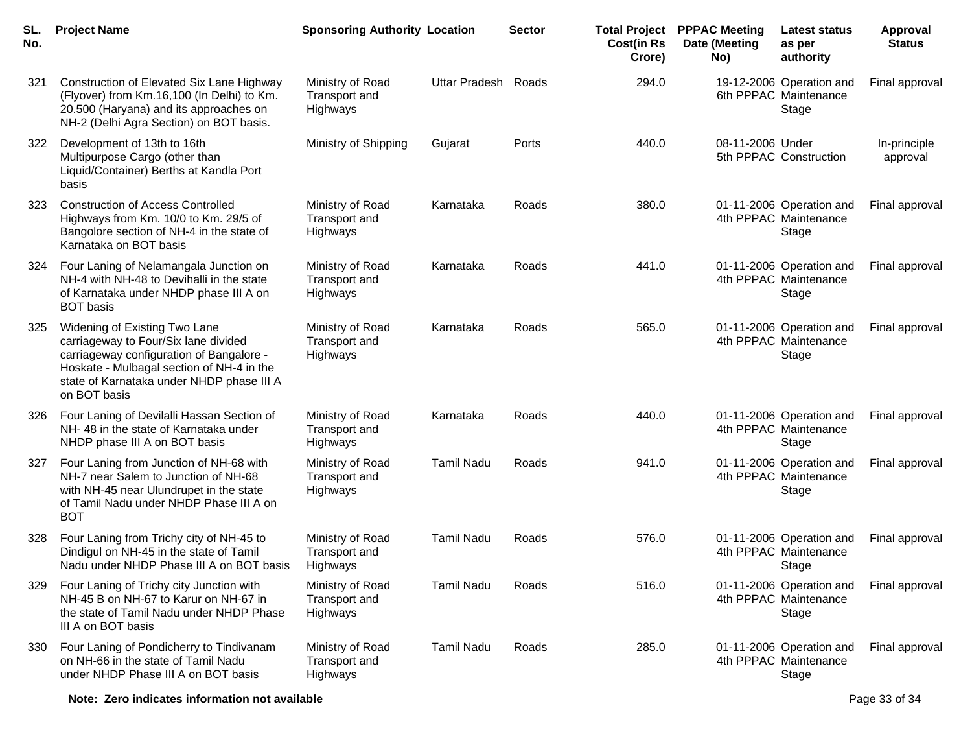| SL.<br>No. | <b>Project Name</b>                                                                                                                                                                                                         | <b>Sponsoring Authority Location</b>          |                      | <b>Sector</b> | <b>Total Project</b><br><b>Cost(in Rs</b><br>Crore) | <b>PPPAC Meeting</b><br>Date (Meeting<br>No) | <b>Latest status</b><br>as per<br>authority                | Approval<br><b>Status</b> |
|------------|-----------------------------------------------------------------------------------------------------------------------------------------------------------------------------------------------------------------------------|-----------------------------------------------|----------------------|---------------|-----------------------------------------------------|----------------------------------------------|------------------------------------------------------------|---------------------------|
| 321        | Construction of Elevated Six Lane Highway<br>(Flyover) from Km.16,100 (In Delhi) to Km.<br>20.500 (Haryana) and its approaches on<br>NH-2 (Delhi Agra Section) on BOT basis.                                                | Ministry of Road<br>Transport and<br>Highways | <b>Uttar Pradesh</b> | Roads         | 294.0                                               |                                              | 19-12-2006 Operation and<br>6th PPPAC Maintenance<br>Stage | Final approval            |
| 322        | Development of 13th to 16th<br>Multipurpose Cargo (other than<br>Liquid/Container) Berths at Kandla Port<br>basis                                                                                                           | Ministry of Shipping                          | Gujarat              | Ports         | 440.0                                               | 08-11-2006 Under                             | 5th PPPAC Construction                                     | In-principle<br>approval  |
| 323        | <b>Construction of Access Controlled</b><br>Highways from Km. 10/0 to Km. 29/5 of<br>Bangolore section of NH-4 in the state of<br>Karnataka on BOT basis                                                                    | Ministry of Road<br>Transport and<br>Highways | Karnataka            | Roads         | 380.0                                               |                                              | 01-11-2006 Operation and<br>4th PPPAC Maintenance<br>Stage | Final approval            |
| 324        | Four Laning of Nelamangala Junction on<br>NH-4 with NH-48 to Devihalli in the state<br>of Karnataka under NHDP phase III A on<br><b>BOT</b> basis                                                                           | Ministry of Road<br>Transport and<br>Highways | Karnataka            | Roads         | 441.0                                               |                                              | 01-11-2006 Operation and<br>4th PPPAC Maintenance<br>Stage | Final approval            |
| 325        | Widening of Existing Two Lane<br>carriageway to Four/Six lane divided<br>carriageway configuration of Bangalore -<br>Hoskate - Mulbagal section of NH-4 in the<br>state of Karnataka under NHDP phase III A<br>on BOT basis | Ministry of Road<br>Transport and<br>Highways | Karnataka            | Roads         | 565.0                                               |                                              | 01-11-2006 Operation and<br>4th PPPAC Maintenance<br>Stage | Final approval            |
| 326        | Four Laning of Devilalli Hassan Section of<br>NH-48 in the state of Karnataka under<br>NHDP phase III A on BOT basis                                                                                                        | Ministry of Road<br>Transport and<br>Highways | Karnataka            | Roads         | 440.0                                               |                                              | 01-11-2006 Operation and<br>4th PPPAC Maintenance<br>Stage | Final approval            |
| 327        | Four Laning from Junction of NH-68 with<br>NH-7 near Salem to Junction of NH-68<br>with NH-45 near Ulundrupet in the state<br>of Tamil Nadu under NHDP Phase III A on<br><b>BOT</b>                                         | Ministry of Road<br>Transport and<br>Highways | <b>Tamil Nadu</b>    | Roads         | 941.0                                               |                                              | 01-11-2006 Operation and<br>4th PPPAC Maintenance<br>Stage | Final approval            |
| 328        | Four Laning from Trichy city of NH-45 to<br>Dindigul on NH-45 in the state of Tamil<br>Nadu under NHDP Phase III A on BOT basis                                                                                             | Ministry of Road<br>Transport and<br>Highways | <b>Tamil Nadu</b>    | Roads         | 576.0                                               |                                              | 01-11-2006 Operation and<br>4th PPPAC Maintenance<br>Stage | Final approval            |
| 329        | Four Laning of Trichy city Junction with<br>NH-45 B on NH-67 to Karur on NH-67 in<br>the state of Tamil Nadu under NHDP Phase<br>III A on BOT basis                                                                         | Ministry of Road<br>Transport and<br>Highways | <b>Tamil Nadu</b>    | Roads         | 516.0                                               |                                              | 01-11-2006 Operation and<br>4th PPPAC Maintenance<br>Stage | Final approval            |
| 330        | Four Laning of Pondicherry to Tindivanam<br>on NH-66 in the state of Tamil Nadu<br>under NHDP Phase III A on BOT basis                                                                                                      | Ministry of Road<br>Transport and<br>Highways | <b>Tamil Nadu</b>    | Roads         | 285.0                                               |                                              | 01-11-2006 Operation and<br>4th PPPAC Maintenance<br>Stage | Final approval            |